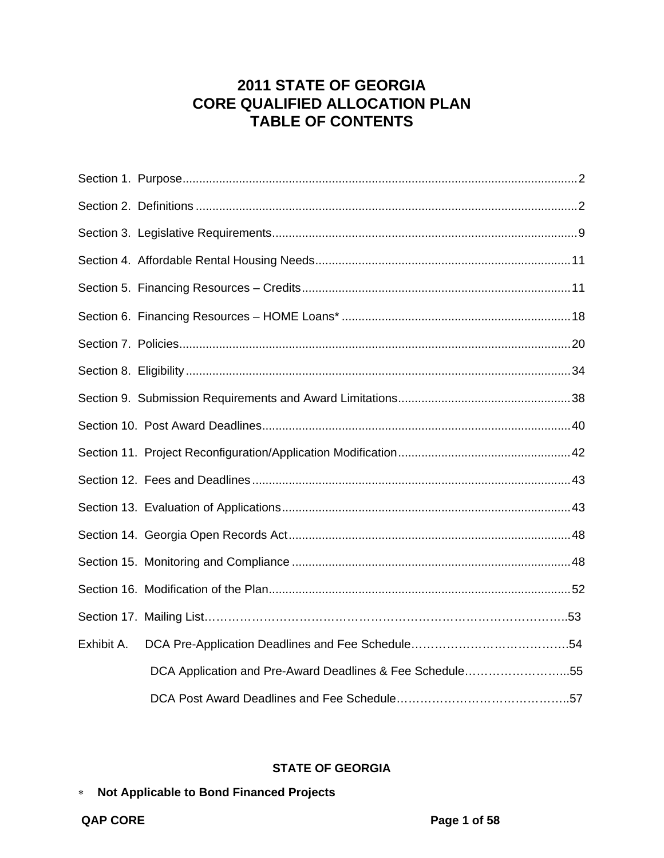# **2011 STATE OF GEORGIA CORE QUALIFIED ALLOCATION PLAN TABLE OF CONTENTS**

| Exhibit A. |                                                          |
|------------|----------------------------------------------------------|
|            | DCA Application and Pre-Award Deadlines & Fee Schedule55 |
|            |                                                          |

#### **STATE OF GEORGIA**

∗ **Not Applicable to Bond Financed Projects** 

**QAP CORE Page 1 of 58**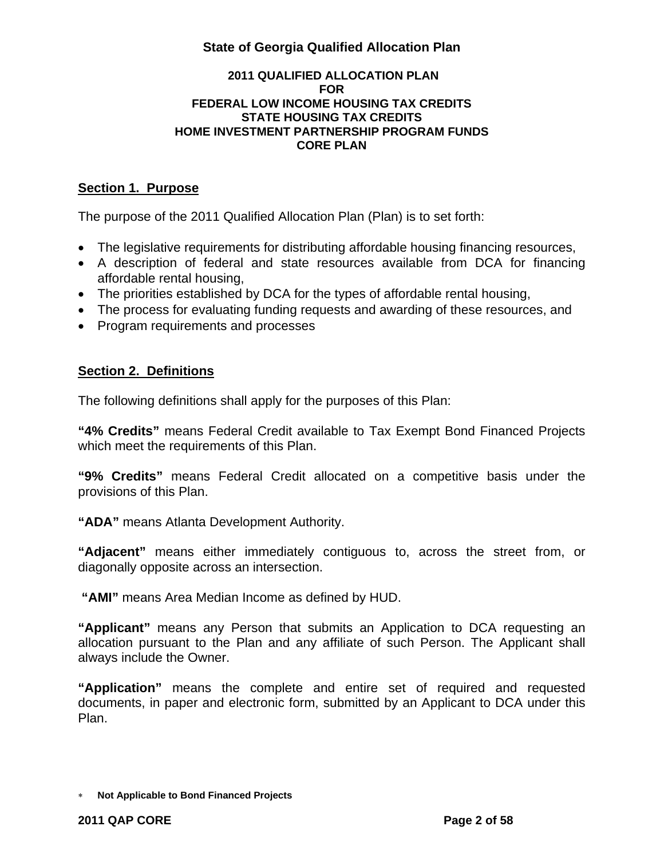#### <span id="page-1-0"></span> **2011 QUALIFIED ALLOCATION PLAN FOR FEDERAL LOW INCOME HOUSING TAX CREDITS STATE HOUSING TAX CREDITS HOME INVESTMENT PARTNERSHIP PROGRAM FUNDS CORE PLAN**

#### **Section 1. Purpose**

The purpose of the 2011 Qualified Allocation Plan (Plan) is to set forth:

- The legislative requirements for distributing affordable housing financing resources,
- A description of federal and state resources available from DCA for financing affordable rental housing,
- The priorities established by DCA for the types of affordable rental housing,
- The process for evaluating funding requests and awarding of these resources, and
- Program requirements and processes

#### **Section 2. Definitions**

The following definitions shall apply for the purposes of this Plan:

**"4% Credits"** means Federal Credit available to Tax Exempt Bond Financed Projects which meet the requirements of this Plan.

**"9% Credits"** means Federal Credit allocated on a competitive basis under the provisions of this Plan.

**"ADA"** means Atlanta Development Authority.

**"Adjacent"** means either immediately contiguous to, across the street from, or diagonally opposite across an intersection.

 **"AMI"** means Area Median Income as defined by HUD.

**"Applicant"** means any Person that submits an Application to DCA requesting an allocation pursuant to the Plan and any affiliate of such Person. The Applicant shall always include the Owner.

**"Application"** means the complete and entire set of required and requested documents, in paper and electronic form, submitted by an Applicant to DCA under this Plan.

<sup>∗</sup> **Not Applicable to Bond Financed Projects**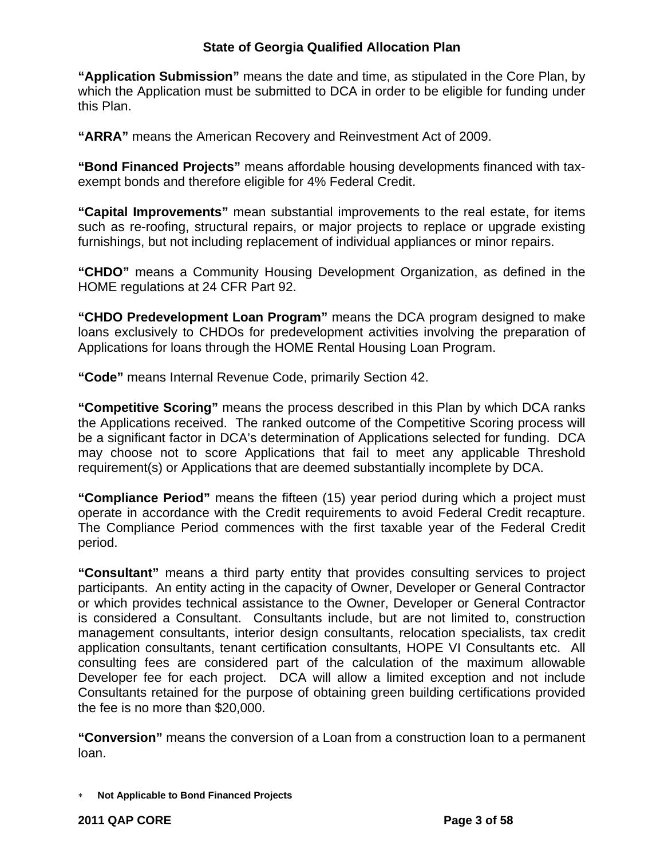**"Application Submission"** means the date and time, as stipulated in the Core Plan, by which the Application must be submitted to DCA in order to be eligible for funding under this Plan.

**"ARRA"** means the American Recovery and Reinvestment Act of 2009.

**"Bond Financed Projects"** means affordable housing developments financed with taxexempt bonds and therefore eligible for 4% Federal Credit.

**"Capital Improvements"** mean substantial improvements to the real estate, for items such as re-roofing, structural repairs, or major projects to replace or upgrade existing furnishings, but not including replacement of individual appliances or minor repairs.

**"CHDO"** means a Community Housing Development Organization, as defined in the HOME regulations at 24 CFR Part 92.

**"CHDO Predevelopment Loan Program"** means the DCA program designed to make loans exclusively to CHDOs for predevelopment activities involving the preparation of Applications for loans through the HOME Rental Housing Loan Program.

**"Code"** means Internal Revenue Code, primarily Section 42.

**"Competitive Scoring"** means the process described in this Plan by which DCA ranks the Applications received. The ranked outcome of the Competitive Scoring process will be a significant factor in DCA's determination of Applications selected for funding. DCA may choose not to score Applications that fail to meet any applicable Threshold requirement(s) or Applications that are deemed substantially incomplete by DCA.

**"Compliance Period"** means the fifteen (15) year period during which a project must operate in accordance with the Credit requirements to avoid Federal Credit recapture. The Compliance Period commences with the first taxable year of the Federal Credit period.

**"Consultant"** means a third party entity that provides consulting services to project participants. An entity acting in the capacity of Owner, Developer or General Contractor or which provides technical assistance to the Owner, Developer or General Contractor is considered a Consultant. Consultants include, but are not limited to, construction management consultants, interior design consultants, relocation specialists, tax credit application consultants, tenant certification consultants, HOPE VI Consultants etc. All consulting fees are considered part of the calculation of the maximum allowable Developer fee for each project. DCA will allow a limited exception and not include Consultants retained for the purpose of obtaining green building certifications provided the fee is no more than \$20,000.

**"Conversion"** means the conversion of a Loan from a construction loan to a permanent loan.

<sup>∗</sup> **Not Applicable to Bond Financed Projects**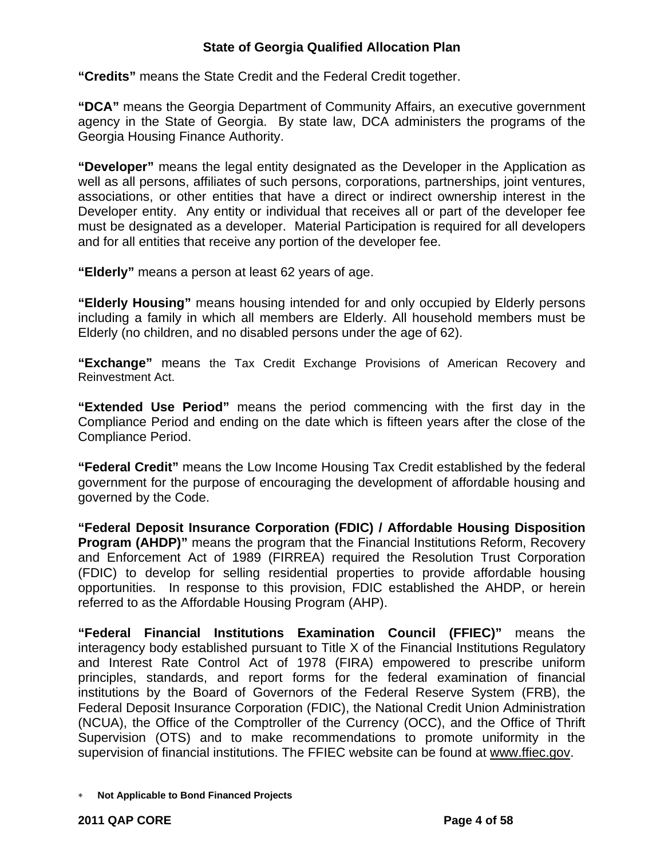**"Credits"** means the State Credit and the Federal Credit together.

**"DCA"** means the Georgia Department of Community Affairs, an executive government agency in the State of Georgia. By state law, DCA administers the programs of the Georgia Housing Finance Authority.

**"Developer"** means the legal entity designated as the Developer in the Application as well as all persons, affiliates of such persons, corporations, partnerships, joint ventures, associations, or other entities that have a direct or indirect ownership interest in the Developer entity. Any entity or individual that receives all or part of the developer fee must be designated as a developer. Material Participation is required for all developers and for all entities that receive any portion of the developer fee.

**"Elderly"** means a person at least 62 years of age.

**"Elderly Housing"** means housing intended for and only occupied by Elderly persons including a family in which all members are Elderly. All household members must be Elderly (no children, and no disabled persons under the age of 62).

**"Exchange"** means the Tax Credit Exchange Provisions of American Recovery and Reinvestment Act.

**"Extended Use Period"** means the period commencing with the first day in the Compliance Period and ending on the date which is fifteen years after the close of the Compliance Period.

**"Federal Credit"** means the Low Income Housing Tax Credit established by the federal government for the purpose of encouraging the development of affordable housing and governed by the Code.

**"Federal Deposit Insurance Corporation (FDIC) / Affordable Housing Disposition Program (AHDP)"** means the program that the Financial Institutions Reform, Recovery and Enforcement Act of 1989 (FIRREA) required the Resolution Trust Corporation (FDIC) to develop for selling residential properties to provide affordable housing opportunities. In response to this provision, FDIC established the AHDP, or herein referred to as the Affordable Housing Program (AHP).

**"Federal Financial Institutions Examination Council (FFIEC)"** means the interagency body established pursuant to Title X of the Financial Institutions Regulatory and Interest Rate Control Act of 1978 (FIRA) empowered to prescribe uniform principles, standards, and report forms for the federal examination of financial institutions by the Board of Governors of the Federal Reserve System (FRB), the Federal Deposit Insurance Corporation (FDIC), the National Credit Union Administration (NCUA), the Office of the Comptroller of the Currency (OCC), and the Office of Thrift Supervision (OTS) and to make recommendations to promote uniformity in the supervision of financial institutions. The FFIEC website can be found at [www.ffiec.gov](http://www.ffiec.gov/).

<sup>∗</sup> **Not Applicable to Bond Financed Projects**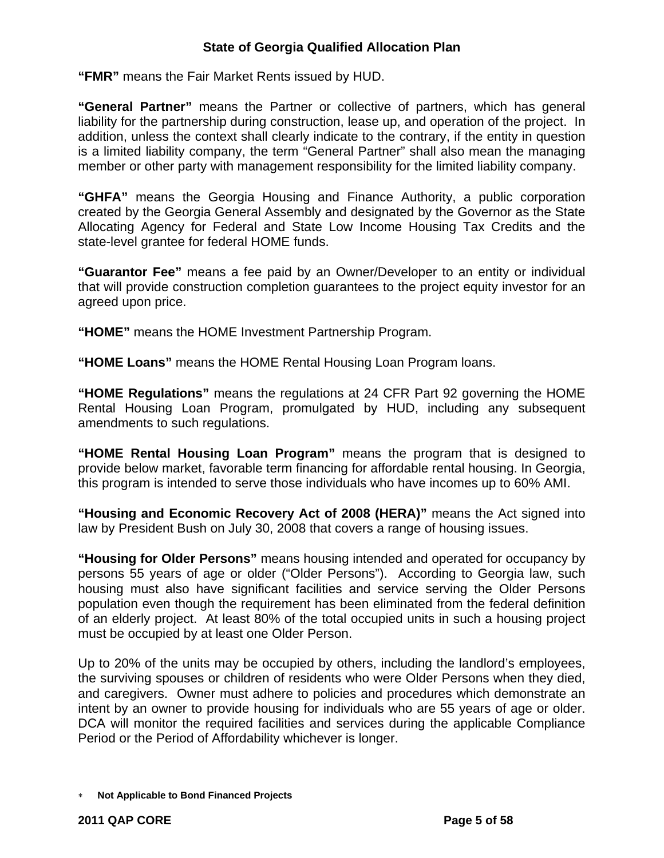**"FMR"** means the Fair Market Rents issued by HUD.

**"General Partner"** means the Partner or collective of partners, which has general liability for the partnership during construction, lease up, and operation of the project. In addition, unless the context shall clearly indicate to the contrary, if the entity in question is a limited liability company, the term "General Partner" shall also mean the managing member or other party with management responsibility for the limited liability company.

**"GHFA"** means the Georgia Housing and Finance Authority, a public corporation created by the Georgia General Assembly and designated by the Governor as the State Allocating Agency for Federal and State Low Income Housing Tax Credits and the state-level grantee for federal HOME funds.

**"Guarantor Fee"** means a fee paid by an Owner/Developer to an entity or individual that will provide construction completion guarantees to the project equity investor for an agreed upon price.

**"HOME"** means the HOME Investment Partnership Program.

**"HOME Loans"** means the HOME Rental Housing Loan Program loans.

**"HOME Regulations"** means the regulations at 24 CFR Part 92 governing the HOME Rental Housing Loan Program, promulgated by HUD, including any subsequent amendments to such regulations.

**"HOME Rental Housing Loan Program"** means the program that is designed to provide below market, favorable term financing for affordable rental housing. In Georgia, this program is intended to serve those individuals who have incomes up to 60% AMI.

**"Housing and Economic Recovery Act of 2008 (HERA)"** means the Act signed into law by President Bush on July 30, 2008 that covers a range of housing issues.

**"Housing for Older Persons"** means housing intended and operated for occupancy by persons 55 years of age or older ("Older Persons"). According to Georgia law, such housing must also have significant facilities and service serving the Older Persons population even though the requirement has been eliminated from the federal definition of an elderly project. At least 80% of the total occupied units in such a housing project must be occupied by at least one Older Person.

Up to 20% of the units may be occupied by others, including the landlord's employees, the surviving spouses or children of residents who were Older Persons when they died, and caregivers. Owner must adhere to policies and procedures which demonstrate an intent by an owner to provide housing for individuals who are 55 years of age or older. DCA will monitor the required facilities and services during the applicable Compliance Period or the Period of Affordability whichever is longer.

<sup>∗</sup> **Not Applicable to Bond Financed Projects**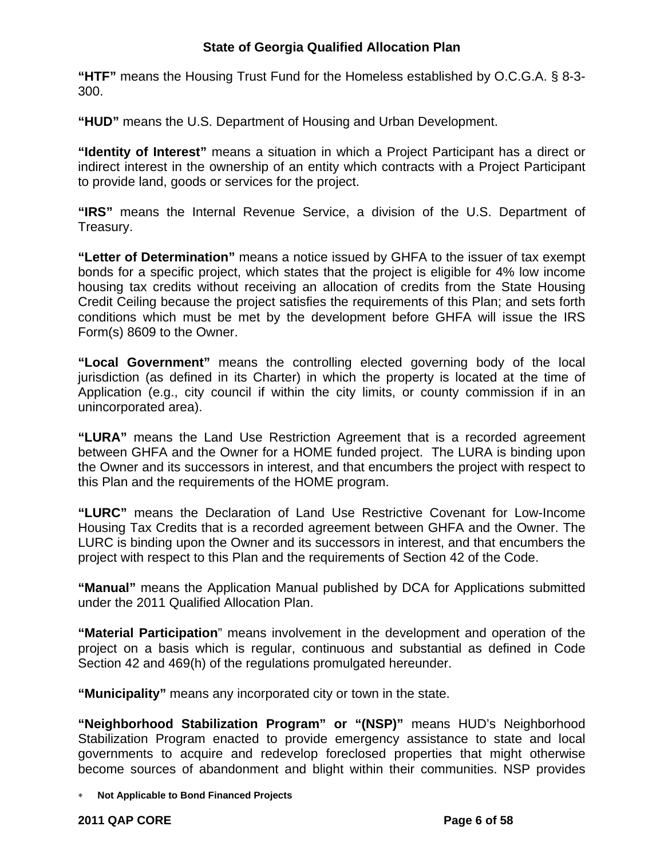**"HTF"** means the Housing Trust Fund for the Homeless established by O.C.G.A. § 8-3- 300.

**"HUD"** means the U.S. Department of Housing and Urban Development.

**"Identity of Interest"** means a situation in which a Project Participant has a direct or indirect interest in the ownership of an entity which contracts with a Project Participant to provide land, goods or services for the project.

**"IRS"** means the Internal Revenue Service, a division of the U.S. Department of Treasury.

**"Letter of Determination"** means a notice issued by GHFA to the issuer of tax exempt bonds for a specific project, which states that the project is eligible for 4% low income housing tax credits without receiving an allocation of credits from the State Housing Credit Ceiling because the project satisfies the requirements of this Plan; and sets forth conditions which must be met by the development before GHFA will issue the IRS Form(s) 8609 to the Owner.

**"Local Government"** means the controlling elected governing body of the local jurisdiction (as defined in its Charter) in which the property is located at the time of Application (e.g., city council if within the city limits, or county commission if in an unincorporated area).

**"LURA"** means the Land Use Restriction Agreement that is a recorded agreement between GHFA and the Owner for a HOME funded project. The LURA is binding upon the Owner and its successors in interest, and that encumbers the project with respect to this Plan and the requirements of the HOME program.

**"LURC"** means the Declaration of Land Use Restrictive Covenant for Low-Income Housing Tax Credits that is a recorded agreement between GHFA and the Owner. The LURC is binding upon the Owner and its successors in interest, and that encumbers the project with respect to this Plan and the requirements of Section 42 of the Code.

**"Manual"** means the Application Manual published by DCA for Applications submitted under the 2011 Qualified Allocation Plan.

**"Material Participation**" means involvement in the development and operation of the project on a basis which is regular, continuous and substantial as defined in Code Section 42 and 469(h) of the regulations promulgated hereunder.

**"Municipality"** means any incorporated city or town in the state.

**"Neighborhood Stabilization Program" or "(NSP)"** means HUD's Neighborhood Stabilization Program enacted to provide emergency assistance to state and local governments to acquire and redevelop foreclosed properties that might otherwise become sources of abandonment and blight within their communities. NSP provides

<sup>∗</sup> **Not Applicable to Bond Financed Projects**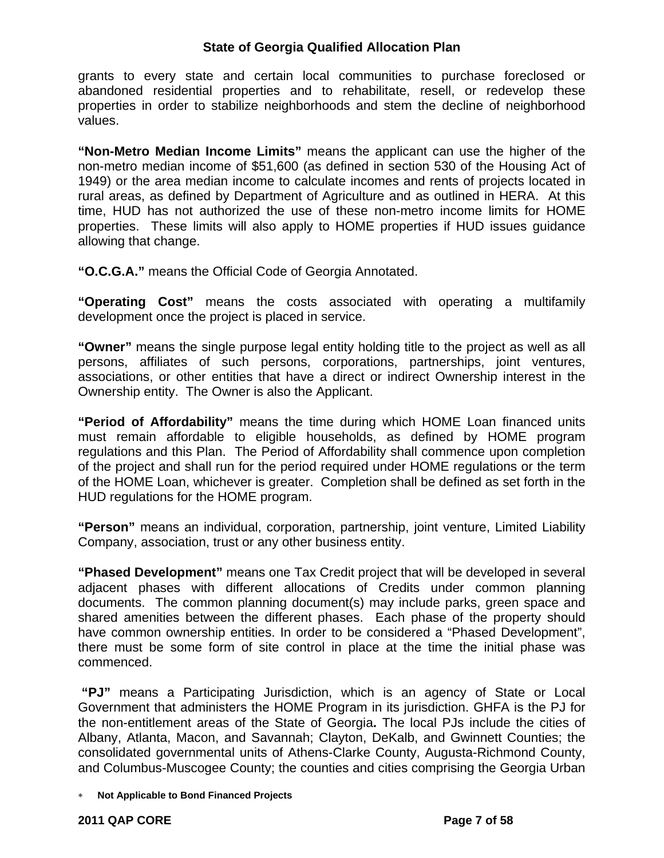grants to every state and certain local communities to purchase foreclosed or abandoned residential properties and to rehabilitate, resell, or redevelop these properties in order to stabilize neighborhoods and stem the decline of neighborhood values.

**"Non-Metro Median Income Limits"** means the applicant can use the higher of the non-metro median income of \$51,600 (as defined in section 530 of the Housing Act of 1949) or the area median income to calculate incomes and rents of projects located in rural areas, as defined by Department of Agriculture and as outlined in HERA. At this time, HUD has not authorized the use of these non-metro income limits for HOME properties. These limits will also apply to HOME properties if HUD issues guidance allowing that change.

**"O.C.G.A."** means the Official Code of Georgia Annotated.

**"Operating Cost"** means the costs associated with operating a multifamily development once the project is placed in service.

**"Owner"** means the single purpose legal entity holding title to the project as well as all persons, affiliates of such persons, corporations, partnerships, joint ventures, associations, or other entities that have a direct or indirect Ownership interest in the Ownership entity. The Owner is also the Applicant.

**"Period of Affordability"** means the time during which HOME Loan financed units must remain affordable to eligible households, as defined by HOME program regulations and this Plan. The Period of Affordability shall commence upon completion of the project and shall run for the period required under HOME regulations or the term of the HOME Loan, whichever is greater. Completion shall be defined as set forth in the HUD regulations for the HOME program.

**"Person"** means an individual, corporation, partnership, joint venture, Limited Liability Company, association, trust or any other business entity.

**"Phased Development"** means one Tax Credit project that will be developed in several adjacent phases with different allocations of Credits under common planning documents. The common planning document(s) may include parks, green space and shared amenities between the different phases. Each phase of the property should have common ownership entities. In order to be considered a "Phased Development". there must be some form of site control in place at the time the initial phase was commenced.

**"PJ"** means a Participating Jurisdiction, which is an agency of State or Local Government that administers the HOME Program in its jurisdiction. GHFA is the PJ for the non-entitlement areas of the State of Georgia**.** The local PJs include the cities of Albany, Atlanta, Macon, and Savannah; Clayton, DeKalb, and Gwinnett Counties; the consolidated governmental units of Athens-Clarke County, Augusta-Richmond County, and Columbus-Muscogee County; the counties and cities comprising the Georgia Urban

<sup>∗</sup> **Not Applicable to Bond Financed Projects**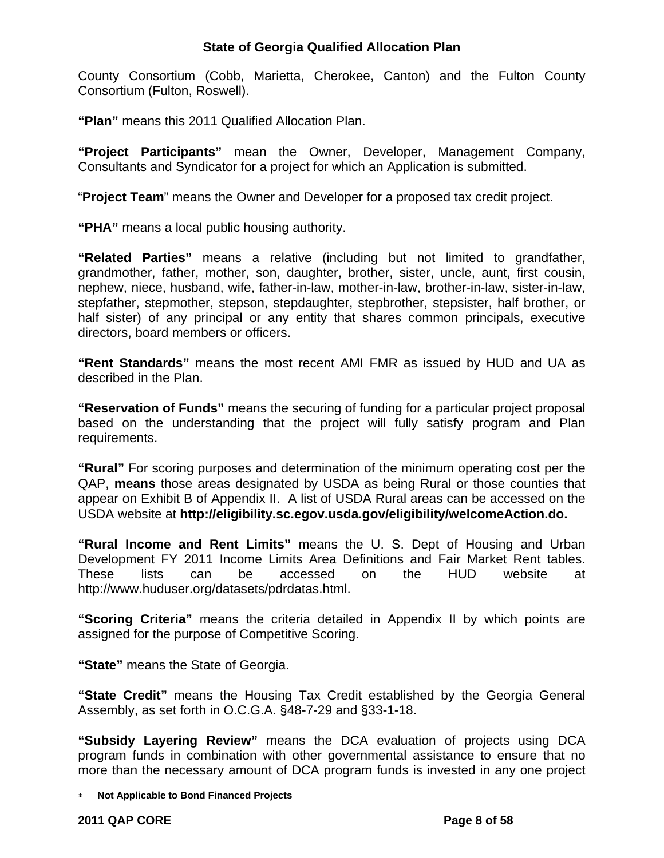County Consortium (Cobb, Marietta, Cherokee, Canton) and the Fulton County Consortium (Fulton, Roswell).

**"Plan"** means this 2011 Qualified Allocation Plan.

**"Project Participants"** mean the Owner, Developer, Management Company, Consultants and Syndicator for a project for which an Application is submitted.

"**Project Team**" means the Owner and Developer for a proposed tax credit project.

**"PHA"** means a local public housing authority.

**"Related Parties"** means a relative (including but not limited to grandfather, grandmother, father, mother, son, daughter, brother, sister, uncle, aunt, first cousin, nephew, niece, husband, wife, father-in-law, mother-in-law, brother-in-law, sister-in-law, stepfather, stepmother, stepson, stepdaughter, stepbrother, stepsister, half brother, or half sister) of any principal or any entity that shares common principals, executive directors, board members or officers.

**"Rent Standards"** means the most recent AMI FMR as issued by HUD and UA as described in the Plan.

**"Reservation of Funds"** means the securing of funding for a particular project proposal based on the understanding that the project will fully satisfy program and Plan requirements.

**"Rural"** For scoring purposes and determination of the minimum operating cost per the QAP, **means** those areas designated by USDA as being Rural or those counties that appear on Exhibit B of Appendix II. A list of USDA Rural areas can be accessed on the USDA website at **http://eligibility.sc.egov.usda.gov/eligibility/welcomeAction.do.**

**"Rural Income and Rent Limits"** means the U. S. Dept of Housing and Urban Development FY 2011 Income Limits Area Definitions and Fair Market Rent tables. These lists can be accessed on the HUD website at http://www.huduser.org/datasets/pdrdatas.html.

**"Scoring Criteria"** means the criteria detailed in Appendix II by which points are assigned for the purpose of Competitive Scoring.

**"State"** means the State of Georgia.

**"State Credit"** means the Housing Tax Credit established by the Georgia General Assembly, as set forth in O.C.G.A. §48-7-29 and §33-1-18.

**"Subsidy Layering Review"** means the DCA evaluation of projects using DCA program funds in combination with other governmental assistance to ensure that no more than the necessary amount of DCA program funds is invested in any one project

∗ **Not Applicable to Bond Financed Projects**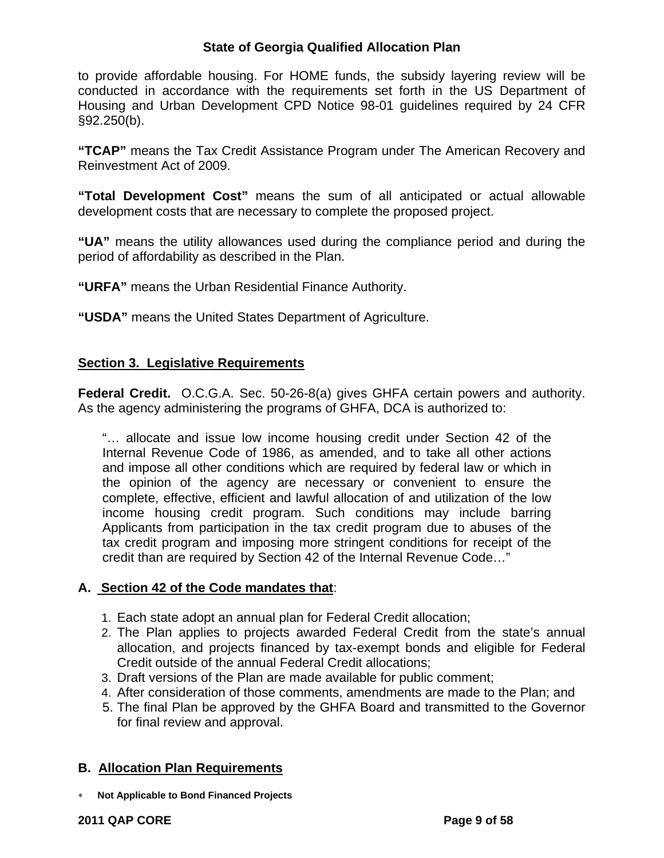<span id="page-8-0"></span>to provide affordable housing. For HOME funds, the subsidy layering review will be conducted in accordance with the requirements set forth in the US Department of Housing and Urban Development CPD Notice 98-01 guidelines required by 24 CFR §92.250(b).

**"TCAP"** means the Tax Credit Assistance Program under The American Recovery and Reinvestment Act of 2009.

**"Total Development Cost"** means the sum of all anticipated or actual allowable development costs that are necessary to complete the proposed project.

**"UA"** means the utility allowances used during the compliance period and during the period of affordability as described in the Plan.

**"URFA"** means the Urban Residential Finance Authority.

**"USDA"** means the United States Department of Agriculture.

## **Section 3. Legislative Requirements**

**Federal Credit.** O.C.G.A. Sec. 50-26-8(a) gives GHFA certain powers and authority. As the agency administering the programs of GHFA, DCA is authorized to:

"… allocate and issue low income housing credit under Section 42 of the Internal Revenue Code of 1986, as amended, and to take all other actions and impose all other conditions which are required by federal law or which in the opinion of the agency are necessary or convenient to ensure the complete, effective, efficient and lawful allocation of and utilization of the low income housing credit program. Such conditions may include barring Applicants from participation in the tax credit program due to abuses of the tax credit program and imposing more stringent conditions for receipt of the credit than are required by Section 42 of the Internal Revenue Code…"

## **A. Section 42 of the Code mandates that**:

- 1. Each state adopt an annual plan for Federal Credit allocation;
- 2. The Plan applies to projects awarded Federal Credit from the state's annual allocation, and projects financed by tax-exempt bonds and eligible for Federal Credit outside of the annual Federal Credit allocations;
- 3. Draft versions of the Plan are made available for public comment;
- 4. After consideration of those comments, amendments are made to the Plan; and
- 5. The final Plan be approved by the GHFA Board and transmitted to the Governor for final review and approval.

## **B. Allocation Plan Requirements**

∗ **Not Applicable to Bond Financed Projects**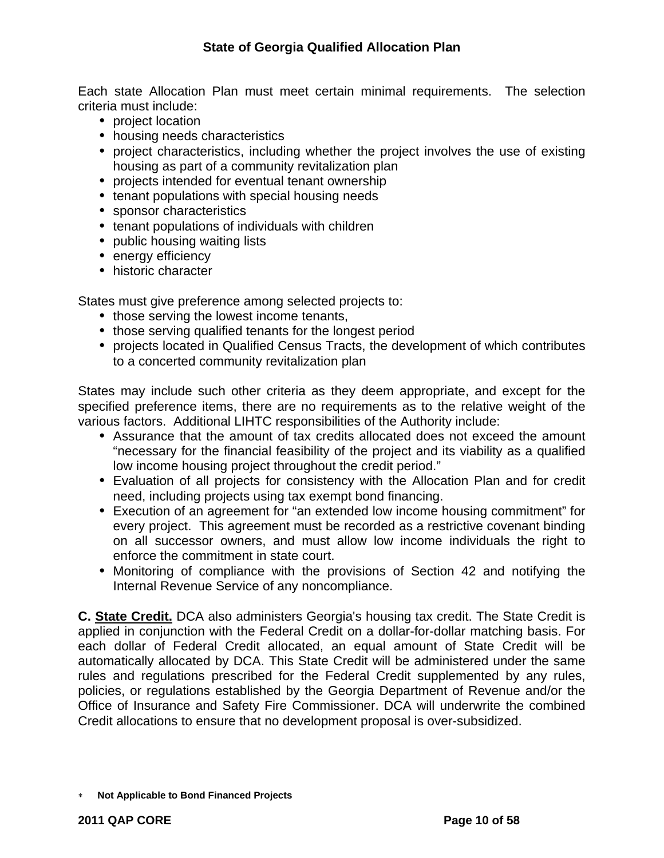Each state Allocation Plan must meet certain minimal requirements. The selection criteria must include:

- project location
- housing needs characteristics
- project characteristics, including whether the project involves the use of existing housing as part of a community revitalization plan
- projects intended for eventual tenant ownership
- tenant populations with special housing needs
- sponsor characteristics
- tenant populations of individuals with children
- public housing waiting lists
- energy efficiency
- historic character

States must give preference among selected projects to:

- those serving the lowest income tenants,
- those serving qualified tenants for the longest period
- projects located in Qualified Census Tracts, the development of which contributes to a concerted community revitalization plan

States may include such other criteria as they deem appropriate, and except for the specified preference items, there are no requirements as to the relative weight of the various factors. Additional LIHTC responsibilities of the Authority include:

- Assurance that the amount of tax credits allocated does not exceed the amount "necessary for the financial feasibility of the project and its viability as a qualified low income housing project throughout the credit period."
- Evaluation of all projects for consistency with the Allocation Plan and for credit need, including projects using tax exempt bond financing.
- Execution of an agreement for "an extended low income housing commitment" for every project. This agreement must be recorded as a restrictive covenant binding on all successor owners, and must allow low income individuals the right to enforce the commitment in state court.
- Monitoring of compliance with the provisions of Section 42 and notifying the Internal Revenue Service of any noncompliance.

**C. State Credit.** DCA also administers Georgia's housing tax credit. The State Credit is applied in conjunction with the Federal Credit on a dollar-for-dollar matching basis. For each dollar of Federal Credit allocated, an equal amount of State Credit will be automatically allocated by DCA. This State Credit will be administered under the same rules and regulations prescribed for the Federal Credit supplemented by any rules, policies, or regulations established by the Georgia Department of Revenue and/or the Office of Insurance and Safety Fire Commissioner. DCA will underwrite the combined Credit allocations to ensure that no development proposal is over-subsidized.

<sup>∗</sup> **Not Applicable to Bond Financed Projects**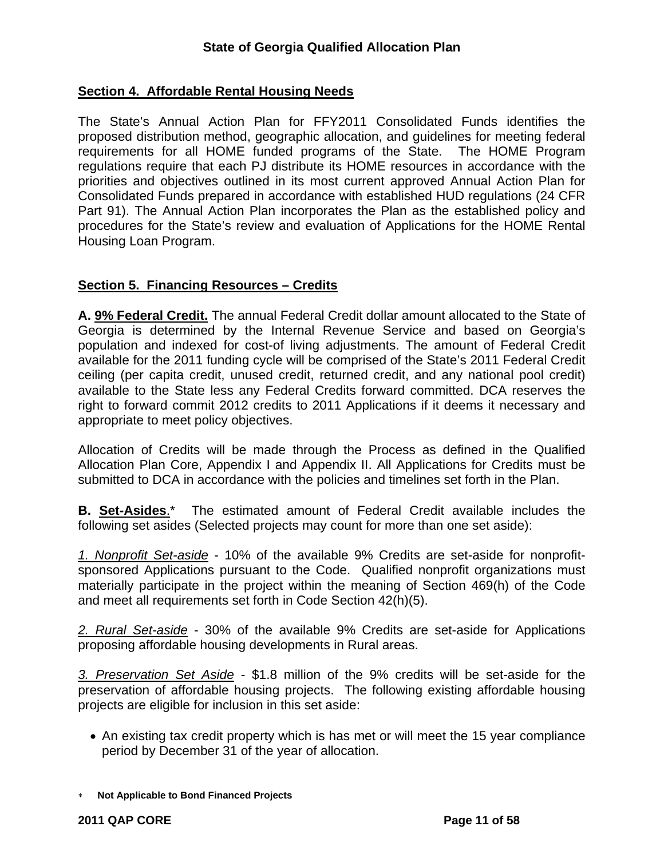### <span id="page-10-0"></span>**Section 4. Affordable Rental Housing Needs**

The State's Annual Action Plan for FFY2011 Consolidated Funds identifies the proposed distribution method, geographic allocation, and guidelines for meeting federal requirements for all HOME funded programs of the State. The HOME Program regulations require that each PJ distribute its HOME resources in accordance with the priorities and objectives outlined in its most current approved Annual Action Plan for Consolidated Funds prepared in accordance with established HUD regulations (24 CFR Part 91). The Annual Action Plan incorporates the Plan as the established policy and procedures for the State's review and evaluation of Applications for the HOME Rental Housing Loan Program.

#### **Section 5. Financing Resources – Credits**

**A. 9% Federal Credit.** The annual Federal Credit dollar amount allocated to the State of Georgia is determined by the Internal Revenue Service and based on Georgia's population and indexed for cost-of living adjustments. The amount of Federal Credit available for the 2011 funding cycle will be comprised of the State's 2011 Federal Credit ceiling (per capita credit, unused credit, returned credit, and any national pool credit) available to the State less any Federal Credits forward committed. DCA reserves the right to forward commit 2012 credits to 2011 Applications if it deems it necessary and appropriate to meet policy objectives.

Allocation of Credits will be made through the Process as defined in the Qualified Allocation Plan Core, Appendix I and Appendix II. All Applications for Credits must be submitted to DCA in accordance with the policies and timelines set forth in the Plan.

**B. Set-Asides**.\* The estimated amount of Federal Credit available includes the following set asides (Selected projects may count for more than one set aside):

*1. Nonprofit Set-aside* - 10% of the available 9% Credits are set-aside for nonprofitsponsored Applications pursuant to the Code. Qualified nonprofit organizations must materially participate in the project within the meaning of Section 469(h) of the Code and meet all requirements set forth in Code Section 42(h)(5).

*2. Rural Set-aside* - 30% of the available 9% Credits are set-aside for Applications proposing affordable housing developments in Rural areas.

*3. Preservation Set Aside -* \$1.8 million of the 9% credits will be set-aside for the preservation of affordable housing projects. The following existing affordable housing projects are eligible for inclusion in this set aside:

• An existing tax credit property which is has met or will meet the 15 year compliance period by December 31 of the year of allocation.

**Not Applicable to Bond Financed Projects**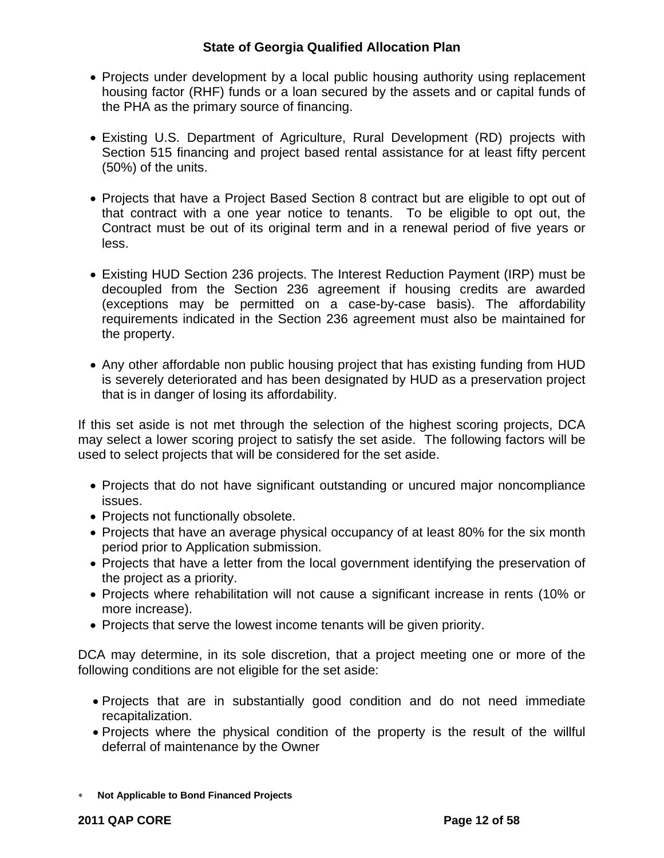- Projects under development by a local public housing authority using replacement housing factor (RHF) funds or a loan secured by the assets and or capital funds of the PHA as the primary source of financing.
- Existing U.S. Department of Agriculture, Rural Development (RD) projects with Section 515 financing and project based rental assistance for at least fifty percent (50%) of the units.
- Projects that have a Project Based Section 8 contract but are eligible to opt out of that contract with a one year notice to tenants. To be eligible to opt out, the Contract must be out of its original term and in a renewal period of five years or less.
- Existing HUD Section 236 projects. The Interest Reduction Payment (IRP) must be decoupled from the Section 236 agreement if housing credits are awarded (exceptions may be permitted on a case-by-case basis). The affordability requirements indicated in the Section 236 agreement must also be maintained for the property.
- Any other affordable non public housing project that has existing funding from HUD is severely deteriorated and has been designated by HUD as a preservation project that is in danger of losing its affordability.

If this set aside is not met through the selection of the highest scoring projects, DCA may select a lower scoring project to satisfy the set aside. The following factors will be used to select projects that will be considered for the set aside.

- Projects that do not have significant outstanding or uncured major noncompliance issues.
- Projects not functionally obsolete.
- Projects that have an average physical occupancy of at least 80% for the six month period prior to Application submission.
- Projects that have a letter from the local government identifying the preservation of the project as a priority.
- Projects where rehabilitation will not cause a significant increase in rents (10% or more increase).
- Projects that serve the lowest income tenants will be given priority.

DCA may determine, in its sole discretion, that a project meeting one or more of the following conditions are not eligible for the set aside:

- Projects that are in substantially good condition and do not need immediate recapitalization.
- Projects where the physical condition of the property is the result of the willful deferral of maintenance by the Owner

<sup>∗</sup> **Not Applicable to Bond Financed Projects**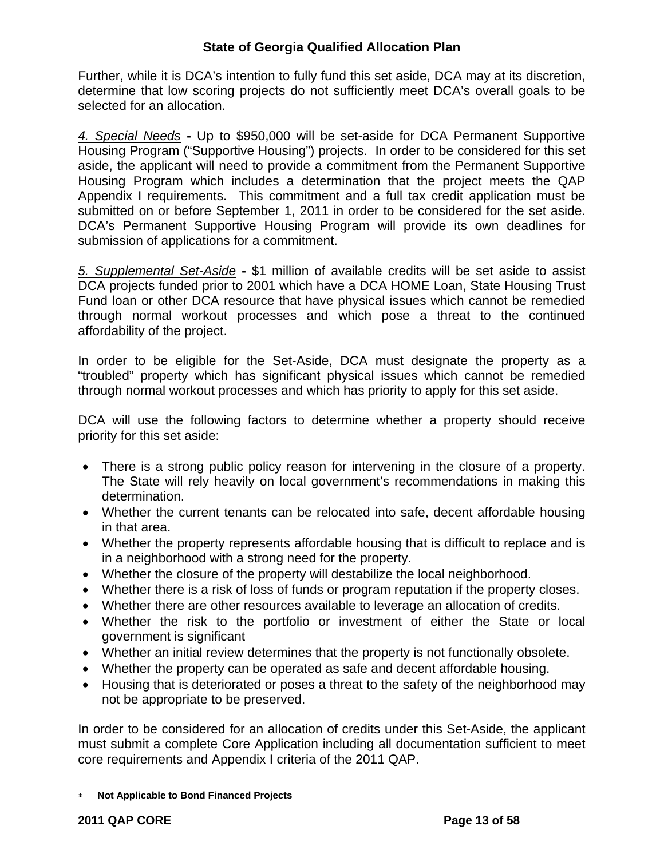Further, while it is DCA's intention to fully fund this set aside, DCA may at its discretion, determine that low scoring projects do not sufficiently meet DCA's overall goals to be selected for an allocation.

*4. Special Needs* **-** Up to \$950,000 will be set-aside for DCA Permanent Supportive Housing Program ("Supportive Housing") projects. In order to be considered for this set aside, the applicant will need to provide a commitment from the Permanent Supportive Housing Program which includes a determination that the project meets the QAP Appendix I requirements. This commitment and a full tax credit application must be submitted on or before September 1, 2011 in order to be considered for the set aside. DCA's Permanent Supportive Housing Program will provide its own deadlines for submission of applications for a commitment.

*5. Supplemental Set-Aside* **-** \$1 million of available credits will be set aside to assist DCA projects funded prior to 2001 which have a DCA HOME Loan, State Housing Trust Fund loan or other DCA resource that have physical issues which cannot be remedied through normal workout processes and which pose a threat to the continued affordability of the project.

In order to be eligible for the Set-Aside, DCA must designate the property as a "troubled" property which has significant physical issues which cannot be remedied through normal workout processes and which has priority to apply for this set aside.

DCA will use the following factors to determine whether a property should receive priority for this set aside:

- There is a strong public policy reason for intervening in the closure of a property. The State will rely heavily on local government's recommendations in making this determination.
- Whether the current tenants can be relocated into safe, decent affordable housing in that area.
- Whether the property represents affordable housing that is difficult to replace and is in a neighborhood with a strong need for the property.
- Whether the closure of the property will destabilize the local neighborhood.
- Whether there is a risk of loss of funds or program reputation if the property closes.
- Whether there are other resources available to leverage an allocation of credits.
- Whether the risk to the portfolio or investment of either the State or local government is significant
- Whether an initial review determines that the property is not functionally obsolete.
- Whether the property can be operated as safe and decent affordable housing.
- Housing that is deteriorated or poses a threat to the safety of the neighborhood may not be appropriate to be preserved.

In order to be considered for an allocation of credits under this Set-Aside, the applicant must submit a complete Core Application including all documentation sufficient to meet core requirements and Appendix I criteria of the 2011 QAP.

#### **2011 QAP CORE Page 13 of 58**

<sup>∗</sup> **Not Applicable to Bond Financed Projects**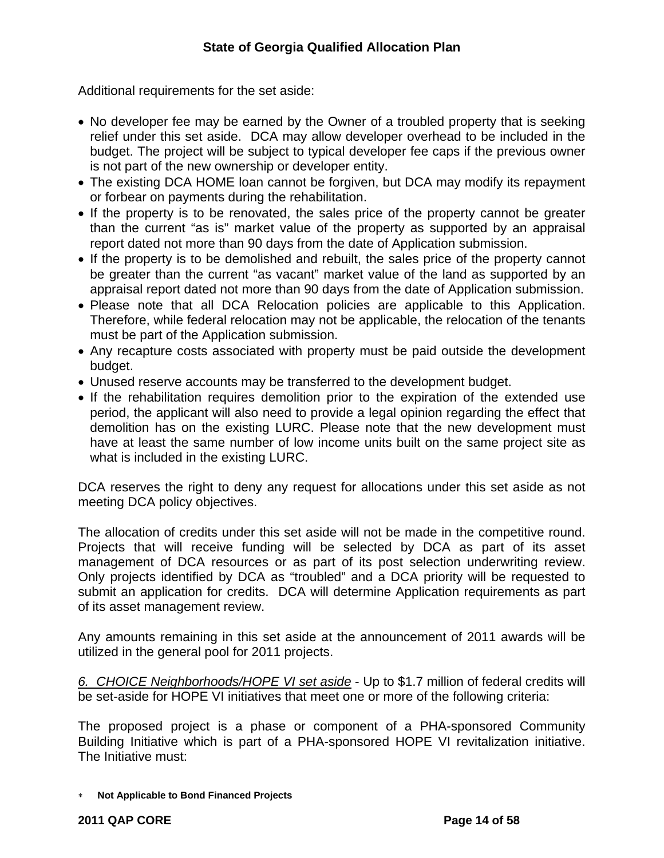Additional requirements for the set aside:

- No developer fee may be earned by the Owner of a troubled property that is seeking relief under this set aside. DCA may allow developer overhead to be included in the budget. The project will be subject to typical developer fee caps if the previous owner is not part of the new ownership or developer entity.
- The existing DCA HOME loan cannot be forgiven, but DCA may modify its repayment or forbear on payments during the rehabilitation.
- If the property is to be renovated, the sales price of the property cannot be greater than the current "as is" market value of the property as supported by an appraisal report dated not more than 90 days from the date of Application submission.
- If the property is to be demolished and rebuilt, the sales price of the property cannot be greater than the current "as vacant" market value of the land as supported by an appraisal report dated not more than 90 days from the date of Application submission.
- Please note that all DCA Relocation policies are applicable to this Application. Therefore, while federal relocation may not be applicable, the relocation of the tenants must be part of the Application submission.
- Any recapture costs associated with property must be paid outside the development budget.
- Unused reserve accounts may be transferred to the development budget.
- If the rehabilitation requires demolition prior to the expiration of the extended use period, the applicant will also need to provide a legal opinion regarding the effect that demolition has on the existing LURC. Please note that the new development must have at least the same number of low income units built on the same project site as what is included in the existing LURC.

DCA reserves the right to deny any request for allocations under this set aside as not meeting DCA policy objectives.

The allocation of credits under this set aside will not be made in the competitive round. Projects that will receive funding will be selected by DCA as part of its asset management of DCA resources or as part of its post selection underwriting review. Only projects identified by DCA as "troubled" and a DCA priority will be requested to submit an application for credits. DCA will determine Application requirements as part of its asset management review.

Any amounts remaining in this set aside at the announcement of 2011 awards will be utilized in the general pool for 2011 projects.

*6. CHOICE Neighborhoods/HOPE VI set aside* - Up to \$1.7 million of federal credits will be set-aside for HOPE VI initiatives that meet one or more of the following criteria:

The proposed project is a phase or component of a PHA-sponsored Community Building Initiative which is part of a PHA-sponsored HOPE VI revitalization initiative. The Initiative must:

**Not Applicable to Bond Financed Projects**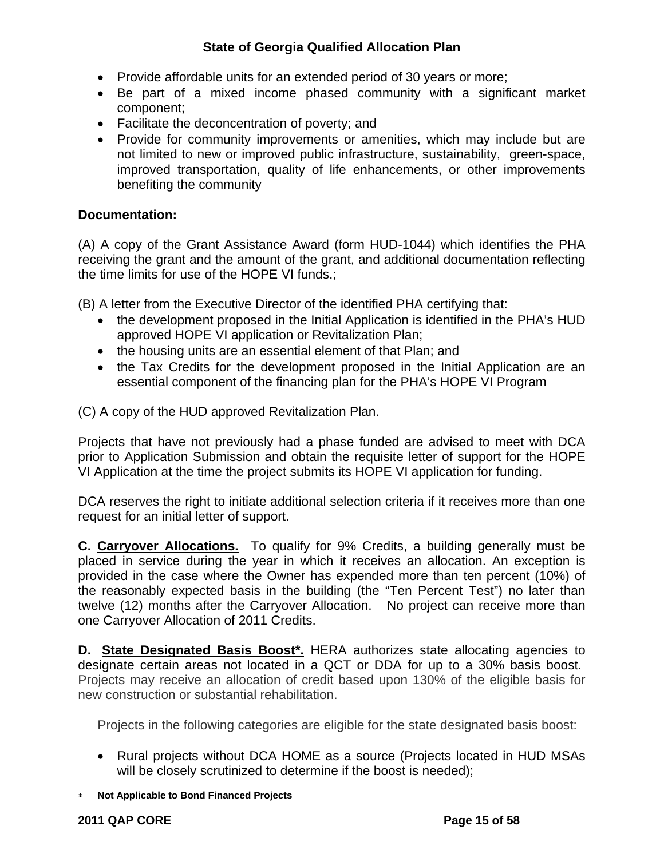- Provide affordable units for an extended period of 30 years or more;
- Be part of a mixed income phased community with a significant market component;
- Facilitate the deconcentration of poverty; and
- Provide for community improvements or amenities, which may include but are not limited to new or improved public infrastructure, sustainability, green-space, improved transportation, quality of life enhancements, or other improvements benefiting the community

#### **Documentation:**

(A) A copy of the Grant Assistance Award (form HUD-1044) which identifies the PHA receiving the grant and the amount of the grant, and additional documentation reflecting the time limits for use of the HOPE VI funds.;

(B) A letter from the Executive Director of the identified PHA certifying that:

- the development proposed in the Initial Application is identified in the PHA's HUD approved HOPE VI application or Revitalization Plan;
- the housing units are an essential element of that Plan; and
- the Tax Credits for the development proposed in the Initial Application are an essential component of the financing plan for the PHA's HOPE VI Program

(C) A copy of the HUD approved Revitalization Plan.

Projects that have not previously had a phase funded are advised to meet with DCA prior to Application Submission and obtain the requisite letter of support for the HOPE VI Application at the time the project submits its HOPE VI application for funding.

DCA reserves the right to initiate additional selection criteria if it receives more than one request for an initial letter of support.

**C. Carryover Allocations.** To qualify for 9% Credits, a building generally must be placed in service during the year in which it receives an allocation. An exception is provided in the case where the Owner has expended more than ten percent (10%) of the reasonably expected basis in the building (the "Ten Percent Test") no later than twelve (12) months after the Carryover Allocation. No project can receive more than one Carryover Allocation of 2011 Credits.

**D. State Designated Basis Boost\*.** HERA authorizes state allocating agencies to designate certain areas not located in a QCT or DDA for up to a 30% basis boost. Projects may receive an allocation of credit based upon 130% of the eligible basis for new construction or substantial rehabilitation.

Projects in the following categories are eligible for the state designated basis boost:

- Rural projects without DCA HOME as a source (Projects located in HUD MSAs will be closely scrutinized to determine if the boost is needed);
- **Not Applicable to Bond Financed Projects**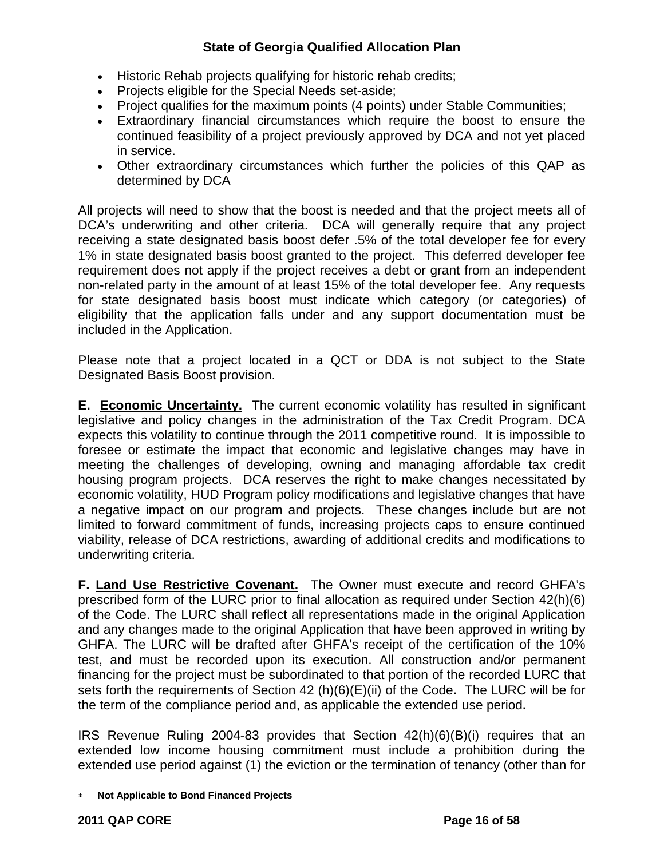- Historic Rehab projects qualifying for historic rehab credits;
- Projects eligible for the Special Needs set-aside;
- Project qualifies for the maximum points (4 points) under Stable Communities;
- Extraordinary financial circumstances which require the boost to ensure the continued feasibility of a project previously approved by DCA and not yet placed in service.
- Other extraordinary circumstances which further the policies of this QAP as determined by DCA

All projects will need to show that the boost is needed and that the project meets all of DCA's underwriting and other criteria. DCA will generally require that any project receiving a state designated basis boost defer .5% of the total developer fee for every 1% in state designated basis boost granted to the project. This deferred developer fee requirement does not apply if the project receives a debt or grant from an independent non-related party in the amount of at least 15% of the total developer fee. Any requests for state designated basis boost must indicate which category (or categories) of eligibility that the application falls under and any support documentation must be included in the Application.

Please note that a project located in a QCT or DDA is not subject to the State Designated Basis Boost provision.

**E. Economic Uncertainty.** The current economic volatility has resulted in significant legislative and policy changes in the administration of the Tax Credit Program. DCA expects this volatility to continue through the 2011 competitive round. It is impossible to foresee or estimate the impact that economic and legislative changes may have in meeting the challenges of developing, owning and managing affordable tax credit housing program projects. DCA reserves the right to make changes necessitated by economic volatility, HUD Program policy modifications and legislative changes that have a negative impact on our program and projects. These changes include but are not limited to forward commitment of funds, increasing projects caps to ensure continued viability, release of DCA restrictions, awarding of additional credits and modifications to underwriting criteria.

**F. Land Use Restrictive Covenant.** The Owner must execute and record GHFA's prescribed form of the LURC prior to final allocation as required under Section 42(h)(6) of the Code. The LURC shall reflect all representations made in the original Application and any changes made to the original Application that have been approved in writing by GHFA. The LURC will be drafted after GHFA's receipt of the certification of the 10% test, and must be recorded upon its execution. All construction and/or permanent financing for the project must be subordinated to that portion of the recorded LURC that sets forth the requirements of Section 42 (h)(6)(E)(ii) of the Code**.** The LURC will be for the term of the compliance period and, as applicable the extended use period**.** 

IRS Revenue Ruling 2004-83 provides that Section 42(h)(6)(B)(i) requires that an extended low income housing commitment must include a prohibition during the extended use period against (1) the eviction or the termination of tenancy (other than for

<sup>∗</sup> **Not Applicable to Bond Financed Projects**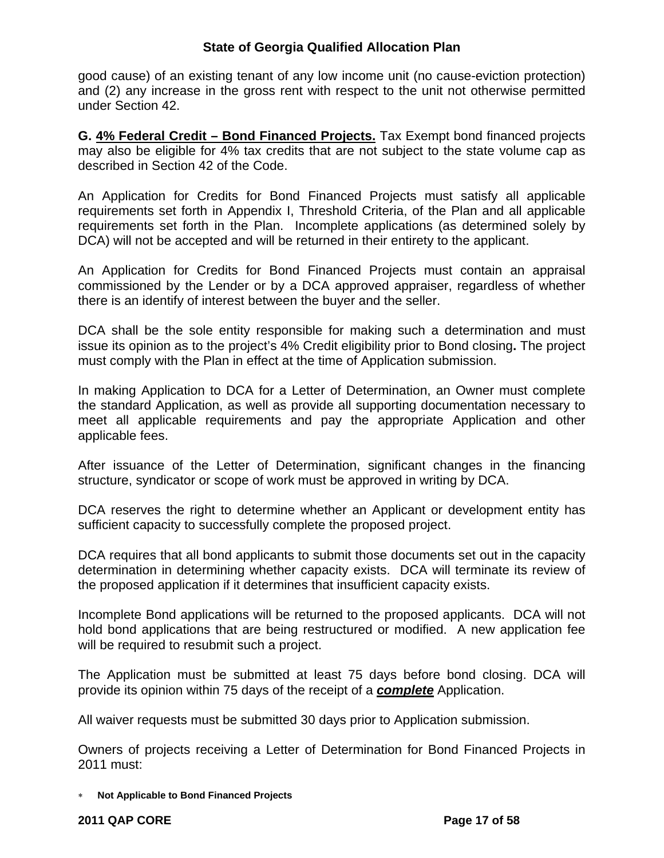good cause) of an existing tenant of any low income unit (no cause-eviction protection) and (2) any increase in the gross rent with respect to the unit not otherwise permitted under Section 42.

**G. 4% Federal Credit – Bond Financed Projects.** Tax Exempt bond financed projects may also be eligible for 4% tax credits that are not subject to the state volume cap as described in Section 42 of the Code.

An Application for Credits for Bond Financed Projects must satisfy all applicable requirements set forth in Appendix I, Threshold Criteria, of the Plan and all applicable requirements set forth in the Plan. Incomplete applications (as determined solely by DCA) will not be accepted and will be returned in their entirety to the applicant.

An Application for Credits for Bond Financed Projects must contain an appraisal commissioned by the Lender or by a DCA approved appraiser, regardless of whether there is an identify of interest between the buyer and the seller.

DCA shall be the sole entity responsible for making such a determination and must issue its opinion as to the project's 4% Credit eligibility prior to Bond closing**.** The project must comply with the Plan in effect at the time of Application submission.

In making Application to DCA for a Letter of Determination, an Owner must complete the standard Application, as well as provide all supporting documentation necessary to meet all applicable requirements and pay the appropriate Application and other applicable fees.

After issuance of the Letter of Determination, significant changes in the financing structure, syndicator or scope of work must be approved in writing by DCA.

DCA reserves the right to determine whether an Applicant or development entity has sufficient capacity to successfully complete the proposed project.

DCA requires that all bond applicants to submit those documents set out in the capacity determination in determining whether capacity exists. DCA will terminate its review of the proposed application if it determines that insufficient capacity exists.

Incomplete Bond applications will be returned to the proposed applicants. DCA will not hold bond applications that are being restructured or modified. A new application fee will be required to resubmit such a project.

The Application must be submitted at least 75 days before bond closing. DCA will provide its opinion within 75 days of the receipt of a *complete* Application.

All waiver requests must be submitted 30 days prior to Application submission.

Owners of projects receiving a Letter of Determination for Bond Financed Projects in 2011 must:

∗ **Not Applicable to Bond Financed Projects** 

**2011 QAP CORE Page 17 of 58**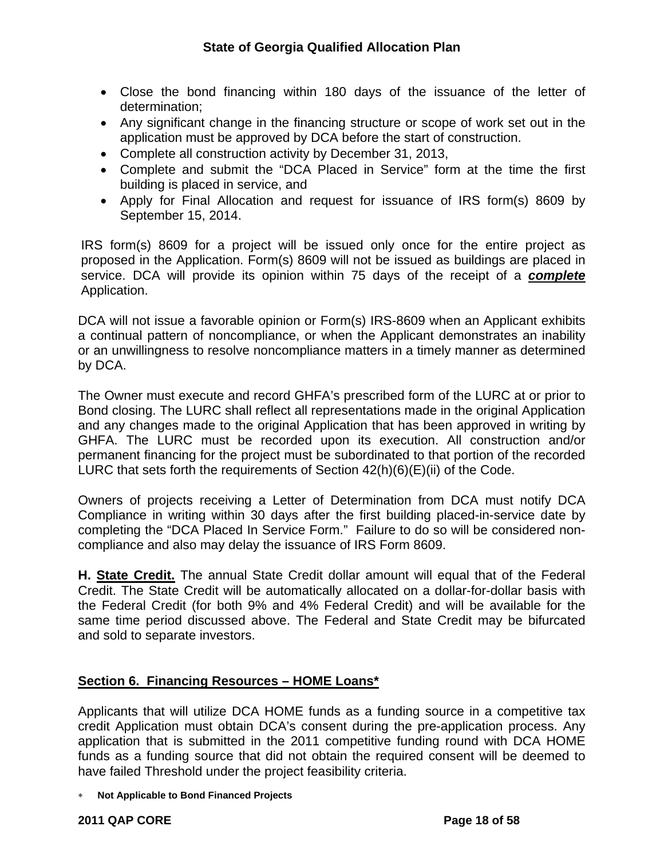- <span id="page-17-0"></span>• Close the bond financing within 180 days of the issuance of the letter of determination;
- Any significant change in the financing structure or scope of work set out in the application must be approved by DCA before the start of construction.
- Complete all construction activity by December 31, 2013,
- Complete and submit the "DCA Placed in Service" form at the time the first building is placed in service, and
- Apply for Final Allocation and request for issuance of IRS form(s) 8609 by September 15, 2014.

IRS form(s) 8609 for a project will be issued only once for the entire project as proposed in the Application. Form(s) 8609 will not be issued as buildings are placed in service. DCA will provide its opinion within 75 days of the receipt of a *complete* Application.

DCA will not issue a favorable opinion or Form(s) IRS-8609 when an Applicant exhibits a continual pattern of noncompliance, or when the Applicant demonstrates an inability or an unwillingness to resolve noncompliance matters in a timely manner as determined by DCA.

The Owner must execute and record GHFA's prescribed form of the LURC at or prior to Bond closing. The LURC shall reflect all representations made in the original Application and any changes made to the original Application that has been approved in writing by GHFA. The LURC must be recorded upon its execution. All construction and/or permanent financing for the project must be subordinated to that portion of the recorded LURC that sets forth the requirements of Section 42(h)(6)(E)(ii) of the Code.

Owners of projects receiving a Letter of Determination from DCA must notify DCA Compliance in writing within 30 days after the first building placed-in-service date by completing the "DCA Placed In Service Form." Failure to do so will be considered noncompliance and also may delay the issuance of IRS Form 8609.

**H. State Credit.** The annual State Credit dollar amount will equal that of the Federal Credit. The State Credit will be automatically allocated on a dollar-for-dollar basis with the Federal Credit (for both 9% and 4% Federal Credit) and will be available for the same time period discussed above. The Federal and State Credit may be bifurcated and sold to separate investors.

## **Section 6. Financing Resources – HOME Loans\***

Applicants that will utilize DCA HOME funds as a funding source in a competitive tax credit Application must obtain DCA's consent during the pre-application process. Any application that is submitted in the 2011 competitive funding round with DCA HOME funds as a funding source that did not obtain the required consent will be deemed to have failed Threshold under the project feasibility criteria.

<sup>∗</sup> **Not Applicable to Bond Financed Projects**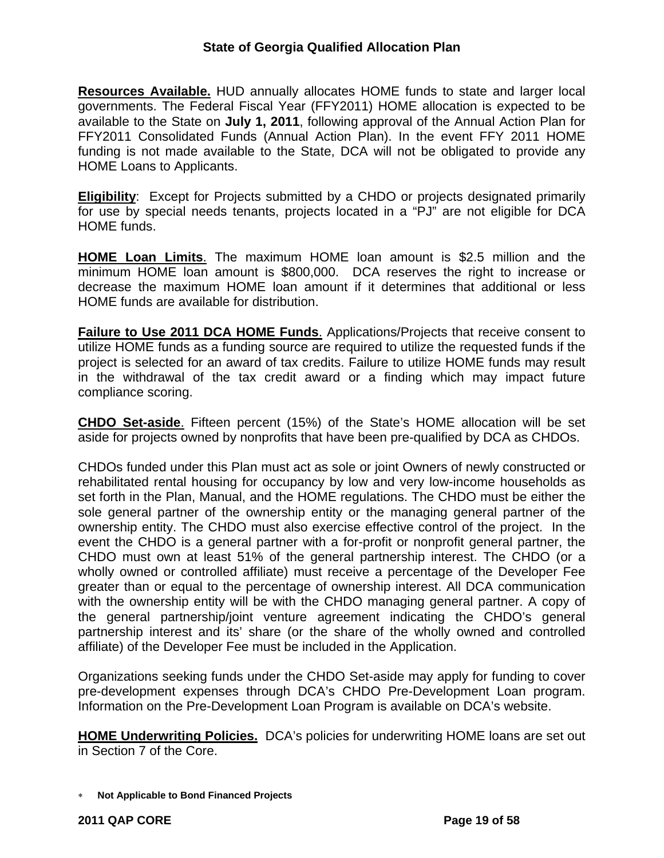**Resources Available.** HUD annually allocates HOME funds to state and larger local governments. The Federal Fiscal Year (FFY2011) HOME allocation is expected to be available to the State on **July 1, 2011**, following approval of the Annual Action Plan for FFY2011 Consolidated Funds (Annual Action Plan). In the event FFY 2011 HOME funding is not made available to the State, DCA will not be obligated to provide any HOME Loans to Applicants.

**Eligibility**: Except for Projects submitted by a CHDO or projects designated primarily for use by special needs tenants, projects located in a "PJ" are not eligible for DCA HOME funds.

**HOME Loan Limits**. The maximum HOME loan amount is \$2.5 million and the minimum HOME loan amount is \$800,000. DCA reserves the right to increase or decrease the maximum HOME loan amount if it determines that additional or less HOME funds are available for distribution.

**Failure to Use 2011 DCA HOME Funds**. Applications/Projects that receive consent to utilize HOME funds as a funding source are required to utilize the requested funds if the project is selected for an award of tax credits. Failure to utilize HOME funds may result in the withdrawal of the tax credit award or a finding which may impact future compliance scoring.

**CHDO Set-aside**. Fifteen percent (15%) of the State's HOME allocation will be set aside for projects owned by nonprofits that have been pre-qualified by DCA as CHDOs.

CHDOs funded under this Plan must act as sole or joint Owners of newly constructed or rehabilitated rental housing for occupancy by low and very low-income households as set forth in the Plan, Manual, and the HOME regulations. The CHDO must be either the sole general partner of the ownership entity or the managing general partner of the ownership entity. The CHDO must also exercise effective control of the project. In the event the CHDO is a general partner with a for-profit or nonprofit general partner, the CHDO must own at least 51% of the general partnership interest. The CHDO (or a wholly owned or controlled affiliate) must receive a percentage of the Developer Fee greater than or equal to the percentage of ownership interest. All DCA communication with the ownership entity will be with the CHDO managing general partner. A copy of the general partnership/joint venture agreement indicating the CHDO's general partnership interest and its' share (or the share of the wholly owned and controlled affiliate) of the Developer Fee must be included in the Application.

Organizations seeking funds under the CHDO Set-aside may apply for funding to cover pre-development expenses through DCA's CHDO Pre-Development Loan program. Information on the Pre-Development Loan Program is available on DCA's website.

**HOME Underwriting Policies.** DCA's policies for underwriting HOME loans are set out in Section 7 of the Core.

**Not Applicable to Bond Financed Projects**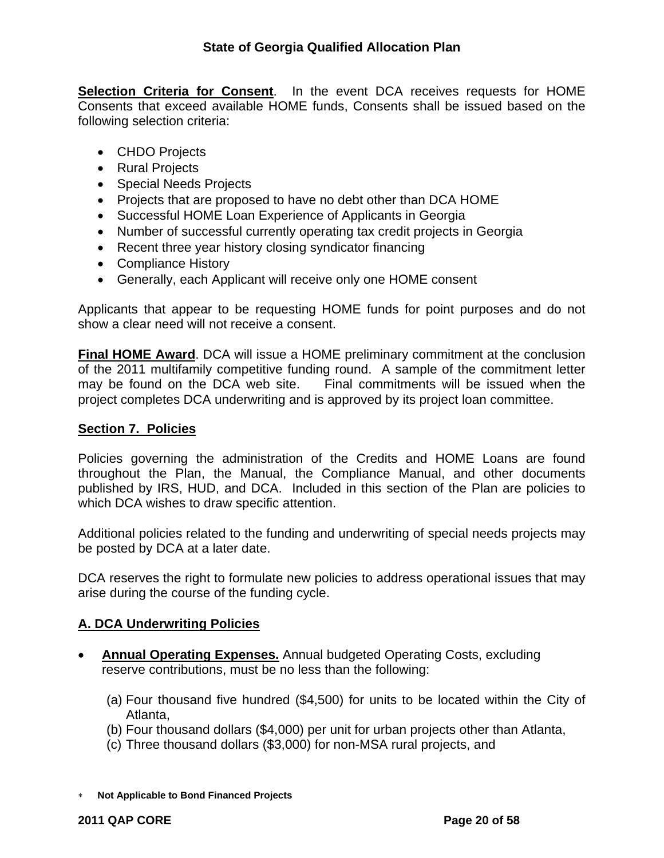<span id="page-19-0"></span>**Selection Criteria for Consent**. In the event DCA receives requests for HOME Consents that exceed available HOME funds, Consents shall be issued based on the following selection criteria:

- CHDO Projects
- Rural Projects
- Special Needs Projects
- Projects that are proposed to have no debt other than DCA HOME
- Successful HOME Loan Experience of Applicants in Georgia
- Number of successful currently operating tax credit projects in Georgia
- Recent three year history closing syndicator financing
- Compliance History
- Generally, each Applicant will receive only one HOME consent

Applicants that appear to be requesting HOME funds for point purposes and do not show a clear need will not receive a consent.

**Final HOME Award**. DCA will issue a HOME preliminary commitment at the conclusion of the 2011 multifamily competitive funding round. A sample of the commitment letter may be found on the DCA web site. Final commitments will be issued when the project completes DCA underwriting and is approved by its project loan committee.

#### **Section 7. Policies**

Policies governing the administration of the Credits and HOME Loans are found throughout the Plan, the Manual, the Compliance Manual, and other documents published by IRS, HUD, and DCA. Included in this section of the Plan are policies to which DCA wishes to draw specific attention.

Additional policies related to the funding and underwriting of special needs projects may be posted by DCA at a later date.

DCA reserves the right to formulate new policies to address operational issues that may arise during the course of the funding cycle.

## **A. DCA Underwriting Policies**

- **Annual Operating Expenses.** Annual budgeted Operating Costs, excluding reserve contributions, must be no less than the following:
	- (a) Four thousand five hundred (\$4,500) for units to be located within the City of Atlanta,
	- (b) Four thousand dollars (\$4,000) per unit for urban projects other than Atlanta,
	- (c) Three thousand dollars (\$3,000) for non-MSA rural projects, and
- ∗ **Not Applicable to Bond Financed Projects**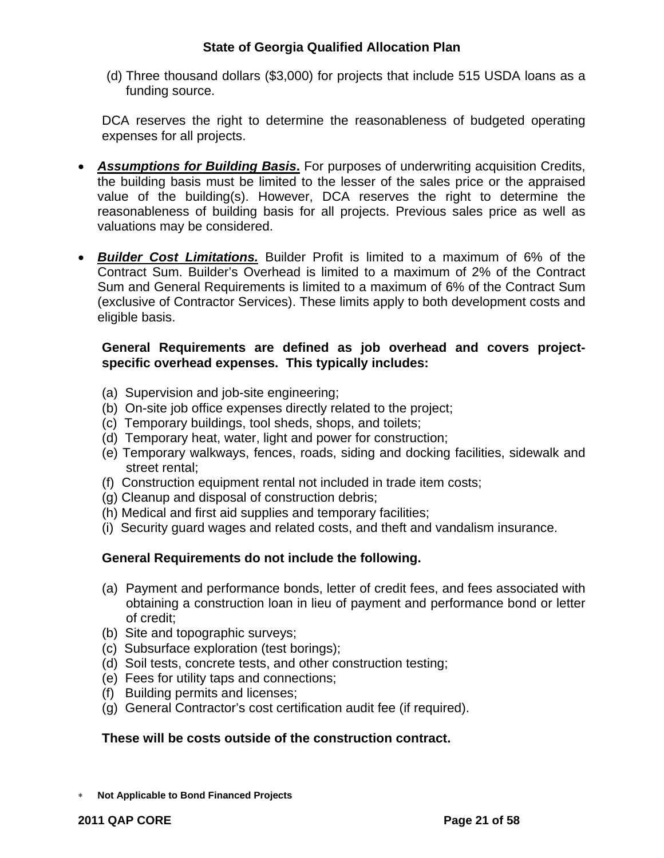(d) Three thousand dollars (\$3,000) for projects that include 515 USDA loans as a funding source.

DCA reserves the right to determine the reasonableness of budgeted operating expenses for all projects.

- *Assumptions for Building Basis***.** For purposes of underwriting acquisition Credits, the building basis must be limited to the lesser of the sales price or the appraised value of the building(s). However, DCA reserves the right to determine the reasonableness of building basis for all projects. Previous sales price as well as valuations may be considered.
- *Builder Cost Limitations.* Builder Profit is limited to a maximum of 6% of the Contract Sum. Builder's Overhead is limited to a maximum of 2% of the Contract Sum and General Requirements is limited to a maximum of 6% of the Contract Sum (exclusive of Contractor Services). These limits apply to both development costs and eligible basis.

#### **General Requirements are defined as job overhead and covers projectspecific overhead expenses. This typically includes:**

- (a) Supervision and job-site engineering;
- (b) On-site job office expenses directly related to the project;
- (c) Temporary buildings, tool sheds, shops, and toilets;
- (d) Temporary heat, water, light and power for construction;
- (e) Temporary walkways, fences, roads, siding and docking facilities, sidewalk and street rental;
- (f)Construction equipment rental not included in trade item costs;
- (g) Cleanup and disposal of construction debris;
- (h) Medical and first aid supplies and temporary facilities;
- (i) Security guard wages and related costs, and theft and vandalism insurance.

#### **General Requirements do not include the following.**

- (a) Payment and performance bonds, letter of credit fees, and fees associated with obtaining a construction loan in lieu of payment and performance bond or letter of credit;
- (b) Site and topographic surveys;
- (c) Subsurface exploration (test borings);
- (d) Soil tests, concrete tests, and other construction testing;
- (e) Fees for utility taps and connections;
- (f) Building permits and licenses;
- (g) General Contractor's cost certification audit fee (if required).

#### **These will be costs outside of the construction contract.**

**Not Applicable to Bond Financed Projects**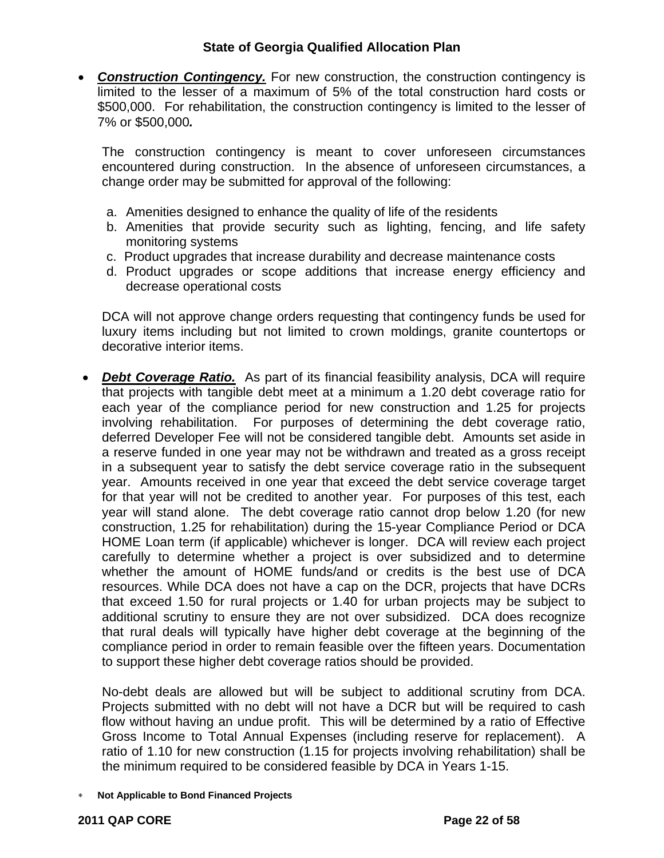• **Construction Contingency.** For new construction, the construction contingency is limited to the lesser of a maximum of 5% of the total construction hard costs or \$500,000. For rehabilitation, the construction contingency is limited to the lesser of 7% or \$500,000*.* 

The construction contingency is meant to cover unforeseen circumstances encountered during construction. In the absence of unforeseen circumstances, a change order may be submitted for approval of the following:

- a. Amenities designed to enhance the quality of life of the residents
- b. Amenities that provide security such as lighting, fencing, and life safety monitoring systems
- c. Product upgrades that increase durability and decrease maintenance costs
- d. Product upgrades or scope additions that increase energy efficiency and decrease operational costs

DCA will not approve change orders requesting that contingency funds be used for luxury items including but not limited to crown moldings, granite countertops or decorative interior items.

• *Debt Coverage Ratio.* As part of its financial feasibility analysis, DCA will require that projects with tangible debt meet at a minimum a 1.20 debt coverage ratio for each year of the compliance period for new construction and 1.25 for projects involving rehabilitation. For purposes of determining the debt coverage ratio, deferred Developer Fee will not be considered tangible debt. Amounts set aside in a reserve funded in one year may not be withdrawn and treated as a gross receipt in a subsequent year to satisfy the debt service coverage ratio in the subsequent year. Amounts received in one year that exceed the debt service coverage target for that year will not be credited to another year. For purposes of this test, each year will stand alone. The debt coverage ratio cannot drop below 1.20 (for new construction, 1.25 for rehabilitation) during the 15-year Compliance Period or DCA HOME Loan term (if applicable) whichever is longer. DCA will review each project carefully to determine whether a project is over subsidized and to determine whether the amount of HOME funds/and or credits is the best use of DCA resources. While DCA does not have a cap on the DCR, projects that have DCRs that exceed 1.50 for rural projects or 1.40 for urban projects may be subject to additional scrutiny to ensure they are not over subsidized. DCA does recognize that rural deals will typically have higher debt coverage at the beginning of the compliance period in order to remain feasible over the fifteen years. Documentation to support these higher debt coverage ratios should be provided.

No-debt deals are allowed but will be subject to additional scrutiny from DCA. Projects submitted with no debt will not have a DCR but will be required to cash flow without having an undue profit. This will be determined by a ratio of Effective Gross Income to Total Annual Expenses (including reserve for replacement). A ratio of 1.10 for new construction (1.15 for projects involving rehabilitation) shall be the minimum required to be considered feasible by DCA in Years 1-15.

<sup>∗</sup> **Not Applicable to Bond Financed Projects**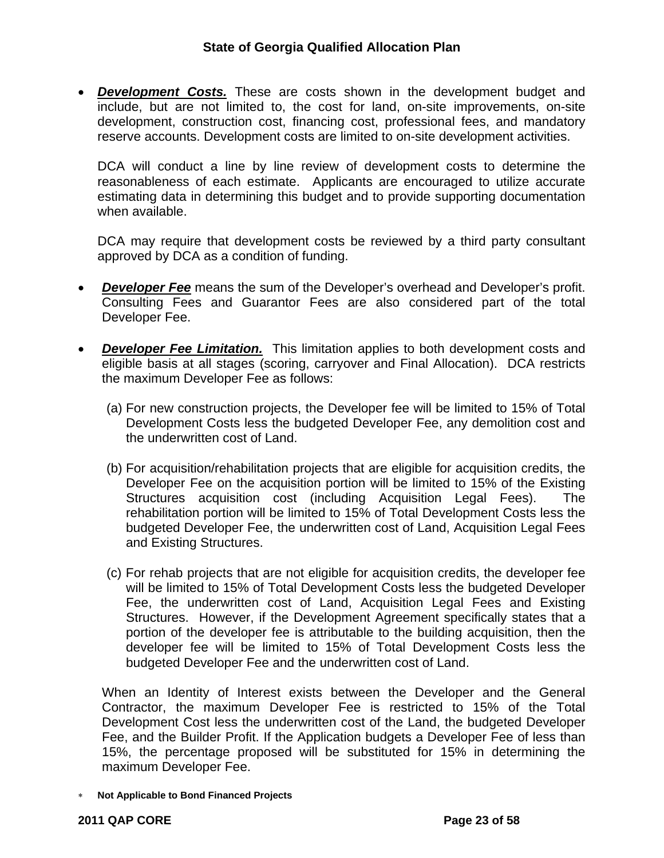• *Development Costs.* These are costs shown in the development budget and include, but are not limited to, the cost for land, on-site improvements, on-site development, construction cost, financing cost, professional fees, and mandatory reserve accounts. Development costs are limited to on-site development activities.

DCA will conduct a line by line review of development costs to determine the reasonableness of each estimate. Applicants are encouraged to utilize accurate estimating data in determining this budget and to provide supporting documentation when available.

DCA may require that development costs be reviewed by a third party consultant approved by DCA as a condition of funding.

- *Developer Fee* means the sum of the Developer's overhead and Developer's profit. Consulting Fees and Guarantor Fees are also considered part of the total Developer Fee.
- *Developer Fee Limitation.* This limitation applies to both development costs and eligible basis at all stages (scoring, carryover and Final Allocation).DCA restricts the maximum Developer Fee as follows:
	- (a) For new construction projects, the Developer fee will be limited to 15% of Total Development Costs less the budgeted Developer Fee, any demolition cost and the underwritten cost of Land.
	- (b) For acquisition/rehabilitation projects that are eligible for acquisition credits, the Developer Fee on the acquisition portion will be limited to 15% of the Existing Structures acquisition cost (including Acquisition Legal Fees). The rehabilitation portion will be limited to 15% of Total Development Costs less the budgeted Developer Fee, the underwritten cost of Land, Acquisition Legal Fees and Existing Structures.
	- (c) For rehab projects that are not eligible for acquisition credits, the developer fee will be limited to 15% of Total Development Costs less the budgeted Developer Fee, the underwritten cost of Land, Acquisition Legal Fees and Existing Structures. However, if the Development Agreement specifically states that a portion of the developer fee is attributable to the building acquisition, then the developer fee will be limited to 15% of Total Development Costs less the budgeted Developer Fee and the underwritten cost of Land.

When an Identity of Interest exists between the Developer and the General Contractor, the maximum Developer Fee is restricted to 15% of the Total Development Cost less the underwritten cost of the Land, the budgeted Developer Fee, and the Builder Profit. If the Application budgets a Developer Fee of less than 15%, the percentage proposed will be substituted for 15% in determining the maximum Developer Fee.

**Not Applicable to Bond Financed Projects**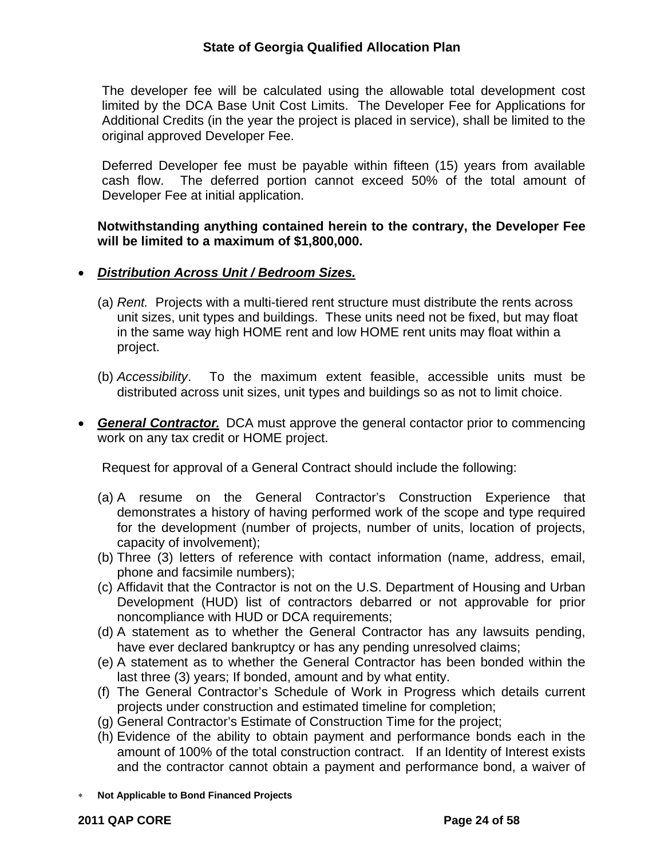The developer fee will be calculated using the allowable total development cost limited by the DCA Base Unit Cost Limits. The Developer Fee for Applications for Additional Credits (in the year the project is placed in service), shall be limited to the original approved Developer Fee.

Deferred Developer fee must be payable within fifteen (15) years from available cash flow. The deferred portion cannot exceed 50% of the total amount of Developer Fee at initial application.

#### **Notwithstanding anything contained herein to the contrary, the Developer Fee will be limited to a maximum of \$1,800,000.**

### • *Distribution Across Unit / Bedroom Sizes.*

- (a) *Rent.* Projects with a multi-tiered rent structure must distribute the rents across unit sizes, unit types and buildings. These units need not be fixed, but may float in the same way high HOME rent and low HOME rent units may float within a project.
- (b) *Accessibility*. To the maximum extent feasible, accessible units must be distributed across unit sizes, unit types and buildings so as not to limit choice.
- *General Contractor.* DCA must approve the general contactor prior to commencing work on any tax credit or HOME project.

Request for approval of a General Contract should include the following:

- (a) A resume on the General Contractor's Construction Experience that demonstrates a history of having performed work of the scope and type required for the development (number of projects, number of units, location of projects, capacity of involvement);
- (b) Three (3) letters of reference with contact information (name, address, email, phone and facsimile numbers);
- (c) Affidavit that the Contractor is not on the U.S. Department of Housing and Urban Development (HUD) list of contractors debarred or not approvable for prior noncompliance with HUD or DCA requirements;
- (d) A statement as to whether the General Contractor has any lawsuits pending, have ever declared bankruptcy or has any pending unresolved claims;
- (e) A statement as to whether the General Contractor has been bonded within the last three (3) years; If bonded, amount and by what entity.
- (f) The General Contractor's Schedule of Work in Progress which details current projects under construction and estimated timeline for completion;
- (g) General Contractor's Estimate of Construction Time for the project;
- (h) Evidence of the ability to obtain payment and performance bonds each in the amount of 100% of the total construction contract. If an Identity of Interest exists and the contractor cannot obtain a payment and performance bond, a waiver of
- **Not Applicable to Bond Financed Projects**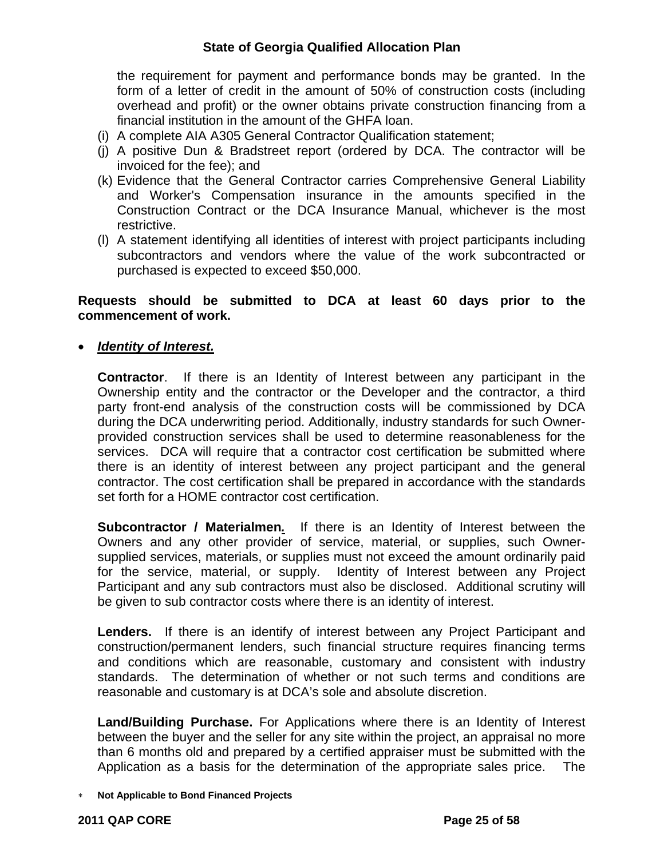the requirement for payment and performance bonds may be granted. In the form of a letter of credit in the amount of 50% of construction costs (including overhead and profit) or the owner obtains private construction financing from a financial institution in the amount of the GHFA loan.

- (i) A complete AIA A305 General Contractor Qualification statement;
- (j) A positive Dun & Bradstreet report (ordered by DCA. The contractor will be invoiced for the fee); and
- (k) Evidence that the General Contractor carries Comprehensive General Liability and Worker's Compensation insurance in the amounts specified in the Construction Contract or the DCA Insurance Manual, whichever is the most restrictive.
- (l) A statement identifying all identities of interest with project participants including subcontractors and vendors where the value of the work subcontracted or purchased is expected to exceed \$50,000.

#### **Requests should be submitted to DCA at least 60 days prior to the commencement of work.**

• *Identity of Interest.*

**Contractor**. If there is an Identity of Interest between any participant in the Ownership entity and the contractor or the Developer and the contractor, a third party front-end analysis of the construction costs will be commissioned by DCA during the DCA underwriting period. Additionally, industry standards for such Ownerprovided construction services shall be used to determine reasonableness for the services. DCA will require that a contractor cost certification be submitted where there is an identity of interest between any project participant and the general contractor. The cost certification shall be prepared in accordance with the standards set forth for a HOME contractor cost certification.

**Subcontractor / Materialmen***.* If there is an Identity of Interest between the Owners and any other provider of service, material, or supplies, such Ownersupplied services, materials, or supplies must not exceed the amount ordinarily paid for the service, material, or supply. Identity of Interest between any Project Participant and any sub contractors must also be disclosed. Additional scrutiny will be given to sub contractor costs where there is an identity of interest.

**Lenders.** If there is an identify of interest between any Project Participant and construction/permanent lenders, such financial structure requires financing terms and conditions which are reasonable, customary and consistent with industry standards. The determination of whether or not such terms and conditions are reasonable and customary is at DCA's sole and absolute discretion.

**Land/Building Purchase.** For Applications where there is an Identity of Interest between the buyer and the seller for any site within the project, an appraisal no more than 6 months old and prepared by a certified appraiser must be submitted with the Application as a basis for the determination of the appropriate sales price. The

**Not Applicable to Bond Financed Projects**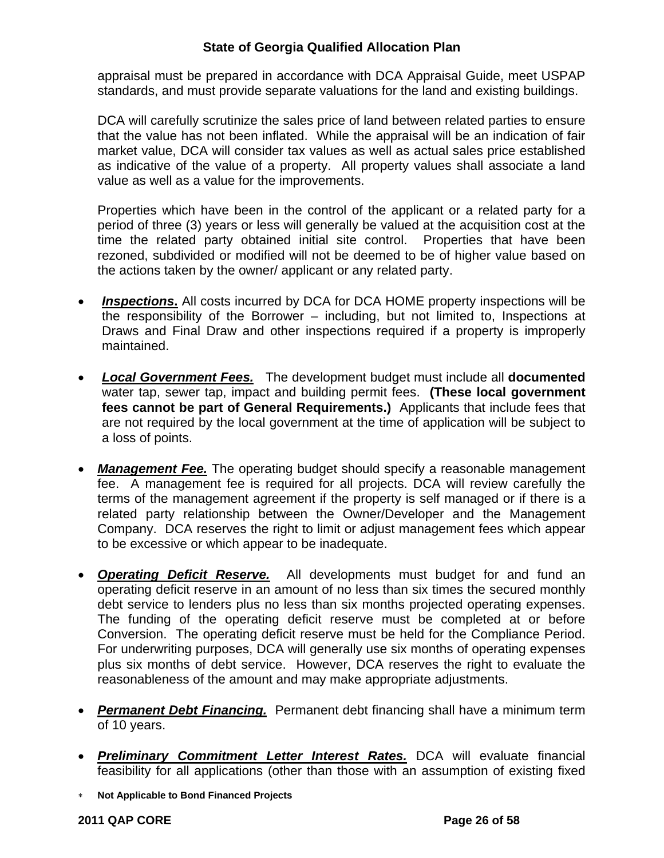appraisal must be prepared in accordance with DCA Appraisal Guide, meet USPAP standards, and must provide separate valuations for the land and existing buildings.

DCA will carefully scrutinize the sales price of land between related parties to ensure that the value has not been inflated. While the appraisal will be an indication of fair market value, DCA will consider tax values as well as actual sales price established as indicative of the value of a property. All property values shall associate a land value as well as a value for the improvements.

Properties which have been in the control of the applicant or a related party for a period of three (3) years or less will generally be valued at the acquisition cost at the time the related party obtained initial site control. Properties that have been rezoned, subdivided or modified will not be deemed to be of higher value based on the actions taken by the owner/ applicant or any related party.

- **Inspections.** All costs incurred by DCA for DCA HOME property inspections will be the responsibility of the Borrower – including, but not limited to, Inspections at Draws and Final Draw and other inspections required if a property is improperly maintained.
- *Local Government Fees.* The development budget must include all **documented** water tap, sewer tap, impact and building permit fees. **(These local government fees cannot be part of General Requirements.)** Applicants that include fees that are not required by the local government at the time of application will be subject to a loss of points.
- *Management Fee.* The operating budget should specify a reasonable management fee. A management fee is required for all projects. DCA will review carefully the terms of the management agreement if the property is self managed or if there is a related party relationship between the Owner/Developer and the Management Company. DCA reserves the right to limit or adjust management fees which appear to be excessive or which appear to be inadequate.
- *Operating Deficit Reserve.* All developments must budget for and fund an operating deficit reserve in an amount of no less than six times the secured monthly debt service to lenders plus no less than six months projected operating expenses. The funding of the operating deficit reserve must be completed at or before Conversion. The operating deficit reserve must be held for the Compliance Period. For underwriting purposes, DCA will generally use six months of operating expenses plus six months of debt service. However, DCA reserves the right to evaluate the reasonableness of the amount and may make appropriate adjustments.
- *Permanent Debt Financing.* Permanent debt financing shall have a minimum term of 10 years.
- *Preliminary Commitment Letter Interest Rates.* DCA will evaluate financial feasibility for all applications (other than those with an assumption of existing fixed
- ∗ **Not Applicable to Bond Financed Projects**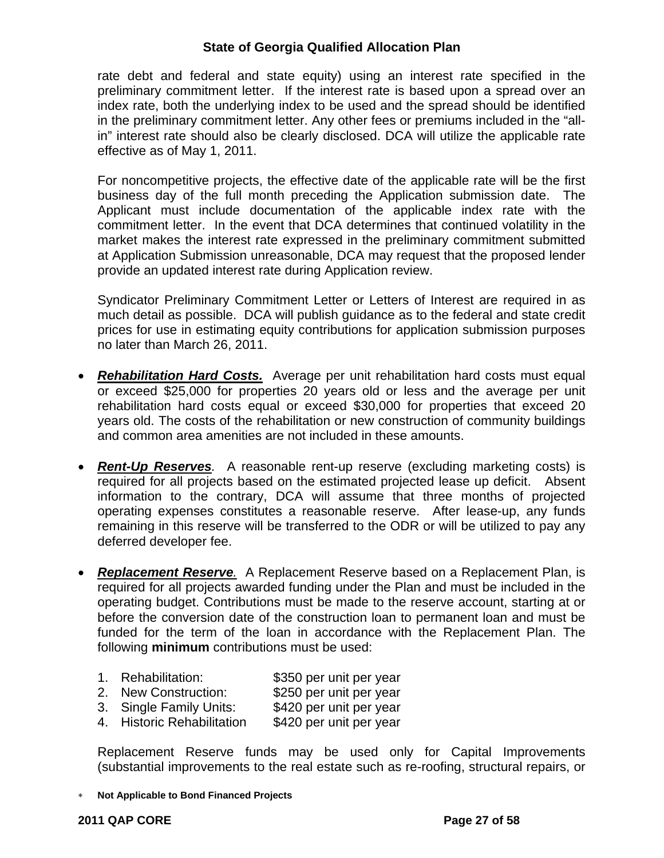rate debt and federal and state equity) using an interest rate specified in the preliminary commitment letter. If the interest rate is based upon a spread over an index rate, both the underlying index to be used and the spread should be identified in the preliminary commitment letter. Any other fees or premiums included in the "allin" interest rate should also be clearly disclosed. DCA will utilize the applicable rate effective as of May 1, 2011.

For noncompetitive projects, the effective date of the applicable rate will be the first business day of the full month preceding the Application submission date. The Applicant must include documentation of the applicable index rate with the commitment letter. In the event that DCA determines that continued volatility in the market makes the interest rate expressed in the preliminary commitment submitted at Application Submission unreasonable, DCA may request that the proposed lender provide an updated interest rate during Application review.

Syndicator Preliminary Commitment Letter or Letters of Interest are required in as much detail as possible. DCA will publish guidance as to the federal and state credit prices for use in estimating equity contributions for application submission purposes no later than March 26, 2011.

- *Rehabilitation Hard Costs.* Average per unit rehabilitation hard costs must equal or exceed \$25,000 for properties 20 years old or less and the average per unit rehabilitation hard costs equal or exceed \$30,000 for properties that exceed 20 years old. The costs of the rehabilitation or new construction of community buildings and common area amenities are not included in these amounts.
- *Rent-Up Reserves.* A reasonable rent-up reserve (excluding marketing costs) is required for all projects based on the estimated projected lease up deficit. Absent information to the contrary, DCA will assume that three months of projected operating expenses constitutes a reasonable reserve. After lease-up, any funds remaining in this reserve will be transferred to the ODR or will be utilized to pay any deferred developer fee.
- *Replacement Reserve.* A Replacement Reserve based on a Replacement Plan, is required for all projects awarded funding under the Plan and must be included in the operating budget. Contributions must be made to the reserve account, starting at or before the conversion date of the construction loan to permanent loan and must be funded for the term of the loan in accordance with the Replacement Plan. The following **minimum** contributions must be used:
	- 1. Rehabilitation: \$350 per unit per year 2. New Construction: \$250 per unit per year
	- 3. Single Family Units: \$420 per unit per year
	- 4. Historic Rehabilitation \$420 per unit per year

Replacement Reserve funds may be used only for Capital Improvements (substantial improvements to the real estate such as re-roofing, structural repairs, or

**Not Applicable to Bond Financed Projects**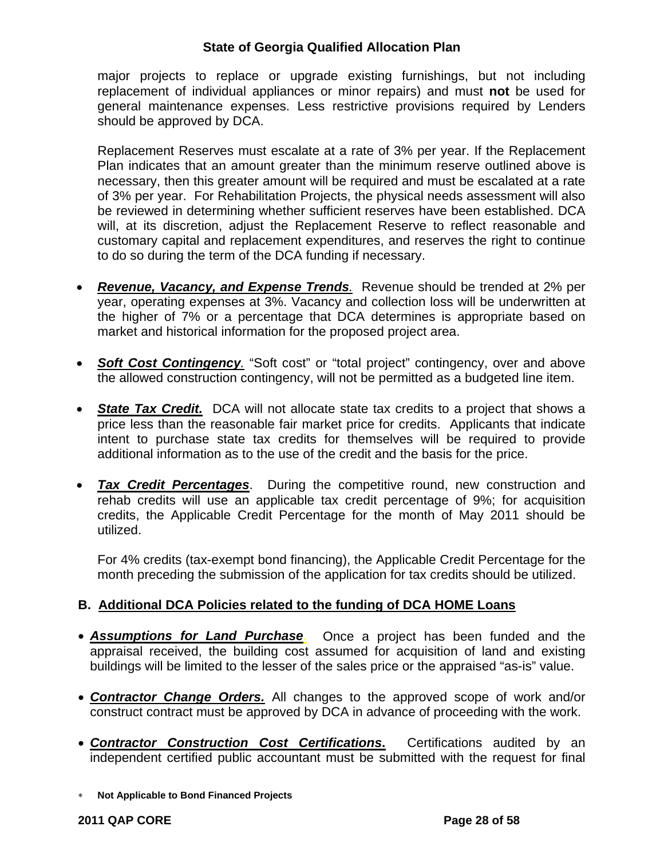major projects to replace or upgrade existing furnishings, but not including replacement of individual appliances or minor repairs) and must **not** be used for general maintenance expenses. Less restrictive provisions required by Lenders should be approved by DCA.

Replacement Reserves must escalate at a rate of 3% per year. If the Replacement Plan indicates that an amount greater than the minimum reserve outlined above is necessary, then this greater amount will be required and must be escalated at a rate of 3% per year. For Rehabilitation Projects, the physical needs assessment will also be reviewed in determining whether sufficient reserves have been established. DCA will, at its discretion, adjust the Replacement Reserve to reflect reasonable and customary capital and replacement expenditures, and reserves the right to continue to do so during the term of the DCA funding if necessary.

- *Revenue, Vacancy, and Expense Trends.* Revenue should be trended at 2% per year, operating expenses at 3%. Vacancy and collection loss will be underwritten at the higher of 7% or a percentage that DCA determines is appropriate based on market and historical information for the proposed project area.
- **Soft Cost Contingency** "Soft cost" or "total project" contingency, over and above the allowed construction contingency, will not be permitted as a budgeted line item.
- **State Tax Credit.** DCA will not allocate state tax credits to a project that shows a price less than the reasonable fair market price for credits. Applicants that indicate intent to purchase state tax credits for themselves will be required to provide additional information as to the use of the credit and the basis for the price.
- *Tax Credit Percentages*. During the competitive round, new construction and rehab credits will use an applicable tax credit percentage of 9%; for acquisition credits, the Applicable Credit Percentage for the month of May 2011 should be utilized.

For 4% credits (tax-exempt bond financing), the Applicable Credit Percentage for the month preceding the submission of the application for tax credits should be utilized.

## **B. Additional DCA Policies related to the funding of DCA HOME Loans**

- *Assumptions for Land Purchase.*Once a project has been funded and the appraisal received, the building cost assumed for acquisition of land and existing buildings will be limited to the lesser of the sales price or the appraised "as-is" value.
- *Contractor Change Orders.* All changes to the approved scope of work and/or construct contract must be approved by DCA in advance of proceeding with the work.
- *Contractor Construction Cost Certifications***.** Certifications audited by an independent certified public accountant must be submitted with the request for final
- ∗ **Not Applicable to Bond Financed Projects**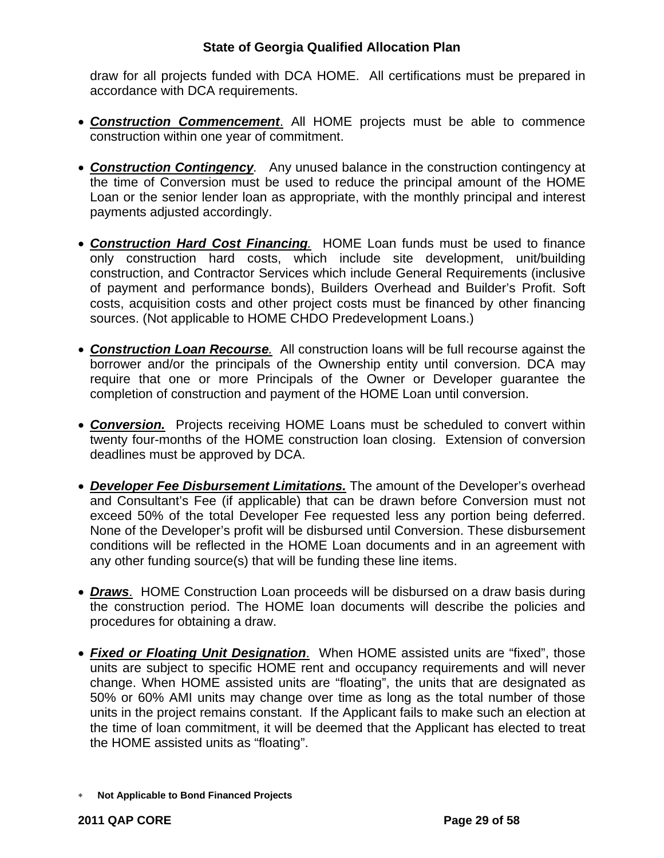draw for all projects funded with DCA HOME. All certifications must be prepared in accordance with DCA requirements.

- *Construction Commencement*. All HOME projects must be able to commence construction within one year of commitment.
- *Construction Contingency.* Any unused balance in the construction contingency at the time of Conversion must be used to reduce the principal amount of the HOME Loan or the senior lender loan as appropriate, with the monthly principal and interest payments adjusted accordingly.
- *Construction Hard Cost Financing.* HOME Loan funds must be used to finance only construction hard costs, which include site development, unit/building construction, and Contractor Services which include General Requirements (inclusive of payment and performance bonds), Builders Overhead and Builder's Profit. Soft costs, acquisition costs and other project costs must be financed by other financing sources. (Not applicable to HOME CHDO Predevelopment Loans.)
- *Construction Loan Recourse.* All construction loans will be full recourse against the borrower and/or the principals of the Ownership entity until conversion. DCA may require that one or more Principals of the Owner or Developer guarantee the completion of construction and payment of the HOME Loan until conversion.
- **Conversion.** Projects receiving HOME Loans must be scheduled to convert within twenty four-months of the HOME construction loan closing. Extension of conversion deadlines must be approved by DCA.
- *Developer Fee Disbursement Limitations.* The amount of the Developer's overhead and Consultant's Fee (if applicable) that can be drawn before Conversion must not exceed 50% of the total Developer Fee requested less any portion being deferred. None of the Developer's profit will be disbursed until Conversion. These disbursement conditions will be reflected in the HOME Loan documents and in an agreement with any other funding source(s) that will be funding these line items.
- *Draws*. HOME Construction Loan proceeds will be disbursed on a draw basis during the construction period. The HOME loan documents will describe the policies and procedures for obtaining a draw.
- *Fixed or Floating Unit Designation*. When HOME assisted units are "fixed", those units are subject to specific HOME rent and occupancy requirements and will never change. When HOME assisted units are "floating", the units that are designated as 50% or 60% AMI units may change over time as long as the total number of those units in the project remains constant. If the Applicant fails to make such an election at the time of loan commitment, it will be deemed that the Applicant has elected to treat the HOME assisted units as "floating".

<sup>∗</sup> **Not Applicable to Bond Financed Projects**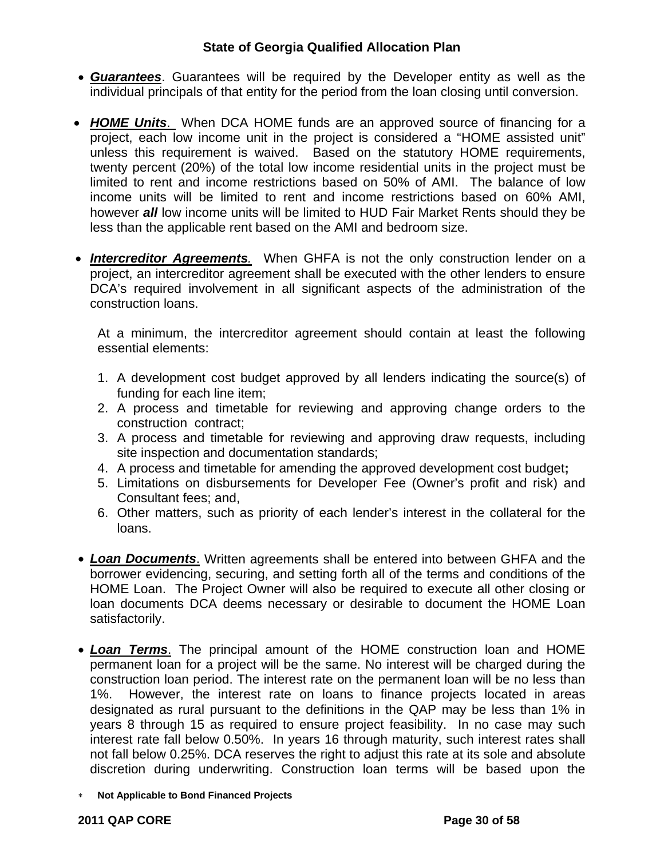- *Guarantees*. Guarantees will be required by the Developer entity as well as the individual principals of that entity for the period from the loan closing until conversion.
- *HOME Units*. When DCA HOME funds are an approved source of financing for a project, each low income unit in the project is considered a "HOME assisted unit" unless this requirement is waived. Based on the statutory HOME requirements, twenty percent (20%) of the total low income residential units in the project must be limited to rent and income restrictions based on 50% of AMI. The balance of low income units will be limited to rent and income restrictions based on 60% AMI, however *all* low income units will be limited to HUD Fair Market Rents should they be less than the applicable rent based on the AMI and bedroom size.
- *Intercreditor Agreements.* When GHFA is not the only construction lender on a project, an intercreditor agreement shall be executed with the other lenders to ensure DCA's required involvement in all significant aspects of the administration of the construction loans.

At a minimum, the intercreditor agreement should contain at least the following essential elements:

- 1. A development cost budget approved by all lenders indicating the source(s) of funding for each line item;
- 2. A process and timetable for reviewing and approving change orders to the construction contract;
- 3. A process and timetable for reviewing and approving draw requests, including site inspection and documentation standards;
- 4. A process and timetable for amending the approved development cost budget**;**
- 5. Limitations on disbursements for Developer Fee (Owner's profit and risk) and Consultant fees; and,
- 6. Other matters, such as priority of each lender's interest in the collateral for the loans.
- *Loan Documents*. Written agreements shall be entered into between GHFA and the borrower evidencing, securing, and setting forth all of the terms and conditions of the HOME Loan. The Project Owner will also be required to execute all other closing or loan documents DCA deems necessary or desirable to document the HOME Loan satisfactorily.
- *Loan Terms*. The principal amount of the HOME construction loan and HOME permanent loan for a project will be the same. No interest will be charged during the construction loan period. The interest rate on the permanent loan will be no less than 1%. However, the interest rate on loans to finance projects located in areas designated as rural pursuant to the definitions in the QAP may be less than 1% in years 8 through 15 as required to ensure project feasibility. In no case may such interest rate fall below 0.50%. In years 16 through maturity, such interest rates shall not fall below 0.25%. DCA reserves the right to adjust this rate at its sole and absolute discretion during underwriting. Construction loan terms will be based upon the
- **Not Applicable to Bond Financed Projects**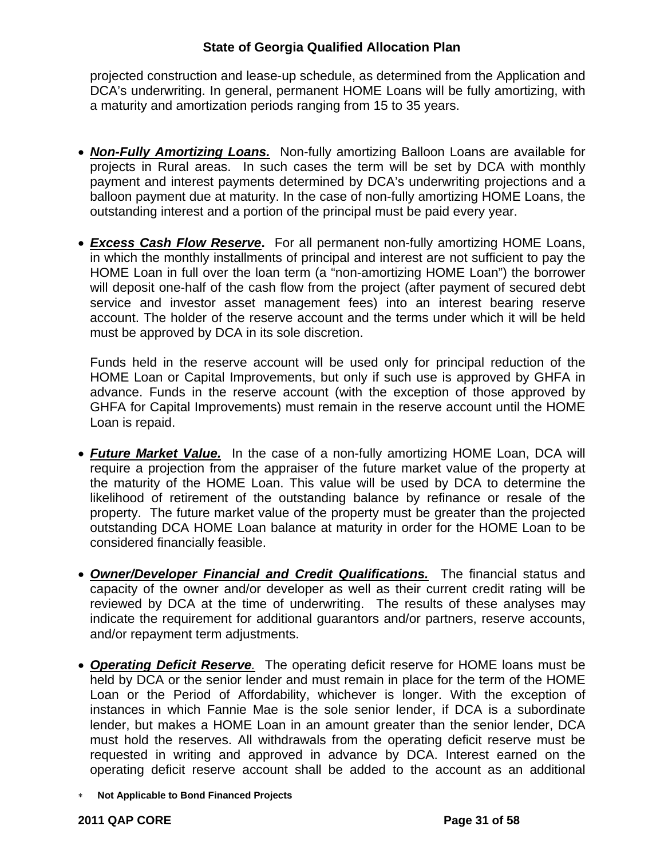projected construction and lease-up schedule, as determined from the Application and DCA's underwriting. In general, permanent HOME Loans will be fully amortizing, with a maturity and amortization periods ranging from 15 to 35 years.

- *Non-Fully Amortizing Loans.* Non-fully amortizing Balloon Loans are available for projects in Rural areas. In such cases the term will be set by DCA with monthly payment and interest payments determined by DCA's underwriting projections and a balloon payment due at maturity. In the case of non-fully amortizing HOME Loans, the outstanding interest and a portion of the principal must be paid every year.
- *Excess Cash Flow Reserve***.** For all permanent non-fully amortizing HOME Loans, in which the monthly installments of principal and interest are not sufficient to pay the HOME Loan in full over the loan term (a "non-amortizing HOME Loan") the borrower will deposit one-half of the cash flow from the project (after payment of secured debt service and investor asset management fees) into an interest bearing reserve account. The holder of the reserve account and the terms under which it will be held must be approved by DCA in its sole discretion.

Funds held in the reserve account will be used only for principal reduction of the HOME Loan or Capital Improvements, but only if such use is approved by GHFA in advance. Funds in the reserve account (with the exception of those approved by GHFA for Capital Improvements) must remain in the reserve account until the HOME Loan is repaid.

- *Future Market Value.*In the case of a non-fully amortizing HOME Loan, DCA will require a projection from the appraiser of the future market value of the property at the maturity of the HOME Loan. This value will be used by DCA to determine the likelihood of retirement of the outstanding balance by refinance or resale of the property. The future market value of the property must be greater than the projected outstanding DCA HOME Loan balance at maturity in order for the HOME Loan to be considered financially feasible.
- *Owner/Developer Financial and Credit Qualifications.* The financial status and capacity of the owner and/or developer as well as their current credit rating will be reviewed by DCA at the time of underwriting. The results of these analyses may indicate the requirement for additional guarantors and/or partners, reserve accounts, and/or repayment term adjustments.
- *Operating Deficit Reserve.* The operating deficit reserve for HOME loans must be held by DCA or the senior lender and must remain in place for the term of the HOME Loan or the Period of Affordability, whichever is longer. With the exception of instances in which Fannie Mae is the sole senior lender, if DCA is a subordinate lender, but makes a HOME Loan in an amount greater than the senior lender, DCA must hold the reserves. All withdrawals from the operating deficit reserve must be requested in writing and approved in advance by DCA. Interest earned on the operating deficit reserve account shall be added to the account as an additional
- **Not Applicable to Bond Financed Projects**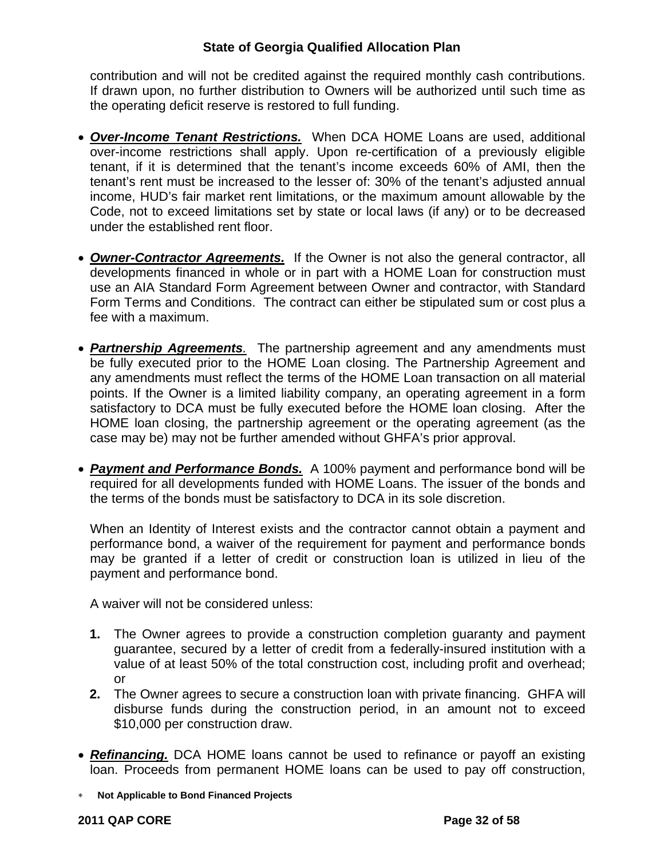contribution and will not be credited against the required monthly cash contributions. If drawn upon, no further distribution to Owners will be authorized until such time as the operating deficit reserve is restored to full funding.

- *Over-Income Tenant Restrictions.*When DCA HOME Loans are used, additional over-income restrictions shall apply. Upon re-certification of a previously eligible tenant, if it is determined that the tenant's income exceeds 60% of AMI, then the tenant's rent must be increased to the lesser of: 30% of the tenant's adjusted annual income, HUD's fair market rent limitations, or the maximum amount allowable by the Code, not to exceed limitations set by state or local laws (if any) or to be decreased under the established rent floor.
- *Owner-Contractor Agreements.* If the Owner is not also the general contractor, all developments financed in whole or in part with a HOME Loan for construction must use an AIA Standard Form Agreement between Owner and contractor, with Standard Form Terms and Conditions. The contract can either be stipulated sum or cost plus a fee with a maximum.
- *Partnership Agreements.* The partnership agreement and any amendments must be fully executed prior to the HOME Loan closing. The Partnership Agreement and any amendments must reflect the terms of the HOME Loan transaction on all material points. If the Owner is a limited liability company, an operating agreement in a form satisfactory to DCA must be fully executed before the HOME loan closing. After the HOME loan closing, the partnership agreement or the operating agreement (as the case may be) may not be further amended without GHFA's prior approval.
- **Payment and Performance Bonds.** A 100% payment and performance bond will be required for all developments funded with HOME Loans. The issuer of the bonds and the terms of the bonds must be satisfactory to DCA in its sole discretion.

When an Identity of Interest exists and the contractor cannot obtain a payment and performance bond, a waiver of the requirement for payment and performance bonds may be granted if a letter of credit or construction loan is utilized in lieu of the payment and performance bond.

A waiver will not be considered unless:

- **1.** The Owner agrees to provide a construction completion guaranty and payment guarantee, secured by a letter of credit from a federally-insured institution with a value of at least 50% of the total construction cost, including profit and overhead; or
- **2.** The Owner agrees to secure a construction loan with private financing. GHFA will disburse funds during the construction period, in an amount not to exceed \$10,000 per construction draw.
- **Refinancing.** DCA HOME loans cannot be used to refinance or payoff an existing loan. Proceeds from permanent HOME loans can be used to pay off construction,

**Not Applicable to Bond Financed Projects**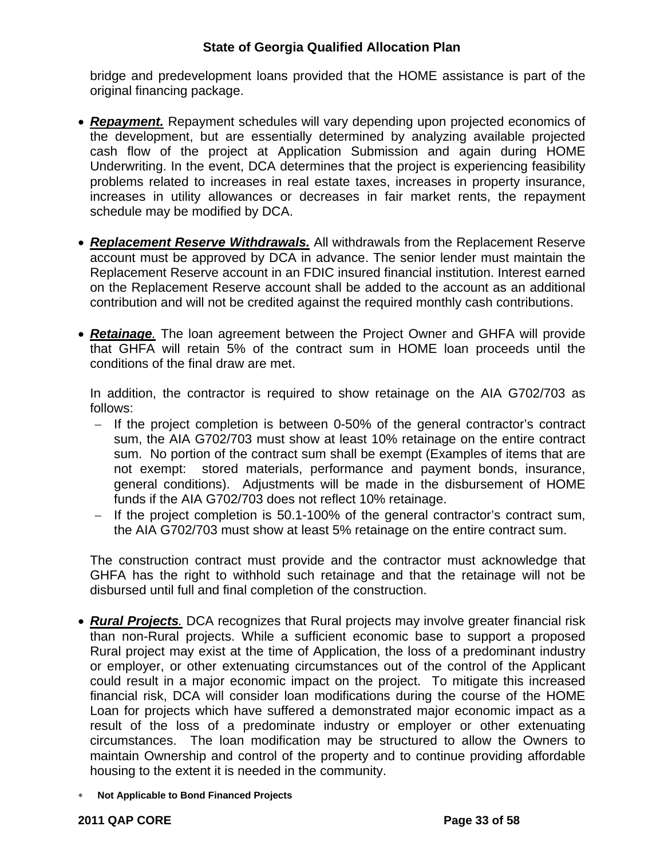bridge and predevelopment loans provided that the HOME assistance is part of the original financing package.

- *Repayment.* Repayment schedules will vary depending upon projected economics of the development, but are essentially determined by analyzing available projected cash flow of the project at Application Submission and again during HOME Underwriting. In the event, DCA determines that the project is experiencing feasibility problems related to increases in real estate taxes, increases in property insurance, increases in utility allowances or decreases in fair market rents, the repayment schedule may be modified by DCA.
- *Replacement Reserve Withdrawals.* All withdrawals from the Replacement Reserve account must be approved by DCA in advance. The senior lender must maintain the Replacement Reserve account in an FDIC insured financial institution. Interest earned on the Replacement Reserve account shall be added to the account as an additional contribution and will not be credited against the required monthly cash contributions.
- *Retainage.* The loan agreement between the Project Owner and GHFA will provide that GHFA will retain 5% of the contract sum in HOME loan proceeds until the conditions of the final draw are met.

In addition, the contractor is required to show retainage on the AIA G702/703 as follows:

- − If the project completion is between 0-50% of the general contractor's contract sum, the AIA G702/703 must show at least 10% retainage on the entire contract sum. No portion of the contract sum shall be exempt (Examples of items that are not exempt: stored materials, performance and payment bonds, insurance, general conditions). Adjustments will be made in the disbursement of HOME funds if the AIA G702/703 does not reflect 10% retainage.
- If the project completion is 50.1-100% of the general contractor's contract sum, the AIA G702/703 must show at least 5% retainage on the entire contract sum.

The construction contract must provide and the contractor must acknowledge that GHFA has the right to withhold such retainage and that the retainage will not be disbursed until full and final completion of the construction.

- *Rural Projects.* DCA recognizes that Rural projects may involve greater financial risk than non-Rural projects. While a sufficient economic base to support a proposed Rural project may exist at the time of Application, the loss of a predominant industry or employer, or other extenuating circumstances out of the control of the Applicant could result in a major economic impact on the project. To mitigate this increased financial risk, DCA will consider loan modifications during the course of the HOME Loan for projects which have suffered a demonstrated major economic impact as a result of the loss of a predominate industry or employer or other extenuating circumstances. The loan modification may be structured to allow the Owners to maintain Ownership and control of the property and to continue providing affordable housing to the extent it is needed in the community.
- **Not Applicable to Bond Financed Projects**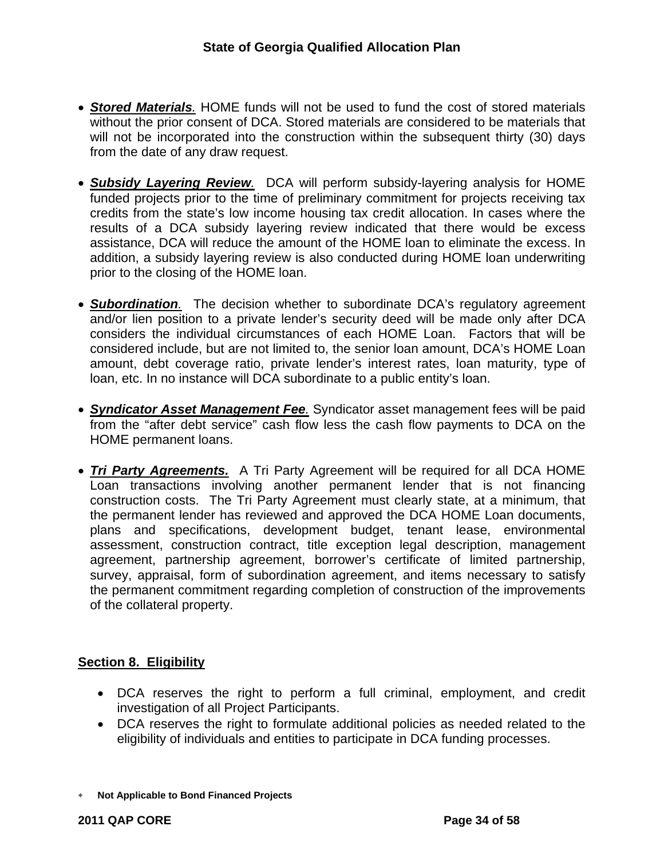- <span id="page-33-0"></span>• *Stored Materials.* HOME funds will not be used to fund the cost of stored materials without the prior consent of DCA. Stored materials are considered to be materials that will not be incorporated into the construction within the subsequent thirty (30) days from the date of any draw request.
- *Subsidy Layering Review.* DCA will perform subsidy-layering analysis for HOME funded projects prior to the time of preliminary commitment for projects receiving tax credits from the state's low income housing tax credit allocation. In cases where the results of a DCA subsidy layering review indicated that there would be excess assistance, DCA will reduce the amount of the HOME loan to eliminate the excess. In addition, a subsidy layering review is also conducted during HOME loan underwriting prior to the closing of the HOME loan.
- *Subordination.* The decision whether to subordinate DCA's regulatory agreement and/or lien position to a private lender's security deed will be made only after DCA considers the individual circumstances of each HOME Loan. Factors that will be considered include, but are not limited to, the senior loan amount, DCA's HOME Loan amount, debt coverage ratio, private lender's interest rates, loan maturity, type of loan, etc. In no instance will DCA subordinate to a public entity's loan.
- *Syndicator Asset Management Fee.* Syndicator asset management fees will be paid from the "after debt service" cash flow less the cash flow payments to DCA on the HOME permanent loans.
- *Tri Party Agreements.* A Tri Party Agreement will be required for all DCA HOME Loan transactions involving another permanent lender that is not financing construction costs. The Tri Party Agreement must clearly state, at a minimum, that the permanent lender has reviewed and approved the DCA HOME Loan documents, plans and specifications, development budget, tenant lease, environmental assessment, construction contract, title exception legal description, management agreement, partnership agreement, borrower's certificate of limited partnership, survey, appraisal, form of subordination agreement, and items necessary to satisfy the permanent commitment regarding completion of construction of the improvements of the collateral property.

## **Section 8. Eligibility**

- DCA reserves the right to perform a full criminal, employment, and credit investigation of all Project Participants.
- DCA reserves the right to formulate additional policies as needed related to the eligibility of individuals and entities to participate in DCA funding processes.

<sup>∗</sup> **Not Applicable to Bond Financed Projects**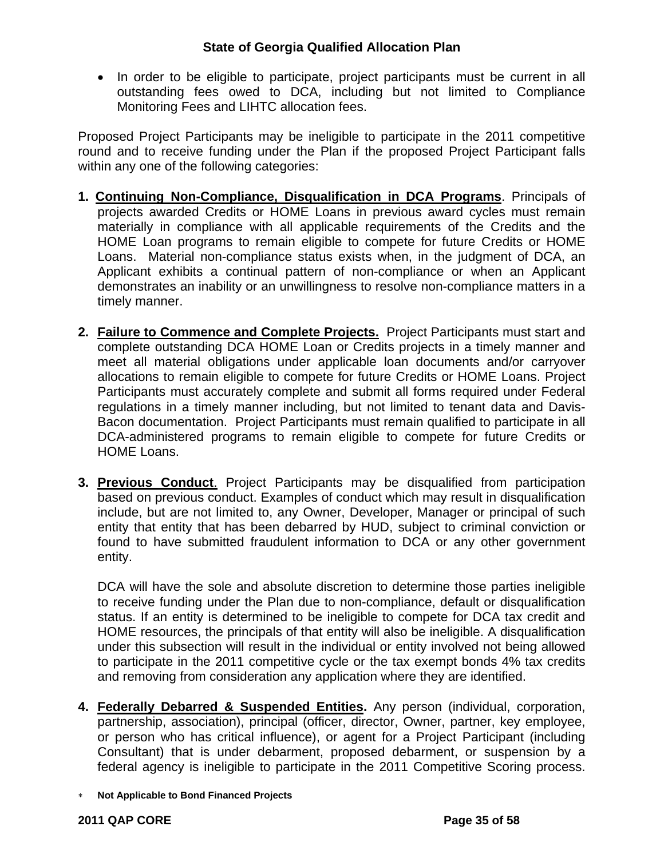• In order to be eligible to participate, project participants must be current in all outstanding fees owed to DCA, including but not limited to Compliance Monitoring Fees and LIHTC allocation fees.

Proposed Project Participants may be ineligible to participate in the 2011 competitive round and to receive funding under the Plan if the proposed Project Participant falls within any one of the following categories:

- **1. Continuing Non-Compliance, Disqualification in DCA Programs**. Principals of projects awarded Credits or HOME Loans in previous award cycles must remain materially in compliance with all applicable requirements of the Credits and the HOME Loan programs to remain eligible to compete for future Credits or HOME Loans. Material non-compliance status exists when, in the judgment of DCA, an Applicant exhibits a continual pattern of non-compliance or when an Applicant demonstrates an inability or an unwillingness to resolve non-compliance matters in a timely manner.
- **2. Failure to Commence and Complete Projects.** Project Participants must start and complete outstanding DCA HOME Loan or Credits projects in a timely manner and meet all material obligations under applicable loan documents and/or carryover allocations to remain eligible to compete for future Credits or HOME Loans. Project Participants must accurately complete and submit all forms required under Federal regulations in a timely manner including, but not limited to tenant data and Davis-Bacon documentation. Project Participants must remain qualified to participate in all DCA-administered programs to remain eligible to compete for future Credits or HOME Loans.
- **3. Previous Conduct**. Project Participants may be disqualified from participation based on previous conduct. Examples of conduct which may result in disqualification include, but are not limited to, any Owner, Developer, Manager or principal of such entity that entity that has been debarred by HUD, subject to criminal conviction or found to have submitted fraudulent information to DCA or any other government entity.

DCA will have the sole and absolute discretion to determine those parties ineligible to receive funding under the Plan due to non-compliance, default or disqualification status. If an entity is determined to be ineligible to compete for DCA tax credit and HOME resources, the principals of that entity will also be ineligible. A disqualification under this subsection will result in the individual or entity involved not being allowed to participate in the 2011 competitive cycle or the tax exempt bonds 4% tax credits and removing from consideration any application where they are identified.

**4. Federally Debarred & Suspended Entities.** Any person (individual, corporation, partnership, association), principal (officer, director, Owner, partner, key employee, or person who has critical influence), or agent for a Project Participant (including Consultant) that is under debarment, proposed debarment, or suspension by a federal agency is ineligible to participate in the 2011 Competitive Scoring process.

**Not Applicable to Bond Financed Projects**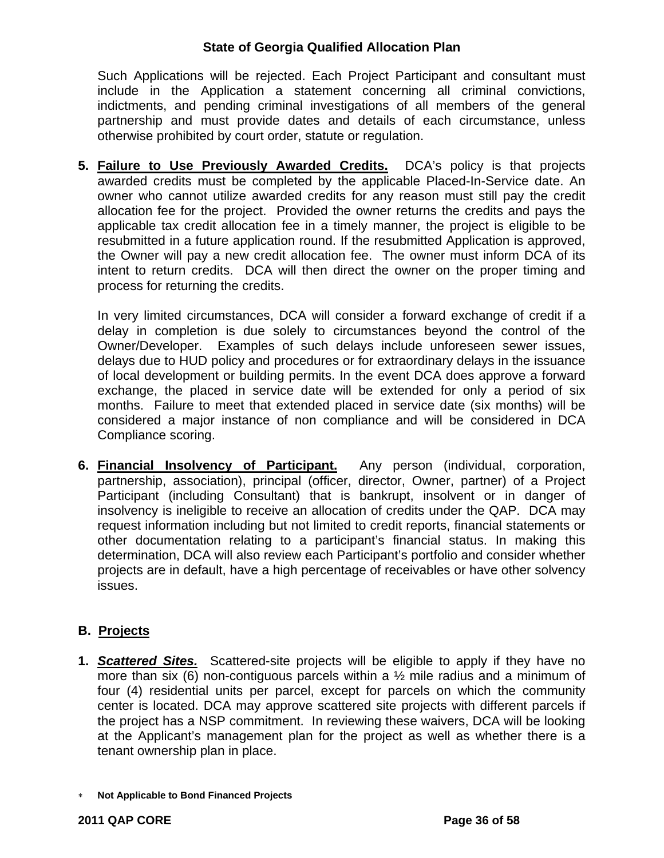Such Applications will be rejected. Each Project Participant and consultant must include in the Application a statement concerning all criminal convictions, indictments, and pending criminal investigations of all members of the general partnership and must provide dates and details of each circumstance, unless otherwise prohibited by court order, statute or regulation.

**5. Failure to Use Previously Awarded Credits.** DCA's policy is that projects awarded credits must be completed by the applicable Placed-In-Service date. An owner who cannot utilize awarded credits for any reason must still pay the credit allocation fee for the project. Provided the owner returns the credits and pays the applicable tax credit allocation fee in a timely manner, the project is eligible to be resubmitted in a future application round. If the resubmitted Application is approved, the Owner will pay a new credit allocation fee. The owner must inform DCA of its intent to return credits. DCA will then direct the owner on the proper timing and process for returning the credits.

In very limited circumstances, DCA will consider a forward exchange of credit if a delay in completion is due solely to circumstances beyond the control of the Owner/Developer. Examples of such delays include unforeseen sewer issues, delays due to HUD policy and procedures or for extraordinary delays in the issuance of local development or building permits. In the event DCA does approve a forward exchange, the placed in service date will be extended for only a period of six months. Failure to meet that extended placed in service date (six months) will be considered a major instance of non compliance and will be considered in DCA Compliance scoring.

**6. Financial Insolvency of Participant.** Any person (individual, corporation, partnership, association), principal (officer, director, Owner, partner) of a Project Participant (including Consultant) that is bankrupt, insolvent or in danger of insolvency is ineligible to receive an allocation of credits under the QAP. DCA may request information including but not limited to credit reports, financial statements or other documentation relating to a participant's financial status. In making this determination, DCA will also review each Participant's portfolio and consider whether projects are in default, have a high percentage of receivables or have other solvency issues.

## **B. Projects**

**1.** *Scattered Sites.* Scattered-site projects will be eligible to apply if they have no more than six (6) non-contiguous parcels within a  $\frac{1}{2}$  mile radius and a minimum of four (4) residential units per parcel, except for parcels on which the community center is located. DCA may approve scattered site projects with different parcels if the project has a NSP commitment. In reviewing these waivers, DCA will be looking at the Applicant's management plan for the project as well as whether there is a tenant ownership plan in place.

**Not Applicable to Bond Financed Projects**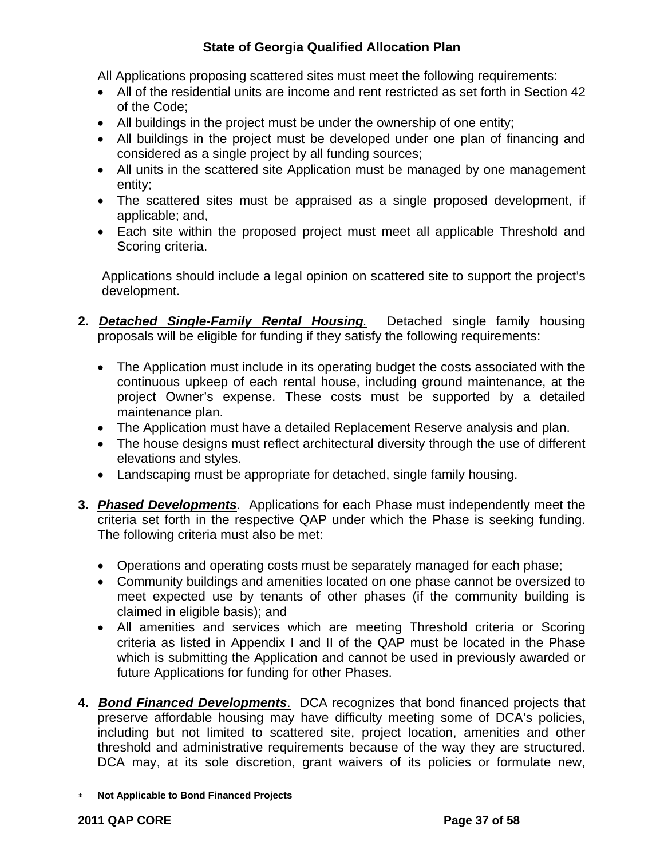All Applications proposing scattered sites must meet the following requirements:

- All of the residential units are income and rent restricted as set forth in Section 42 of the Code;
- All buildings in the project must be under the ownership of one entity;
- All buildings in the project must be developed under one plan of financing and considered as a single project by all funding sources;
- All units in the scattered site Application must be managed by one management entity;
- The scattered sites must be appraised as a single proposed development, if applicable; and,
- Each site within the proposed project must meet all applicable Threshold and Scoring criteria.

Applications should include a legal opinion on scattered site to support the project's development.

- **2.** *Detached Single-Family Rental Housing.* Detached single family housing proposals will be eligible for funding if they satisfy the following requirements:
	- The Application must include in its operating budget the costs associated with the continuous upkeep of each rental house, including ground maintenance, at the project Owner's expense. These costs must be supported by a detailed maintenance plan.
	- The Application must have a detailed Replacement Reserve analysis and plan.
	- The house designs must reflect architectural diversity through the use of different elevations and styles.
	- Landscaping must be appropriate for detached, single family housing.
- **3.** *Phased Developments*. Applications for each Phase must independently meet the criteria set forth in the respective QAP under which the Phase is seeking funding. The following criteria must also be met:
	- Operations and operating costs must be separately managed for each phase;
	- Community buildings and amenities located on one phase cannot be oversized to meet expected use by tenants of other phases (if the community building is claimed in eligible basis); and
	- All amenities and services which are meeting Threshold criteria or Scoring criteria as listed in Appendix I and II of the QAP must be located in the Phase which is submitting the Application and cannot be used in previously awarded or future Applications for funding for other Phases.
- **4.** *Bond Financed Developments*. DCA recognizes that bond financed projects that preserve affordable housing may have difficulty meeting some of DCA's policies, including but not limited to scattered site, project location, amenities and other threshold and administrative requirements because of the way they are structured. DCA may, at its sole discretion, grant waivers of its policies or formulate new,

<sup>∗</sup> **Not Applicable to Bond Financed Projects**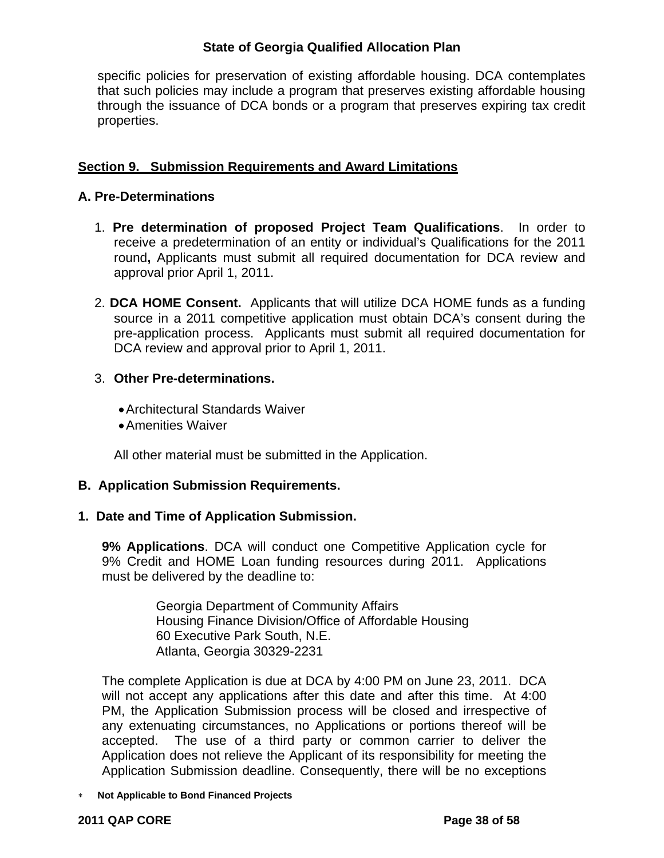<span id="page-37-0"></span>specific policies for preservation of existing affordable housing. DCA contemplates that such policies may include a program that preserves existing affordable housing through the issuance of DCA bonds or a program that preserves expiring tax credit properties.

### **Section 9. Submission Requirements and Award Limitations**

#### **A. Pre-Determinations**

- 1. **Pre determination of proposed Project Team Qualifications**. In order to receive a predetermination of an entity or individual's Qualifications for the 2011 round**,** Applicants must submit all required documentation for DCA review and approval prior April 1, 2011.
- 2. **DCA HOME Consent.** Applicants that will utilize DCA HOME funds as a funding source in a 2011 competitive application must obtain DCA's consent during the pre-application process. Applicants must submit all required documentation for DCA review and approval prior to April 1, 2011.

#### 3. **Other Pre-determinations.**

- Architectural Standards Waiver
- Amenities Waiver

All other material must be submitted in the Application.

#### **B. Application Submission Requirements.**

#### **1. Date and Time of Application Submission.**

**9% Applications**. DCA will conduct one Competitive Application cycle for 9% Credit and HOME Loan funding resources during 2011. Applications must be delivered by the deadline to:

> Georgia Department of Community Affairs Housing Finance Division/Office of Affordable Housing 60 Executive Park South, N.E. Atlanta, Georgia 30329-2231

The complete Application is due at DCA by 4:00 PM on June 23, 2011. DCA will not accept any applications after this date and after this time. At 4:00 PM, the Application Submission process will be closed and irrespective of any extenuating circumstances, no Applications or portions thereof will be accepted. The use of a third party or common carrier to deliver the Application does not relieve the Applicant of its responsibility for meeting the Application Submission deadline. Consequently, there will be no exceptions

<sup>∗</sup> **Not Applicable to Bond Financed Projects**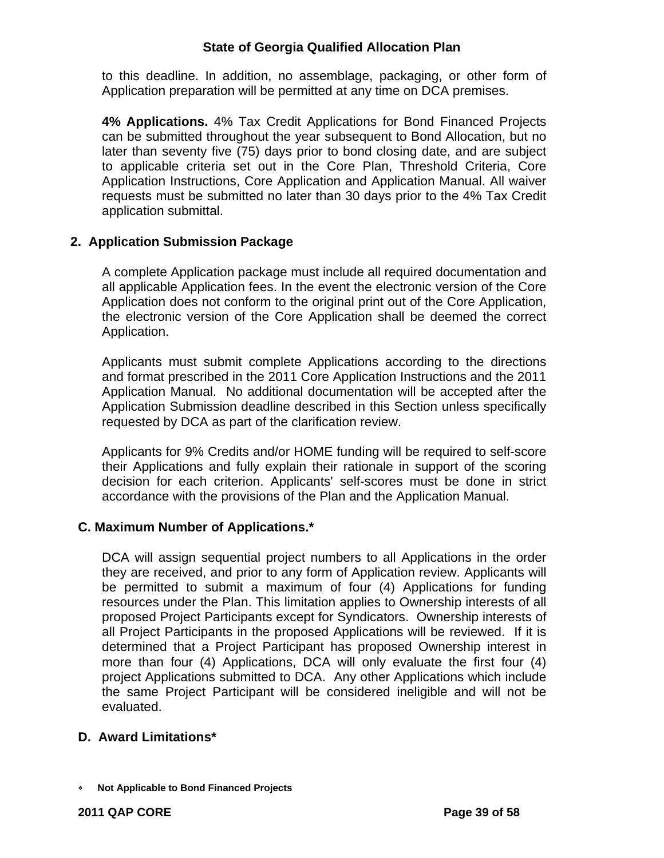to this deadline. In addition, no assemblage, packaging, or other form of Application preparation will be permitted at any time on DCA premises.

**4% Applications.** 4% Tax Credit Applications for Bond Financed Projects can be submitted throughout the year subsequent to Bond Allocation, but no later than seventy five (75) days prior to bond closing date, and are subject to applicable criteria set out in the Core Plan, Threshold Criteria, Core Application Instructions, Core Application and Application Manual. All waiver requests must be submitted no later than 30 days prior to the 4% Tax Credit application submittal.

### **2. Application Submission Package**

A complete Application package must include all required documentation and all applicable Application fees. In the event the electronic version of the Core Application does not conform to the original print out of the Core Application, the electronic version of the Core Application shall be deemed the correct Application.

Applicants must submit complete Applications according to the directions and format prescribed in the 2011 Core Application Instructions and the 2011 Application Manual. No additional documentation will be accepted after the Application Submission deadline described in this Section unless specifically requested by DCA as part of the clarification review.

Applicants for 9% Credits and/or HOME funding will be required to self-score their Applications and fully explain their rationale in support of the scoring decision for each criterion. Applicants' self-scores must be done in strict accordance with the provisions of the Plan and the Application Manual.

#### **C. Maximum Number of Applications.\***

DCA will assign sequential project numbers to all Applications in the order they are received, and prior to any form of Application review. Applicants will be permitted to submit a maximum of four (4) Applications for funding resources under the Plan. This limitation applies to Ownership interests of all proposed Project Participants except for Syndicators. Ownership interests of all Project Participants in the proposed Applications will be reviewed. If it is determined that a Project Participant has proposed Ownership interest in more than four (4) Applications, DCA will only evaluate the first four (4) project Applications submitted to DCA. Any other Applications which include the same Project Participant will be considered ineligible and will not be evaluated.

#### **D. Award Limitations\***

<sup>∗</sup> **Not Applicable to Bond Financed Projects**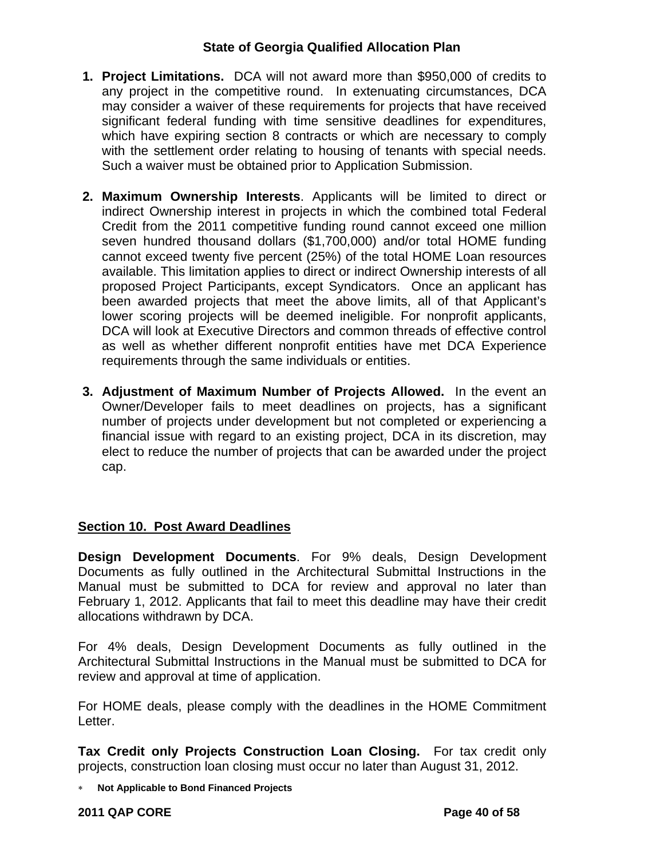- <span id="page-39-0"></span>**1. Project Limitations.** DCA will not award more than \$950,000 of credits to any project in the competitive round. In extenuating circumstances, DCA may consider a waiver of these requirements for projects that have received significant federal funding with time sensitive deadlines for expenditures, which have expiring section 8 contracts or which are necessary to comply with the settlement order relating to housing of tenants with special needs. Such a waiver must be obtained prior to Application Submission.
- **2. Maximum Ownership Interests**. Applicants will be limited to direct or indirect Ownership interest in projects in which the combined total Federal Credit from the 2011 competitive funding round cannot exceed one million seven hundred thousand dollars (\$1,700,000) and/or total HOME funding cannot exceed twenty five percent (25%) of the total HOME Loan resources available. This limitation applies to direct or indirect Ownership interests of all proposed Project Participants, except Syndicators. Once an applicant has been awarded projects that meet the above limits, all of that Applicant's lower scoring projects will be deemed ineligible. For nonprofit applicants, DCA will look at Executive Directors and common threads of effective control as well as whether different nonprofit entities have met DCA Experience requirements through the same individuals or entities.
- **3. Adjustment of Maximum Number of Projects Allowed.** In the event an Owner/Developer fails to meet deadlines on projects, has a significant number of projects under development but not completed or experiencing a financial issue with regard to an existing project, DCA in its discretion, may elect to reduce the number of projects that can be awarded under the project cap.

## **Section 10. Post Award Deadlines**

**Design Development Documents**. For 9% deals, Design Development Documents as fully outlined in the Architectural Submittal Instructions in the Manual must be submitted to DCA for review and approval no later than February 1, 2012. Applicants that fail to meet this deadline may have their credit allocations withdrawn by DCA.

For 4% deals, Design Development Documents as fully outlined in the Architectural Submittal Instructions in the Manual must be submitted to DCA for review and approval at time of application.

For HOME deals, please comply with the deadlines in the HOME Commitment Letter.

**Tax Credit only Projects Construction Loan Closing.** For tax credit only projects, construction loan closing must occur no later than August 31, 2012.

∗ **Not Applicable to Bond Financed Projects**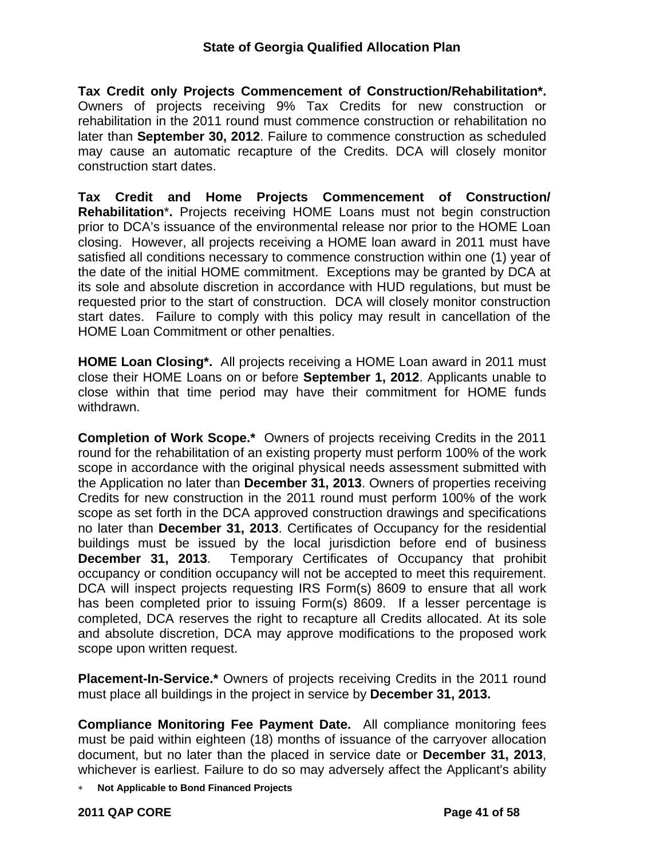**Tax Credit only Projects Commencement of Construction/Rehabilitation\*.**  Owners of projects receiving 9% Tax Credits for new construction or rehabilitation in the 2011 round must commence construction or rehabilitation no later than **September 30, 2012**. Failure to commence construction as scheduled may cause an automatic recapture of the Credits. DCA will closely monitor construction start dates.

**Tax Credit and Home Projects Commencement of Construction/ Rehabilitation**\***.** Projects receiving HOME Loans must not begin construction prior to DCA's issuance of the environmental release nor prior to the HOME Loan closing. However, all projects receiving a HOME loan award in 2011 must have satisfied all conditions necessary to commence construction within one (1) year of the date of the initial HOME commitment. Exceptions may be granted by DCA at its sole and absolute discretion in accordance with HUD regulations, but must be requested prior to the start of construction. DCA will closely monitor construction start dates. Failure to comply with this policy may result in cancellation of the HOME Loan Commitment or other penalties.

**HOME Loan Closing\*.** All projects receiving a HOME Loan award in 2011 must close their HOME Loans on or before **September 1, 2012**. Applicants unable to close within that time period may have their commitment for HOME funds withdrawn.

**Completion of Work Scope.\*** Owners of projects receiving Credits in the 2011 round for the rehabilitation of an existing property must perform 100% of the work scope in accordance with the original physical needs assessment submitted with the Application no later than **December 31, 2013**. Owners of properties receiving Credits for new construction in the 2011 round must perform 100% of the work scope as set forth in the DCA approved construction drawings and specifications no later than **December 31, 2013**. Certificates of Occupancy for the residential buildings must be issued by the local jurisdiction before end of business **December 31, 2013**. Temporary Certificates of Occupancy that prohibit occupancy or condition occupancy will not be accepted to meet this requirement. DCA will inspect projects requesting IRS Form(s) 8609 to ensure that all work has been completed prior to issuing Form(s) 8609. If a lesser percentage is completed, DCA reserves the right to recapture all Credits allocated. At its sole and absolute discretion, DCA may approve modifications to the proposed work scope upon written request.

**Placement-In-Service.\*** Owners of projects receiving Credits in the 2011 round must place all buildings in the project in service by **December 31, 2013.**

**Compliance Monitoring Fee Payment Date.** All compliance monitoring fees must be paid within eighteen (18) months of issuance of the carryover allocation document, but no later than the placed in service date or **December 31, 2013**, whichever is earliest. Failure to do so may adversely affect the Applicant's ability

**Not Applicable to Bond Financed Projects** 

**2011 QAP CORE Page 41 of 58**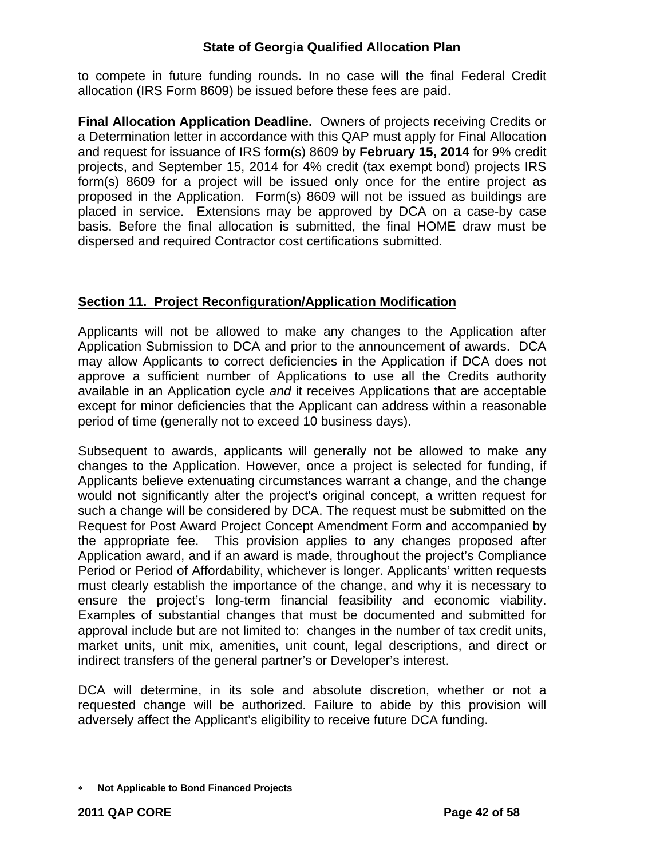<span id="page-41-0"></span>to compete in future funding rounds. In no case will the final Federal Credit allocation (IRS Form 8609) be issued before these fees are paid.

**Final Allocation Application Deadline.** Owners of projects receiving Credits or a Determination letter in accordance with this QAP must apply for Final Allocation and request for issuance of IRS form(s) 8609 by **February 15, 2014** for 9% credit projects, and September 15, 2014 for 4% credit (tax exempt bond) projects IRS form(s) 8609 for a project will be issued only once for the entire project as proposed in the Application. Form(s) 8609 will not be issued as buildings are placed in service. Extensions may be approved by DCA on a case-by case basis. Before the final allocation is submitted, the final HOME draw must be dispersed and required Contractor cost certifications submitted.

### **Section 11. Project Reconfiguration/Application Modification**

Applicants will not be allowed to make any changes to the Application after Application Submission to DCA and prior to the announcement of awards. DCA may allow Applicants to correct deficiencies in the Application if DCA does not approve a sufficient number of Applications to use all the Credits authority available in an Application cycle *and* it receives Applications that are acceptable except for minor deficiencies that the Applicant can address within a reasonable period of time (generally not to exceed 10 business days).

Subsequent to awards, applicants will generally not be allowed to make any changes to the Application. However, once a project is selected for funding, if Applicants believe extenuating circumstances warrant a change, and the change would not significantly alter the project's original concept, a written request for such a change will be considered by DCA. The request must be submitted on the Request for Post Award Project Concept Amendment Form and accompanied by the appropriate fee. This provision applies to any changes proposed after Application award, and if an award is made, throughout the project's Compliance Period or Period of Affordability, whichever is longer. Applicants' written requests must clearly establish the importance of the change, and why it is necessary to ensure the project's long-term financial feasibility and economic viability. Examples of substantial changes that must be documented and submitted for approval include but are not limited to: changes in the number of tax credit units, market units, unit mix, amenities, unit count, legal descriptions, and direct or indirect transfers of the general partner's or Developer's interest.

DCA will determine, in its sole and absolute discretion, whether or not a requested change will be authorized. Failure to abide by this provision will adversely affect the Applicant's eligibility to receive future DCA funding.

<sup>∗</sup> **Not Applicable to Bond Financed Projects**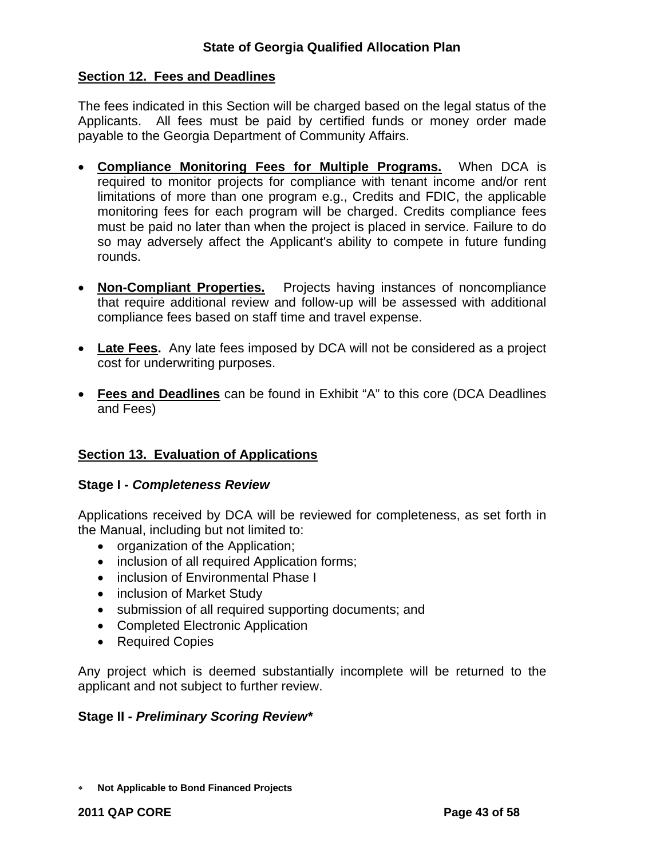### <span id="page-42-0"></span>**Section 12. Fees and Deadlines**

The fees indicated in this Section will be charged based on the legal status of the Applicants. All fees must be paid by certified funds or money order made payable to the Georgia Department of Community Affairs.

- **Compliance Monitoring Fees for Multiple Programs.** When DCA is required to monitor projects for compliance with tenant income and/or rent limitations of more than one program e.g., Credits and FDIC, the applicable monitoring fees for each program will be charged. Credits compliance fees must be paid no later than when the project is placed in service. Failure to do so may adversely affect the Applicant's ability to compete in future funding rounds.
- **Non-Compliant Properties.** Projects having instances of noncompliance that require additional review and follow-up will be assessed with additional compliance fees based on staff time and travel expense.
- **Late Fees.** Any late fees imposed by DCA will not be considered as a project cost for underwriting purposes.
- **Fees and Deadlines** can be found in Exhibit "A" to this core (DCA Deadlines and Fees)

#### **Section 13. Evaluation of Applications**

#### **Stage I -** *Completeness Review*

Applications received by DCA will be reviewed for completeness, as set forth in the Manual, including but not limited to:

- organization of the Application;
- inclusion of all required Application forms:
- inclusion of Environmental Phase I
- inclusion of Market Study
- submission of all required supporting documents; and
- Completed Electronic Application
- Required Copies

Any project which is deemed substantially incomplete will be returned to the applicant and not subject to further review.

#### **Stage II -** *Preliminary Scoring Review\**

<sup>∗</sup> **Not Applicable to Bond Financed Projects**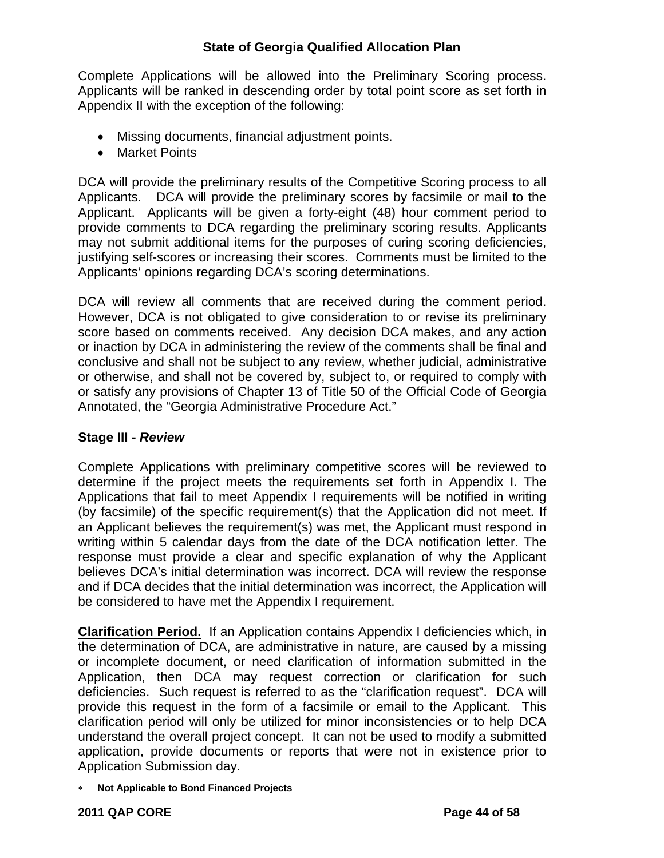Complete Applications will be allowed into the Preliminary Scoring process. Applicants will be ranked in descending order by total point score as set forth in Appendix II with the exception of the following:

- Missing documents, financial adjustment points.
- Market Points

DCA will provide the preliminary results of the Competitive Scoring process to all Applicants. DCA will provide the preliminary scores by facsimile or mail to the Applicant. Applicants will be given a forty-eight (48) hour comment period to provide comments to DCA regarding the preliminary scoring results. Applicants may not submit additional items for the purposes of curing scoring deficiencies, justifying self-scores or increasing their scores. Comments must be limited to the Applicants' opinions regarding DCA's scoring determinations.

DCA will review all comments that are received during the comment period. However, DCA is not obligated to give consideration to or revise its preliminary score based on comments received. Any decision DCA makes, and any action or inaction by DCA in administering the review of the comments shall be final and conclusive and shall not be subject to any review, whether judicial, administrative or otherwise, and shall not be covered by, subject to, or required to comply with or satisfy any provisions of Chapter 13 of Title 50 of the Official Code of Georgia Annotated, the "Georgia Administrative Procedure Act."

#### **Stage III -** *Review*

Complete Applications with preliminary competitive scores will be reviewed to determine if the project meets the requirements set forth in Appendix I. The Applications that fail to meet Appendix I requirements will be notified in writing (by facsimile) of the specific requirement(s) that the Application did not meet. If an Applicant believes the requirement(s) was met, the Applicant must respond in writing within 5 calendar days from the date of the DCA notification letter. The response must provide a clear and specific explanation of why the Applicant believes DCA's initial determination was incorrect. DCA will review the response and if DCA decides that the initial determination was incorrect, the Application will be considered to have met the Appendix I requirement.

**Clarification Period.** If an Application contains Appendix I deficiencies which, in the determination of DCA, are administrative in nature, are caused by a missing or incomplete document, or need clarification of information submitted in the Application, then DCA may request correction or clarification for such deficiencies. Such request is referred to as the "clarification request". DCA will provide this request in the form of a facsimile or email to the Applicant. This clarification period will only be utilized for minor inconsistencies or to help DCA understand the overall project concept. It can not be used to modify a submitted application, provide documents or reports that were not in existence prior to Application Submission day.

<sup>∗</sup> **Not Applicable to Bond Financed Projects**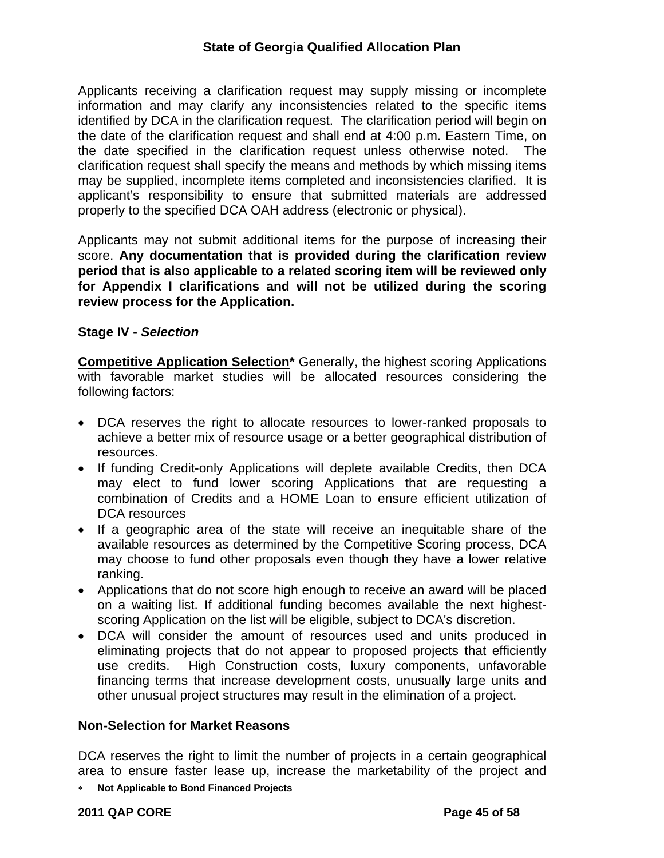Applicants receiving a clarification request may supply missing or incomplete information and may clarify any inconsistencies related to the specific items identified by DCA in the clarification request. The clarification period will begin on the date of the clarification request and shall end at 4:00 p.m. Eastern Time, on the date specified in the clarification request unless otherwise noted. The clarification request shall specify the means and methods by which missing items may be supplied, incomplete items completed and inconsistencies clarified. It is applicant's responsibility to ensure that submitted materials are addressed properly to the specified DCA OAH address (electronic or physical).

Applicants may not submit additional items for the purpose of increasing their score. **Any documentation that is provided during the clarification review period that is also applicable to a related scoring item will be reviewed only for Appendix I clarifications and will not be utilized during the scoring review process for the Application.** 

#### **Stage IV -** *Selection*

**Competitive Application Selection\*** Generally, the highest scoring Applications with favorable market studies will be allocated resources considering the following factors:

- DCA reserves the right to allocate resources to lower-ranked proposals to achieve a better mix of resource usage or a better geographical distribution of resources.
- If funding Credit-only Applications will deplete available Credits, then DCA may elect to fund lower scoring Applications that are requesting a combination of Credits and a HOME Loan to ensure efficient utilization of DCA resources
- If a geographic area of the state will receive an inequitable share of the available resources as determined by the Competitive Scoring process, DCA may choose to fund other proposals even though they have a lower relative ranking.
- Applications that do not score high enough to receive an award will be placed on a waiting list. If additional funding becomes available the next highestscoring Application on the list will be eligible, subject to DCA's discretion.
- DCA will consider the amount of resources used and units produced in eliminating projects that do not appear to proposed projects that efficiently use credits. High Construction costs, luxury components, unfavorable financing terms that increase development costs, unusually large units and other unusual project structures may result in the elimination of a project.

#### **Non-Selection for Market Reasons**

DCA reserves the right to limit the number of projects in a certain geographical area to ensure faster lease up, increase the marketability of the project and

∗ **Not Applicable to Bond Financed Projects** 

**2011 QAP CORE Page 45 of 58**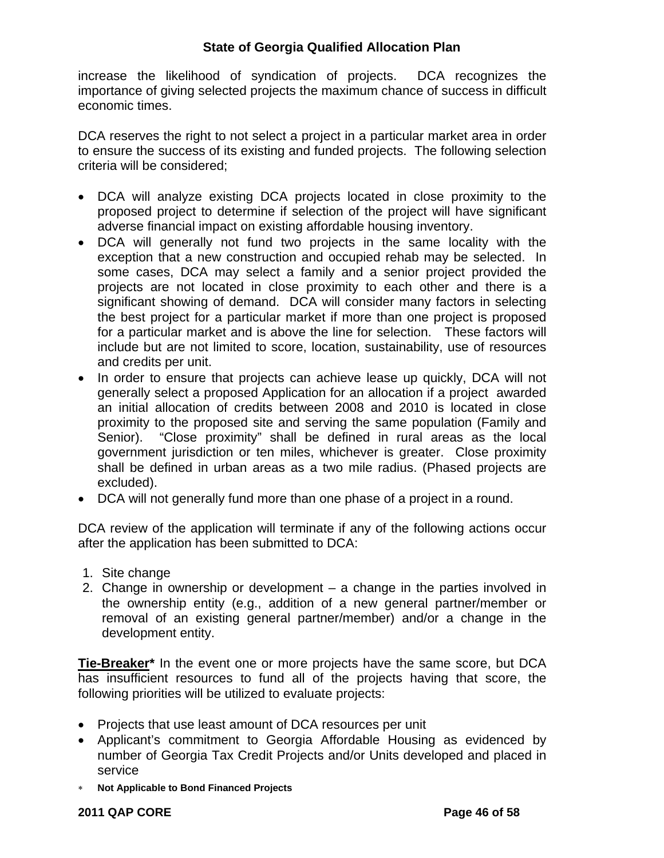increase the likelihood of syndication of projects. DCA recognizes the importance of giving selected projects the maximum chance of success in difficult economic times.

DCA reserves the right to not select a project in a particular market area in order to ensure the success of its existing and funded projects. The following selection criteria will be considered;

- DCA will analyze existing DCA projects located in close proximity to the proposed project to determine if selection of the project will have significant adverse financial impact on existing affordable housing inventory.
- DCA will generally not fund two projects in the same locality with the exception that a new construction and occupied rehab may be selected. In some cases, DCA may select a family and a senior project provided the projects are not located in close proximity to each other and there is a significant showing of demand. DCA will consider many factors in selecting the best project for a particular market if more than one project is proposed for a particular market and is above the line for selection. These factors will include but are not limited to score, location, sustainability, use of resources and credits per unit.
- In order to ensure that projects can achieve lease up quickly, DCA will not generally select a proposed Application for an allocation if a project awarded an initial allocation of credits between 2008 and 2010 is located in close proximity to the proposed site and serving the same population (Family and Senior). "Close proximity" shall be defined in rural areas as the local government jurisdiction or ten miles, whichever is greater. Close proximity shall be defined in urban areas as a two mile radius. (Phased projects are excluded).
- DCA will not generally fund more than one phase of a project in a round.

DCA review of the application will terminate if any of the following actions occur after the application has been submitted to DCA:

- 1. Site change
- 2. Change in ownership or development a change in the parties involved in the ownership entity (e.g., addition of a new general partner/member or removal of an existing general partner/member) and/or a change in the development entity.

**Tie-Breaker\*** In the event one or more projects have the same score, but DCA has insufficient resources to fund all of the projects having that score, the following priorities will be utilized to evaluate projects:

- Projects that use least amount of DCA resources per unit
- Applicant's commitment to Georgia Affordable Housing as evidenced by number of Georgia Tax Credit Projects and/or Units developed and placed in service
- ∗ **Not Applicable to Bond Financed Projects**

#### **2011 QAP CORE Page 46 of 58**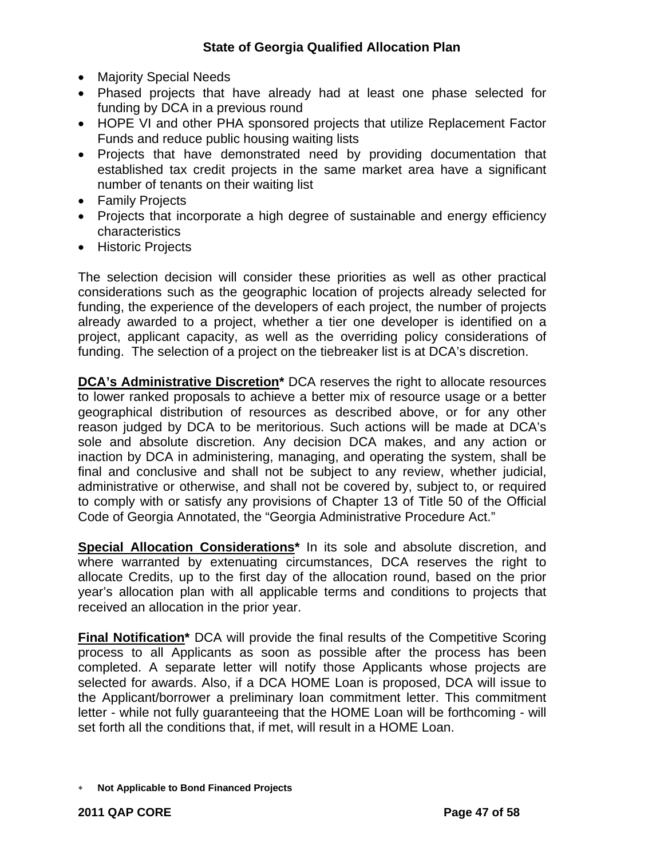- Majority Special Needs
- Phased projects that have already had at least one phase selected for funding by DCA in a previous round
- HOPE VI and other PHA sponsored projects that utilize Replacement Factor Funds and reduce public housing waiting lists
- Projects that have demonstrated need by providing documentation that established tax credit projects in the same market area have a significant number of tenants on their waiting list
- Family Projects
- Projects that incorporate a high degree of sustainable and energy efficiency characteristics
- Historic Projects

The selection decision will consider these priorities as well as other practical considerations such as the geographic location of projects already selected for funding, the experience of the developers of each project, the number of projects already awarded to a project, whether a tier one developer is identified on a project, applicant capacity, as well as the overriding policy considerations of funding. The selection of a project on the tiebreaker list is at DCA's discretion.

**DCA's Administrative Discretion\*** DCA reserves the right to allocate resources to lower ranked proposals to achieve a better mix of resource usage or a better geographical distribution of resources as described above, or for any other reason judged by DCA to be meritorious. Such actions will be made at DCA's sole and absolute discretion. Any decision DCA makes, and any action or inaction by DCA in administering, managing, and operating the system, shall be final and conclusive and shall not be subject to any review, whether judicial, administrative or otherwise, and shall not be covered by, subject to, or required to comply with or satisfy any provisions of Chapter 13 of Title 50 of the Official Code of Georgia Annotated, the "Georgia Administrative Procedure Act."

**Special Allocation Considerations**<sup>\*</sup> In its sole and absolute discretion, and where warranted by extenuating circumstances, DCA reserves the right to allocate Credits, up to the first day of the allocation round, based on the prior year's allocation plan with all applicable terms and conditions to projects that received an allocation in the prior year.

**Final Notification\*** DCA will provide the final results of the Competitive Scoring process to all Applicants as soon as possible after the process has been completed. A separate letter will notify those Applicants whose projects are selected for awards. Also, if a DCA HOME Loan is proposed, DCA will issue to the Applicant/borrower a preliminary loan commitment letter. This commitment letter - while not fully guaranteeing that the HOME Loan will be forthcoming - will set forth all the conditions that, if met, will result in a HOME Loan.

<sup>∗</sup> **Not Applicable to Bond Financed Projects**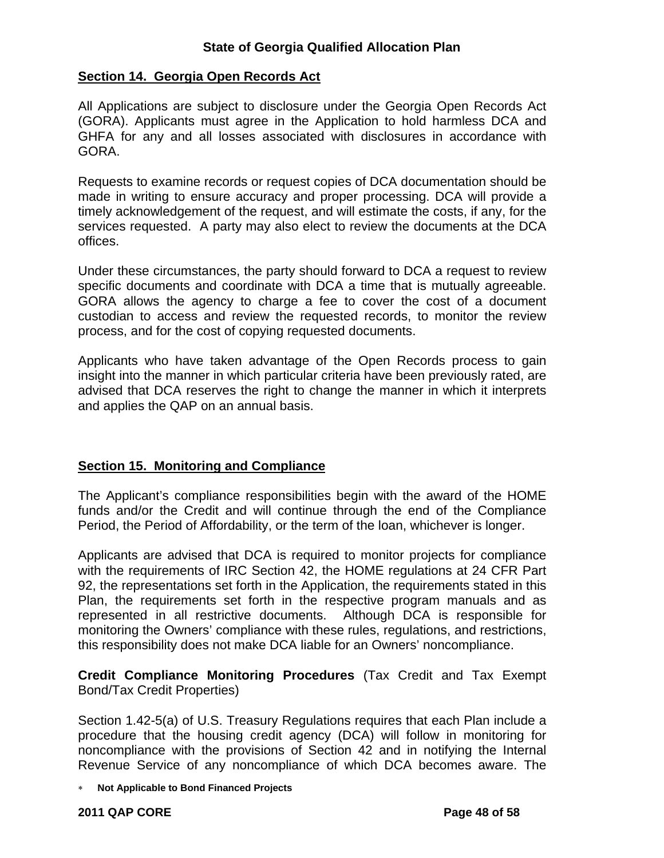### <span id="page-47-0"></span>**Section 14. Georgia Open Records Act**

All Applications are subject to disclosure under the Georgia Open Records Act (GORA). Applicants must agree in the Application to hold harmless DCA and GHFA for any and all losses associated with disclosures in accordance with GORA.

Requests to examine records or request copies of DCA documentation should be made in writing to ensure accuracy and proper processing. DCA will provide a timely acknowledgement of the request, and will estimate the costs, if any, for the services requested. A party may also elect to review the documents at the DCA offices.

Under these circumstances, the party should forward to DCA a request to review specific documents and coordinate with DCA a time that is mutually agreeable. GORA allows the agency to charge a fee to cover the cost of a document custodian to access and review the requested records, to monitor the review process, and for the cost of copying requested documents.

Applicants who have taken advantage of the Open Records process to gain insight into the manner in which particular criteria have been previously rated, are advised that DCA reserves the right to change the manner in which it interprets and applies the QAP on an annual basis.

#### **Section 15. Monitoring and Compliance**

The Applicant's compliance responsibilities begin with the award of the HOME funds and/or the Credit and will continue through the end of the Compliance Period, the Period of Affordability, or the term of the loan, whichever is longer.

Applicants are advised that DCA is required to monitor projects for compliance with the requirements of IRC Section 42, the HOME regulations at 24 CFR Part 92, the representations set forth in the Application, the requirements stated in this Plan, the requirements set forth in the respective program manuals and as represented in all restrictive documents. Although DCA is responsible for monitoring the Owners' compliance with these rules, regulations, and restrictions, this responsibility does not make DCA liable for an Owners' noncompliance.

**Credit Compliance Monitoring Procedures** (Tax Credit and Tax Exempt Bond/Tax Credit Properties)

Section 1.42-5(a) of U.S. Treasury Regulations requires that each Plan include a procedure that the housing credit agency (DCA) will follow in monitoring for noncompliance with the provisions of Section 42 and in notifying the Internal Revenue Service of any noncompliance of which DCA becomes aware. The

∗ **Not Applicable to Bond Financed Projects**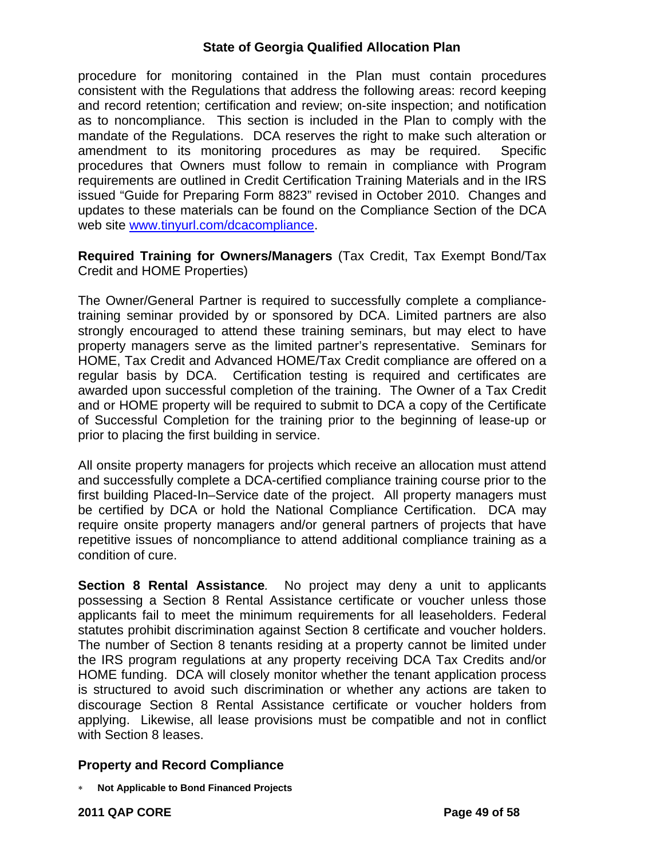procedure for monitoring contained in the Plan must contain procedures consistent with the Regulations that address the following areas: record keeping and record retention; certification and review; on-site inspection; and notification as to noncompliance. This section is included in the Plan to comply with the mandate of the Regulations. DCA reserves the right to make such alteration or amendment to its monitoring procedures as may be required. Specific procedures that Owners must follow to remain in compliance with Program requirements are outlined in Credit Certification Training Materials and in the IRS issued "Guide for Preparing Form 8823" revised in October 2010. Changes and updates to these materials can be found on the Compliance Section of the DCA web site [www.tinyurl.com/dcacompliance.](http://www.tinyurlcom/dcacompliance)

**Required Training for Owners/Managers** (Tax Credit, Tax Exempt Bond/Tax Credit and HOME Properties)

The Owner/General Partner is required to successfully complete a compliancetraining seminar provided by or sponsored by DCA. Limited partners are also strongly encouraged to attend these training seminars, but may elect to have property managers serve as the limited partner's representative. Seminars for HOME, Tax Credit and Advanced HOME/Tax Credit compliance are offered on a regular basis by DCA. Certification testing is required and certificates are awarded upon successful completion of the training. The Owner of a Tax Credit and or HOME property will be required to submit to DCA a copy of the Certificate of Successful Completion for the training prior to the beginning of lease-up or prior to placing the first building in service.

All onsite property managers for projects which receive an allocation must attend and successfully complete a DCA-certified compliance training course prior to the first building Placed-In–Service date of the project. All property managers must be certified by DCA or hold the National Compliance Certification. DCA may require onsite property managers and/or general partners of projects that have repetitive issues of noncompliance to attend additional compliance training as a condition of cure.

**Section 8 Rental Assistance***.* No project may deny a unit to applicants possessing a Section 8 Rental Assistance certificate or voucher unless those applicants fail to meet the minimum requirements for all leaseholders. Federal statutes prohibit discrimination against Section 8 certificate and voucher holders. The number of Section 8 tenants residing at a property cannot be limited under the IRS program regulations at any property receiving DCA Tax Credits and/or HOME funding. DCA will closely monitor whether the tenant application process is structured to avoid such discrimination or whether any actions are taken to discourage Section 8 Rental Assistance certificate or voucher holders from applying. Likewise, all lease provisions must be compatible and not in conflict with Section 8 leases.

#### **Property and Record Compliance**

∗ **Not Applicable to Bond Financed Projects** 

**2011 QAP CORE Page 49 of 58**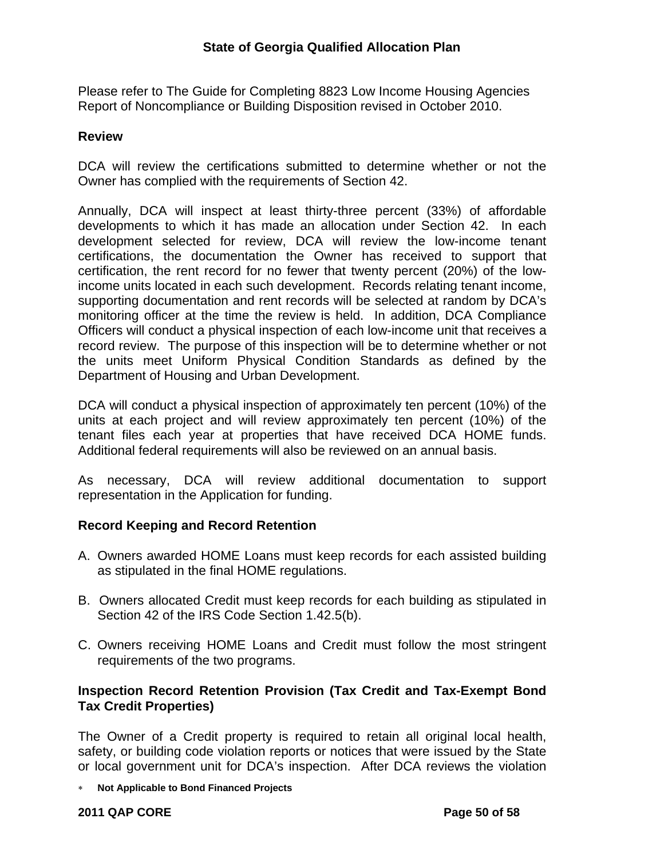Please refer to The Guide for Completing 8823 Low Income Housing Agencies Report of Noncompliance or Building Disposition revised in October 2010.

### **Review**

DCA will review the certifications submitted to determine whether or not the Owner has complied with the requirements of Section 42.

Annually, DCA will inspect at least thirty-three percent (33%) of affordable developments to which it has made an allocation under Section 42. In each development selected for review, DCA will review the low-income tenant certifications, the documentation the Owner has received to support that certification, the rent record for no fewer that twenty percent (20%) of the lowincome units located in each such development. Records relating tenant income, supporting documentation and rent records will be selected at random by DCA's monitoring officer at the time the review is held. In addition, DCA Compliance Officers will conduct a physical inspection of each low-income unit that receives a record review. The purpose of this inspection will be to determine whether or not the units meet Uniform Physical Condition Standards as defined by the Department of Housing and Urban Development.

DCA will conduct a physical inspection of approximately ten percent (10%) of the units at each project and will review approximately ten percent (10%) of the tenant files each year at properties that have received DCA HOME funds. Additional federal requirements will also be reviewed on an annual basis.

As necessary, DCA will review additional documentation to support representation in the Application for funding.

## **Record Keeping and Record Retention**

- A. Owners awarded HOME Loans must keep records for each assisted building as stipulated in the final HOME regulations.
- B. Owners allocated Credit must keep records for each building as stipulated in Section 42 of the IRS Code Section 1.42.5(b).
- C. Owners receiving HOME Loans and Credit must follow the most stringent requirements of the two programs.

### **Inspection Record Retention Provision (Tax Credit and Tax-Exempt Bond Tax Credit Properties)**

The Owner of a Credit property is required to retain all original local health, safety, or building code violation reports or notices that were issued by the State or local government unit for DCA's inspection. After DCA reviews the violation

∗ **Not Applicable to Bond Financed Projects** 

#### **2011 QAP CORE Page 50 of 58**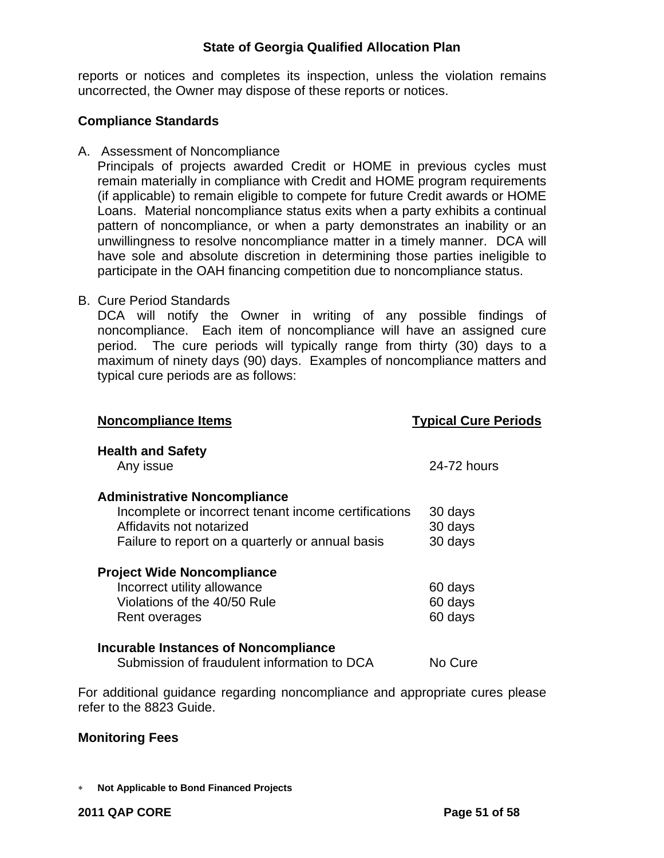reports or notices and completes its inspection, unless the violation remains uncorrected, the Owner may dispose of these reports or notices.

### **Compliance Standards**

A. Assessment of Noncompliance

Principals of projects awarded Credit or HOME in previous cycles must remain materially in compliance with Credit and HOME program requirements (if applicable) to remain eligible to compete for future Credit awards or HOME Loans. Material noncompliance status exits when a party exhibits a continual pattern of noncompliance, or when a party demonstrates an inability or an unwillingness to resolve noncompliance matter in a timely manner. DCA will have sole and absolute discretion in determining those parties ineligible to participate in the OAH financing competition due to noncompliance status.

B. Cure Period Standards

DCA will notify the Owner in writing of any possible findings of noncompliance. Each item of noncompliance will have an assigned cure period. The cure periods will typically range from thirty (30) days to a maximum of ninety days (90) days. Examples of noncompliance matters and typical cure periods are as follows:

| <b>Noncompliance Items</b>                           | <b>Typical Cure Periods</b> |
|------------------------------------------------------|-----------------------------|
| <b>Health and Safety</b>                             |                             |
| Any issue                                            | 24-72 hours                 |
| <b>Administrative Noncompliance</b>                  |                             |
| Incomplete or incorrect tenant income certifications | 30 days                     |
| Affidavits not notarized                             | 30 days                     |
| Failure to report on a quarterly or annual basis     | 30 days                     |
| <b>Project Wide Noncompliance</b>                    |                             |
| Incorrect utility allowance                          | 60 days                     |
| Violations of the 40/50 Rule                         | 60 days                     |
| Rent overages                                        | 60 days                     |
| Incurable Instances of Noncompliance                 |                             |
| Submission of fraudulent information to DCA          | No Cure                     |
|                                                      |                             |

For additional guidance regarding noncompliance and appropriate cures please refer to the 8823 Guide.

#### **Monitoring Fees**

∗ **Not Applicable to Bond Financed Projects** 

**2011 QAP CORE Page 51 of 58**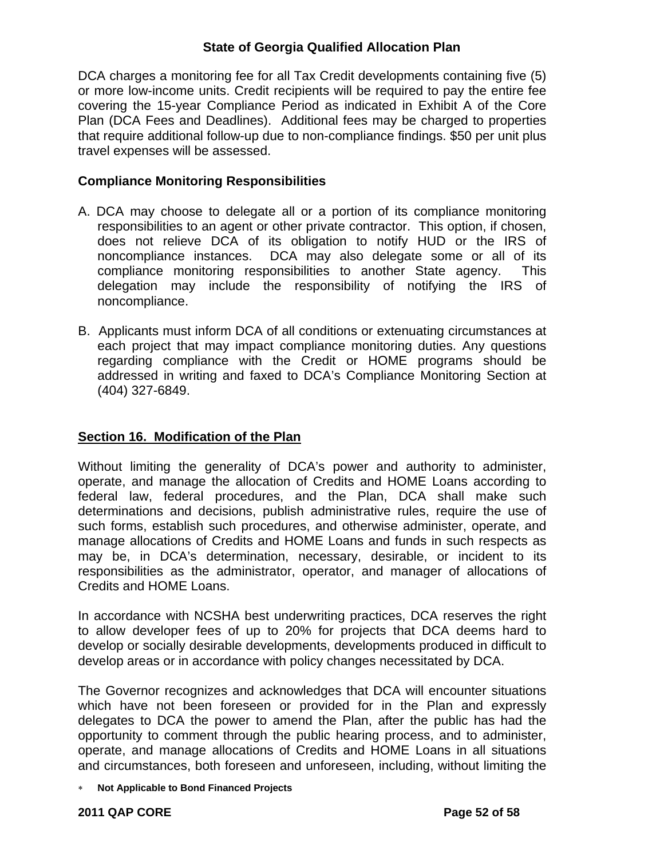<span id="page-51-0"></span>DCA charges a monitoring fee for all Tax Credit developments containing five (5) or more low-income units. Credit recipients will be required to pay the entire fee covering the 15-year Compliance Period as indicated in Exhibit A of the Core Plan (DCA Fees and Deadlines). Additional fees may be charged to properties that require additional follow-up due to non-compliance findings. \$50 per unit plus travel expenses will be assessed.

#### **Compliance Monitoring Responsibilities**

- A. DCA may choose to delegate all or a portion of its compliance monitoring responsibilities to an agent or other private contractor. This option, if chosen, does not relieve DCA of its obligation to notify HUD or the IRS of noncompliance instances. DCA may also delegate some or all of its compliance monitoring responsibilities to another State agency. This delegation may include the responsibility of notifying the IRS of noncompliance.
- B. Applicants must inform DCA of all conditions or extenuating circumstances at each project that may impact compliance monitoring duties. Any questions regarding compliance with the Credit or HOME programs should be addressed in writing and faxed to DCA's Compliance Monitoring Section at (404) 327-6849.

### **Section 16. Modification of the Plan**

Without limiting the generality of DCA's power and authority to administer, operate, and manage the allocation of Credits and HOME Loans according to federal law, federal procedures, and the Plan, DCA shall make such determinations and decisions, publish administrative rules, require the use of such forms, establish such procedures, and otherwise administer, operate, and manage allocations of Credits and HOME Loans and funds in such respects as may be, in DCA's determination, necessary, desirable, or incident to its responsibilities as the administrator, operator, and manager of allocations of Credits and HOME Loans.

In accordance with NCSHA best underwriting practices, DCA reserves the right to allow developer fees of up to 20% for projects that DCA deems hard to develop or socially desirable developments, developments produced in difficult to develop areas or in accordance with policy changes necessitated by DCA.

The Governor recognizes and acknowledges that DCA will encounter situations which have not been foreseen or provided for in the Plan and expressly delegates to DCA the power to amend the Plan, after the public has had the opportunity to comment through the public hearing process, and to administer, operate, and manage allocations of Credits and HOME Loans in all situations and circumstances, both foreseen and unforeseen, including, without limiting the

<sup>∗</sup> **Not Applicable to Bond Financed Projects**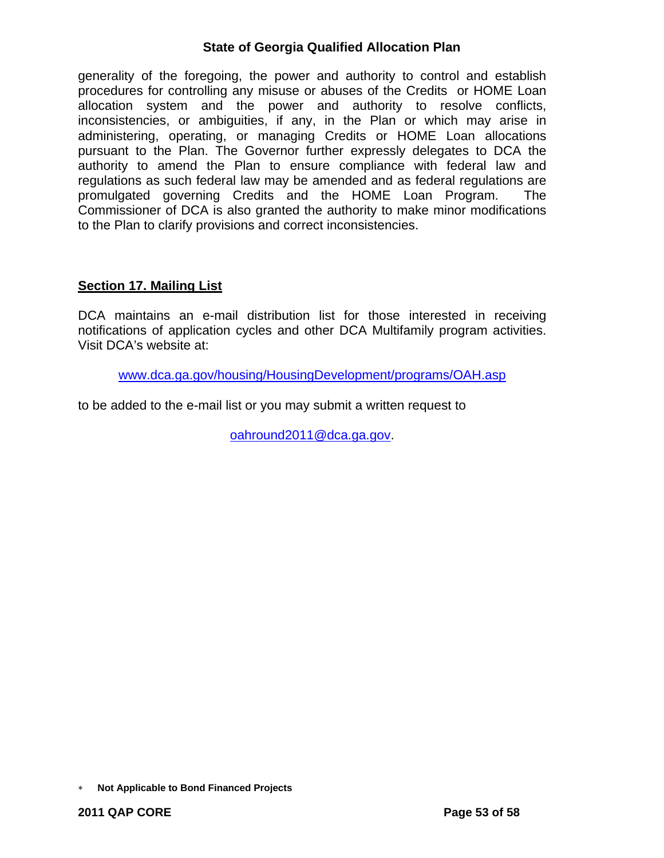generality of the foregoing, the power and authority to control and establish procedures for controlling any misuse or abuses of the Credits or HOME Loan allocation system and the power and authority to resolve conflicts, inconsistencies, or ambiguities, if any, in the Plan or which may arise in administering, operating, or managing Credits or HOME Loan allocations pursuant to the Plan. The Governor further expressly delegates to DCA the authority to amend the Plan to ensure compliance with federal law and regulations as such federal law may be amended and as federal regulations are promulgated governing Credits and the HOME Loan Program. The Commissioner of DCA is also granted the authority to make minor modifications to the Plan to clarify provisions and correct inconsistencies.

### **Section 17. Mailing List**

DCA maintains an e-mail distribution list for those interested in receiving notifications of application cycles and other DCA Multifamily program activities. Visit DCA's website at:

[www.dca.ga.gov/housing/HousingDevelopment/programs/OAH.asp](http://www.dca.ga.gov/housing/HousingDevelopment/programs/OAH.asp)

to be added to the e-mail list or you may submit a written request to

[oahround2011@dca.ga.gov](mailto:oahround2010@dca.ga.gov).

<sup>∗</sup> **Not Applicable to Bond Financed Projects**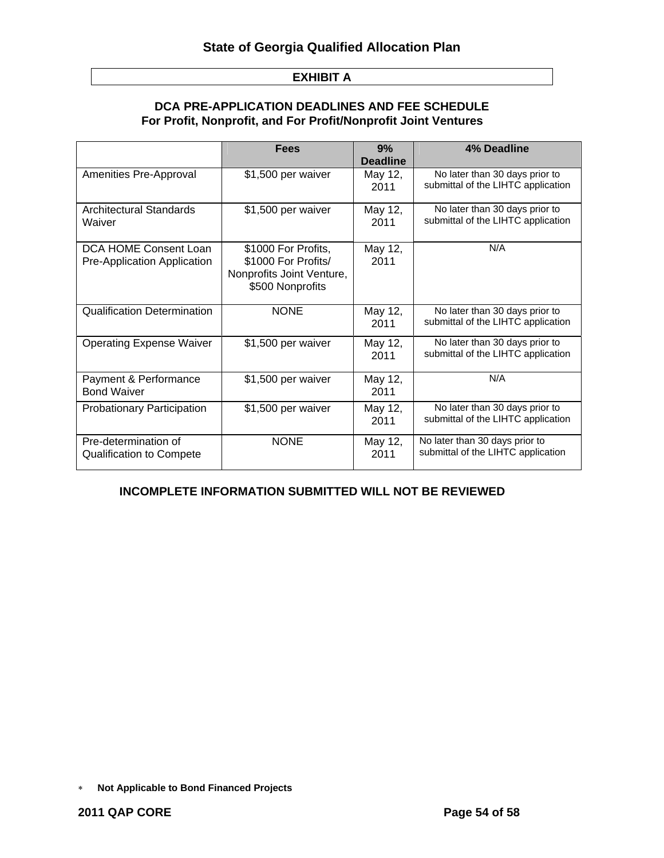#### **DCA PRE-APPLICATION DEADLINES AND FEE SCHEDULE For Profit, Nonprofit, and For Profit/Nonprofit Joint Ventures**

|                                                      | Fees                                                                                        | 9%<br><b>Deadline</b> | 4% Deadline                                                          |
|------------------------------------------------------|---------------------------------------------------------------------------------------------|-----------------------|----------------------------------------------------------------------|
| Amenities Pre-Approval                               | \$1,500 per waiver                                                                          | May 12,<br>2011       | No later than 30 days prior to<br>submittal of the LIHTC application |
| Architectural Standards<br>Waiver                    | \$1,500 per waiver                                                                          | May 12,<br>2011       | No later than 30 days prior to<br>submittal of the LIHTC application |
| DCA HOME Consent Loan<br>Pre-Application Application | \$1000 For Profits,<br>\$1000 For Profits/<br>Nonprofits Joint Venture,<br>\$500 Nonprofits | May 12,<br>2011       | N/A                                                                  |
| <b>Qualification Determination</b>                   | <b>NONE</b>                                                                                 | May 12,<br>2011       | No later than 30 days prior to<br>submittal of the LIHTC application |
| <b>Operating Expense Waiver</b>                      | \$1,500 per waiver                                                                          | May 12,<br>2011       | No later than 30 days prior to<br>submittal of the LIHTC application |
| Payment & Performance<br><b>Bond Waiver</b>          | \$1,500 per waiver                                                                          | May 12,<br>2011       | N/A                                                                  |
| <b>Probationary Participation</b>                    | \$1,500 per waiver                                                                          | May 12,<br>2011       | No later than 30 days prior to<br>submittal of the LIHTC application |
| Pre-determination of<br>Qualification to Compete     | <b>NONE</b>                                                                                 | May 12,<br>2011       | No later than 30 days prior to<br>submittal of the LIHTC application |

#### **INCOMPLETE INFORMATION SUBMITTED WILL NOT BE REVIEWED**

<sup>∗</sup> **Not Applicable to Bond Financed Projects**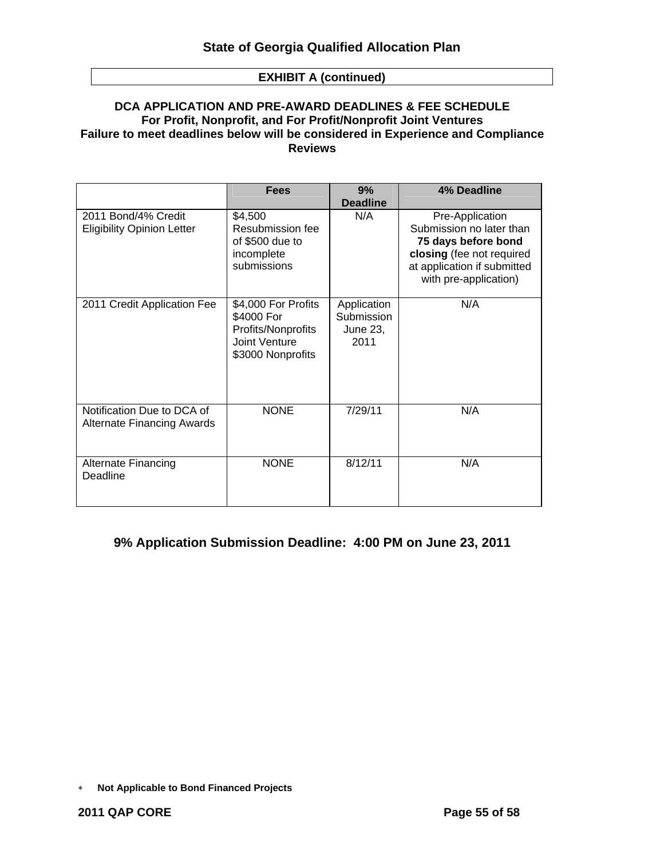#### **EXHIBIT A (continued)**

#### **DCA APPLICATION AND PRE-AWARD DEADLINES & FEE SCHEDULE For Profit, Nonprofit, and For Profit/Nonprofit Joint Ventures Failure to meet deadlines below will be considered in Experience and Compliance Reviews**

|                                                                 | Fees                                                                                                 | 9%                                            | 4% Deadline                                                                                                                                             |
|-----------------------------------------------------------------|------------------------------------------------------------------------------------------------------|-----------------------------------------------|---------------------------------------------------------------------------------------------------------------------------------------------------------|
|                                                                 |                                                                                                      | <b>Deadline</b>                               |                                                                                                                                                         |
| 2011 Bond/4% Credit<br><b>Eligibility Opinion Letter</b>        | \$4,500<br>Resubmission fee<br>of \$500 due to<br>incomplete<br>submissions                          | N/A                                           | Pre-Application<br>Submission no later than<br>75 days before bond<br>closing (fee not required<br>at application if submitted<br>with pre-application) |
| 2011 Credit Application Fee                                     | \$4,000 For Profits<br>\$4000 For<br>Profits/Nonprofits<br><b>Joint Venture</b><br>\$3000 Nonprofits | Application<br>Submission<br>June 23,<br>2011 | N/A                                                                                                                                                     |
| Notification Due to DCA of<br><b>Alternate Financing Awards</b> | <b>NONE</b>                                                                                          | 7/29/11                                       | N/A                                                                                                                                                     |
| <b>Alternate Financing</b><br>Deadline                          | <b>NONE</b>                                                                                          | 8/12/11                                       | N/A                                                                                                                                                     |

#### **9% Application Submission Deadline: 4:00 PM on June 23, 2011**

<sup>∗</sup> **Not Applicable to Bond Financed Projects**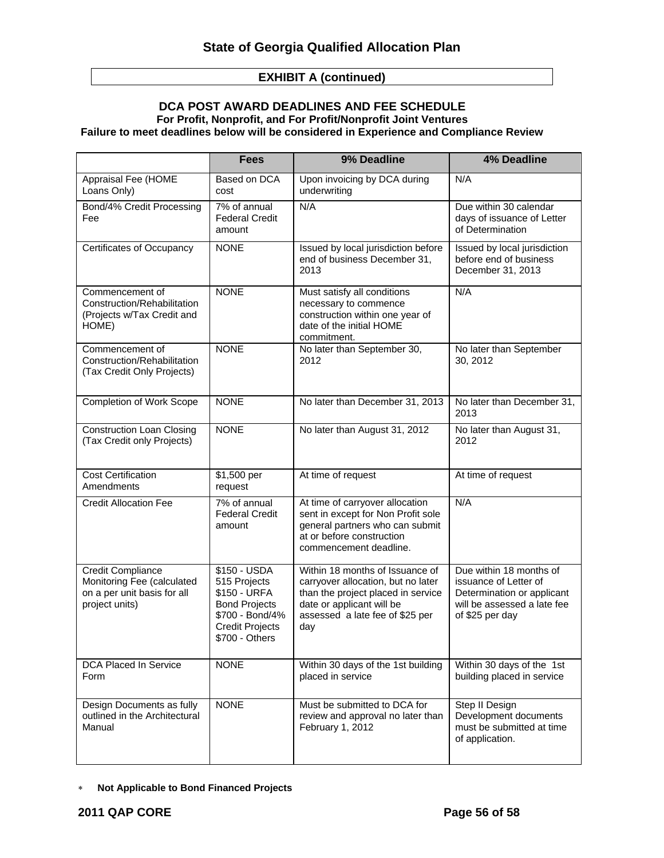### **EXHIBIT A (continued)**

## **DCA POST AWARD DEADLINES AND FEE SCHEDULE For Profit, Nonprofit, and For Profit/Nonprofit Joint Ventures**

**Failure to meet deadlines below will be considered in Experience and Compliance Review** 

|                                                                                                         | <b>Fees</b>                                                                                                                         | 9% Deadline                                                                                                                                                                        | 4% Deadline                                                                                                                      |
|---------------------------------------------------------------------------------------------------------|-------------------------------------------------------------------------------------------------------------------------------------|------------------------------------------------------------------------------------------------------------------------------------------------------------------------------------|----------------------------------------------------------------------------------------------------------------------------------|
| Appraisal Fee (HOME<br>Loans Only)                                                                      | Based on DCA<br>cost                                                                                                                | Upon invoicing by DCA during<br>underwriting                                                                                                                                       | N/A                                                                                                                              |
| Bond/4% Credit Processing<br>Fee                                                                        | 7% of annual<br><b>Federal Credit</b><br>amount                                                                                     | N/A                                                                                                                                                                                | Due within 30 calendar<br>days of issuance of Letter<br>of Determination                                                         |
| <b>Certificates of Occupancy</b>                                                                        | <b>NONE</b>                                                                                                                         | Issued by local jurisdiction before<br>end of business December 31,<br>2013                                                                                                        | Issued by local jurisdiction<br>before end of business<br>December 31, 2013                                                      |
| Commencement of<br>Construction/Rehabilitation<br>(Projects w/Tax Credit and<br>HOME)                   | <b>NONE</b>                                                                                                                         | Must satisfy all conditions<br>necessary to commence<br>construction within one year of<br>date of the initial HOME<br>commitment.                                                 | N/A                                                                                                                              |
| Commencement of<br>Construction/Rehabilitation<br>(Tax Credit Only Projects)                            | <b>NONE</b>                                                                                                                         | No later than September 30,<br>2012                                                                                                                                                | No later than September<br>30, 2012                                                                                              |
| <b>Completion of Work Scope</b>                                                                         | <b>NONE</b>                                                                                                                         | No later than December 31, 2013                                                                                                                                                    | No later than December 31,<br>2013                                                                                               |
| <b>Construction Loan Closing</b><br>(Tax Credit only Projects)                                          | <b>NONE</b>                                                                                                                         | No later than August 31, 2012                                                                                                                                                      | No later than August 31,<br>2012                                                                                                 |
| <b>Cost Certification</b><br>Amendments                                                                 | \$1,500 per<br>request                                                                                                              | At time of request                                                                                                                                                                 | At time of request                                                                                                               |
| <b>Credit Allocation Fee</b>                                                                            | 7% of annual<br><b>Federal Credit</b><br>amount                                                                                     | At time of carryover allocation<br>sent in except for Non Profit sole<br>general partners who can submit<br>at or before construction<br>commencement deadline.                    | N/A                                                                                                                              |
| <b>Credit Compliance</b><br>Monitoring Fee (calculated<br>on a per unit basis for all<br>project units) | \$150 - USDA<br>515 Projects<br>\$150 - URFA<br><b>Bond Projects</b><br>\$700 - Bond/4%<br><b>Credit Projects</b><br>\$700 - Others | Within 18 months of Issuance of<br>carryover allocation, but no later<br>than the project placed in service<br>date or applicant will be<br>assessed a late fee of \$25 per<br>day | Due within 18 months of<br>issuance of Letter of<br>Determination or applicant<br>will be assessed a late fee<br>of \$25 per day |
| DCA Placed In Service<br>Form                                                                           | <b>NONE</b>                                                                                                                         | Within 30 days of the 1st building<br>placed in service                                                                                                                            | Within 30 days of the 1st<br>building placed in service                                                                          |
| Design Documents as fully<br>outlined in the Architectural<br>Manual                                    | <b>NONE</b>                                                                                                                         | Must be submitted to DCA for<br>review and approval no later than<br>February 1, 2012                                                                                              | Step II Design<br>Development documents<br>must be submitted at time<br>of application.                                          |

<sup>∗</sup> **Not Applicable to Bond Financed Projects**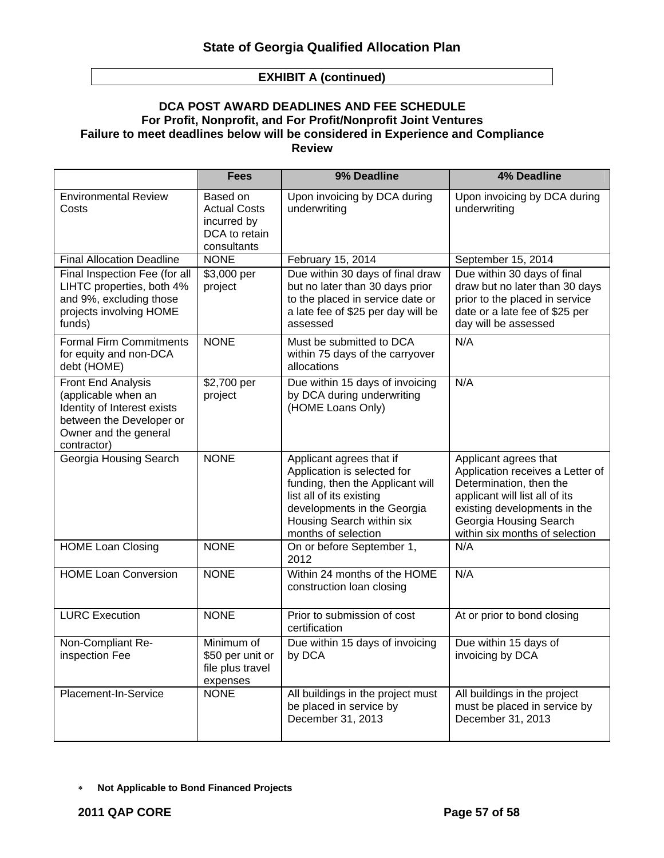#### **EXHIBIT A (continued)**

#### **DCA POST AWARD DEADLINES AND FEE SCHEDULE For Profit, Nonprofit, and For Profit/Nonprofit Joint Ventures Failure to meet deadlines below will be considered in Experience and Compliance Review**

|                                                                                                                                                     | <b>Fees</b>                                                                    | 9% Deadline                                                                                                                                                                                                | 4% Deadline                                                                                                                                                                                                        |
|-----------------------------------------------------------------------------------------------------------------------------------------------------|--------------------------------------------------------------------------------|------------------------------------------------------------------------------------------------------------------------------------------------------------------------------------------------------------|--------------------------------------------------------------------------------------------------------------------------------------------------------------------------------------------------------------------|
| <b>Environmental Review</b><br>Costs                                                                                                                | Based on<br><b>Actual Costs</b><br>incurred by<br>DCA to retain<br>consultants | Upon invoicing by DCA during<br>underwriting                                                                                                                                                               | Upon invoicing by DCA during<br>underwriting                                                                                                                                                                       |
| <b>Final Allocation Deadline</b>                                                                                                                    | <b>NONE</b>                                                                    | February 15, 2014                                                                                                                                                                                          | September 15, 2014                                                                                                                                                                                                 |
| Final Inspection Fee (for all<br>LIHTC properties, both 4%<br>and 9%, excluding those<br>projects involving HOME<br>funds)                          | \$3,000 per<br>project                                                         | Due within 30 days of final draw<br>but no later than 30 days prior<br>to the placed in service date or<br>a late fee of \$25 per day will be<br>assessed                                                  | Due within 30 days of final<br>draw but no later than 30 days<br>prior to the placed in service<br>date or a late fee of \$25 per<br>day will be assessed                                                          |
| <b>Formal Firm Commitments</b><br>for equity and non-DCA<br>debt (HOME)                                                                             | <b>NONE</b>                                                                    | Must be submitted to DCA<br>within 75 days of the carryover<br>allocations                                                                                                                                 | N/A                                                                                                                                                                                                                |
| <b>Front End Analysis</b><br>(applicable when an<br>Identity of Interest exists<br>between the Developer or<br>Owner and the general<br>contractor) | \$2,700 per<br>project                                                         | Due within 15 days of invoicing<br>by DCA during underwriting<br>(HOME Loans Only)                                                                                                                         | N/A                                                                                                                                                                                                                |
| Georgia Housing Search                                                                                                                              | <b>NONE</b>                                                                    | Applicant agrees that if<br>Application is selected for<br>funding, then the Applicant will<br>list all of its existing<br>developments in the Georgia<br>Housing Search within six<br>months of selection | Applicant agrees that<br>Application receives a Letter of<br>Determination, then the<br>applicant will list all of its<br>existing developments in the<br>Georgia Housing Search<br>within six months of selection |
| <b>HOME Loan Closing</b>                                                                                                                            | <b>NONE</b>                                                                    | On or before September 1,<br>2012                                                                                                                                                                          | N/A                                                                                                                                                                                                                |
| <b>HOME Loan Conversion</b>                                                                                                                         | <b>NONE</b>                                                                    | Within 24 months of the HOME<br>construction loan closing                                                                                                                                                  | N/A                                                                                                                                                                                                                |
| <b>LURC Execution</b>                                                                                                                               | <b>NONE</b>                                                                    | Prior to submission of cost<br>certification                                                                                                                                                               | At or prior to bond closing                                                                                                                                                                                        |
| Non-Compliant Re-<br>inspection Fee                                                                                                                 | Minimum of<br>\$50 per unit or<br>file plus travel<br>expenses                 | Due within 15 days of invoicing<br>by DCA                                                                                                                                                                  | Due within 15 days of<br>invoicing by DCA                                                                                                                                                                          |
| Placement-In-Service                                                                                                                                | <b>NONE</b>                                                                    | All buildings in the project must<br>be placed in service by<br>December 31, 2013                                                                                                                          | All buildings in the project<br>must be placed in service by<br>December 31, 2013                                                                                                                                  |

<sup>∗</sup> **Not Applicable to Bond Financed Projects**